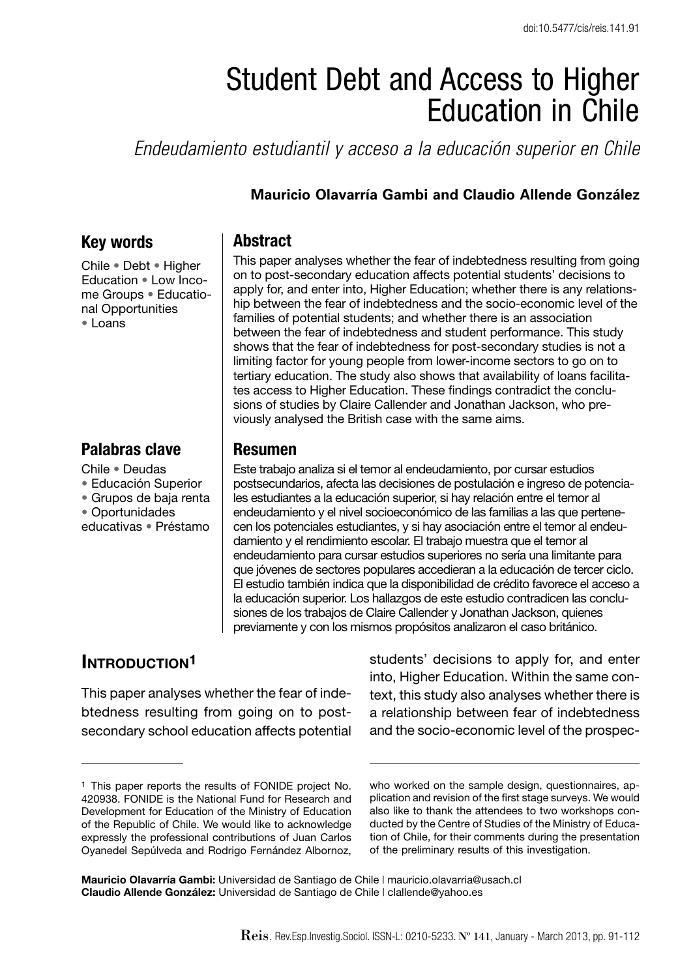# Student Debt and Access to Higher Education in Chile

*Endeudamiento estudiantil y acceso a la educación superior en Chile*

#### **Mauricio Olavarría Gambi and Claudio Allende González**

#### **Key words**

Chile • Debt • Higher Education • Low Income Groups • Educational Opportunities • Loans

#### **Palabras clave**

Chile • Deudas • Educación Superior • Grupos de baja renta • Oportunidades educativas • Préstamo

#### **Abstract**

This paper analyses whether the fear of indebtedness resulting from going on to post-secondary education affects potential students' decisions to apply for, and enter into, Higher Education; whether there is any relationship between the fear of indebtedness and the socio-economic level of the families of potential students; and whether there is an association between the fear of indebtedness and student performance. This study shows that the fear of indebtedness for post-secondary studies is not a limiting factor for young people from lower-income sectors to go on to tertiary education. The study also shows that availability of loans facilitates access to Higher Education. These findings contradict the conclusions of studies by Claire Callender and Jonathan Jackson, who previously analysed the British case with the same aims.

#### **Resumen**

Este trabajo analiza si el temor al endeudamiento, por cursar estudios postsecundarios, afecta las decisiones de postulación e ingreso de potenciales estudiantes a la educación superior, si hay relación entre el temor al endeudamiento y el nivel socioeconómico de las familias a las que pertenecen los potenciales estudiantes, y si hay asociación entre el temor al endeudamiento y el rendimiento escolar. El trabajo muestra que el temor al endeudamiento para cursar estudios superiores no sería una limitante para que jóvenes de sectores populares accedieran a la educación de tercer ciclo. El estudio también indica que la disponibilidad de crédito favorece el acceso a la educación superior. Los hallazgos de este estudio contradicen las conclusiones de los trabajos de Claire Callender y Jonathan Jackson, quienes previamente y con los mismos propósitos analizaron el caso británico.

## **INTRODUCTION1**

This paper analyses whether the fear of indebtedness resulting from going on to postsecondary school education affects potential students' decisions to apply for, and enter into, Higher Education. Within the same context, this study also analyses whether there is a relationship between fear of indebtedness and the socio-economic level of the prospec-

who worked on the sample design, questionnaires, application and revision of the first stage surveys. We would also like to thank the attendees to two workshops conducted by the Centre of Studies of the Ministry of Education of Chile, for their comments during the presentation of the preliminary results of this investigation.

**Mauricio Olavarría Gambi:** Universidad de Santiago de Chile | mauricio.olavarria@usach.cl **Claudio Allende González:** Universidad de Santiago de Chile | clallende@yahoo.es

<sup>1</sup> This paper reports the results of FONIDE project No. 420938. FONIDE is the National Fund for Research and Development for Education of the Ministry of Education of the Republic of Chile. We would like to acknowledge expressly the professional contributions of Juan Carlos Oyanedel Sepúlveda and Rodrigo Fernández Albornoz,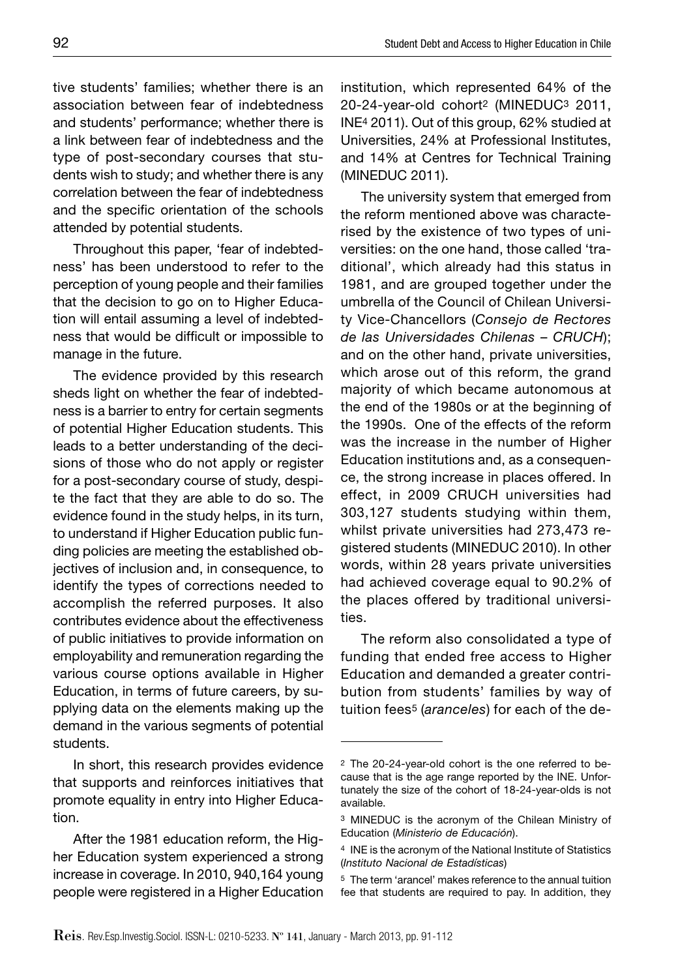tive students' families; whether there is an association between fear of indebtedness and students' performance; whether there is a link between fear of indebtedness and the type of post-secondary courses that students wish to study; and whether there is any correlation between the fear of indebtedness and the specific orientation of the schools attended by potential students.

Throughout this paper, 'fear of indebtedness' has been understood to refer to the perception of young people and their families that the decision to go on to Higher Education will entail assuming a level of indebtedness that would be difficult or impossible to manage in the future.

The evidence provided by this research sheds light on whether the fear of indebtedness is a barrier to entry for certain segments of potential Higher Education students. This leads to a better understanding of the decisions of those who do not apply or register for a post-secondary course of study, despite the fact that they are able to do so. The evidence found in the study helps, in its turn, to understand if Higher Education public funding policies are meeting the established objectives of inclusion and, in consequence, to identify the types of corrections needed to accomplish the referred purposes. It also contributes evidence about the effectiveness of public initiatives to provide information on employability and remuneration regarding the various course options available in Higher Education, in terms of future careers, by supplying data on the elements making up the demand in the various segments of potential students.

In short, this research provides evidence that supports and reinforces initiatives that promote equality in entry into Higher Education.

After the 1981 education reform, the Higher Education system experienced a strong increase in coverage. In 2010, 940,164 young people were registered in a Higher Education

institution, which represented 64% of the 20-24-year-old cohort2 (MINEDUC3 2011, INE4 2011). Out of this group, 62% studied at Universities, 24% at Professional Institutes, and 14% at Centres for Technical Training (MINEDUC 2011).

The university system that emerged from the reform mentioned above was characterised by the existence of two types of universities: on the one hand, those called 'traditional', which already had this status in 1981, and are grouped together under the umbrella of the Council of Chilean University Vice-Chancellors (*Consejo de Rectores de las Universidades Chilenas* – *CRUCH*); and on the other hand, private universities, which arose out of this reform, the grand majority of which became autonomous at the end of the 1980s or at the beginning of the 1990s. One of the effects of the reform was the increase in the number of Higher Education institutions and, as a consequence, the strong increase in places offered. In effect, in 2009 CRUCH universities had 303,127 students studying within them, whilst private universities had 273,473 registered students (MINEDUC 2010). In other words, within 28 years private universities had achieved coverage equal to 90.2% of the places offered by traditional universities.

The reform also consolidated a type of funding that ended free access to Higher Education and demanded a greater contribution from students' families by way of tuition fees5 (*aranceles*) for each of the de-

<sup>2</sup> The 20-24-year-old cohort is the one referred to because that is the age range reported by the INE. Unfortunately the size of the cohort of 18-24-year-olds is not available.

<sup>3</sup> MINEDUC is the acronym of the Chilean Ministry of Education (*Ministerio de Educación*).

<sup>4</sup> INE is the acronym of the National Institute of Statistics (*Instituto Nacional de Estadísticas*)

<sup>5</sup> The term 'arancel' makes reference to the annual tuition fee that students are required to pay. In addition, they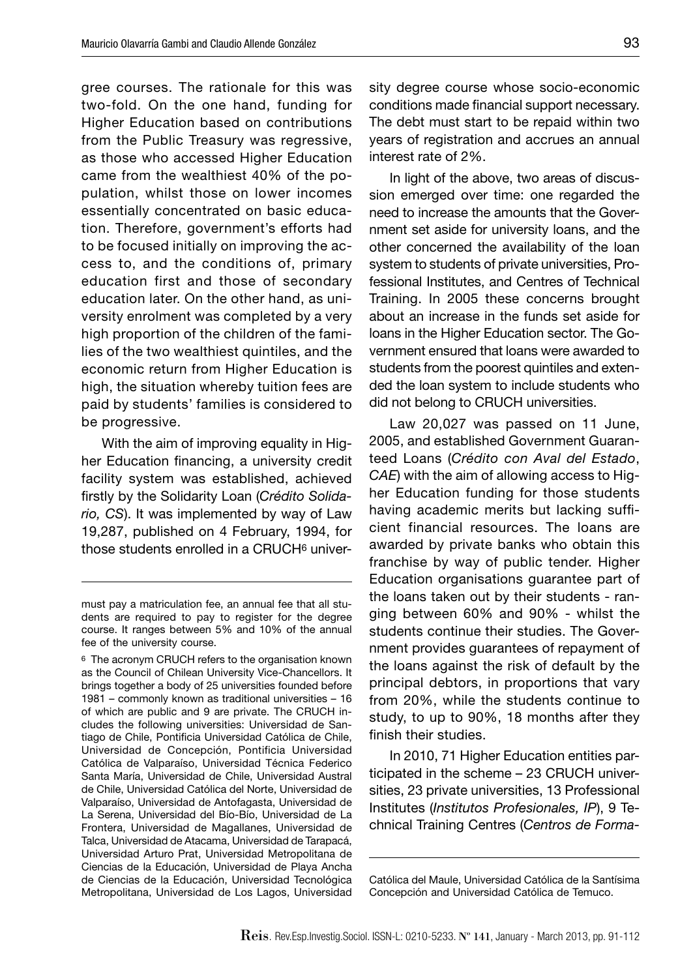gree courses. The rationale for this was two-fold. On the one hand, funding for Higher Education based on contributions from the Public Treasury was regressive, as those who accessed Higher Education came from the wealthiest 40% of the population, whilst those on lower incomes essentially concentrated on basic education. Therefore, government's efforts had to be focused initially on improving the access to, and the conditions of, primary education first and those of secondary education later. On the other hand, as university enrolment was completed by a very high proportion of the children of the families of the two wealthiest quintiles, and the economic return from Higher Education is high, the situation whereby tuition fees are paid by students' families is considered to be progressive.

With the aim of improving equality in Higher Education financing, a university credit facility system was established, achieved firstly by the Solidarity Loan (Crédito Solida*rio, CS*). It was implemented by way of Law 19,287, published on 4 February, 1994, for those students enrolled in a CRUCH<sup>6</sup> university degree course whose socio-economic conditions made financial support necessary. The debt must start to be repaid within two years of registration and accrues an annual interest rate of 2%.

In light of the above, two areas of discussion emerged over time: one regarded the need to increase the amounts that the Government set aside for university loans, and the other concerned the availability of the loan system to students of private universities, Professional Institutes, and Centres of Technical Training. In 2005 these concerns brought about an increase in the funds set aside for loans in the Higher Education sector. The Government ensured that loans were awarded to students from the poorest quintiles and extended the loan system to include students who did not belong to CRUCH universities.

Law 20,027 was passed on 11 June, 2005, and established Government Guaranteed Loans (*Crédito con Aval del Estado*, *CAE*) with the aim of allowing access to Higher Education funding for those students having academic merits but lacking sufficient financial resources. The loans are awarded by private banks who obtain this franchise by way of public tender. Higher Education organisations guarantee part of the loans taken out by their students - ranging between 60% and 90% - whilst the students continue their studies. The Government provides guarantees of repayment of the loans against the risk of default by the principal debtors, in proportions that vary from 20%, while the students continue to study, to up to 90%, 18 months after they finish their studies.

In 2010, 71 Higher Education entities participated in the scheme – 23 CRUCH universities, 23 private universities, 13 Professional Institutes (*Institutos Profesionales, IP*), 9 Technical Training Centres (*Centros de Forma-*

must pay a matriculation fee, an annual fee that all students are required to pay to register for the degree course. It ranges between 5% and 10% of the annual fee of the university course.

<sup>6</sup> The acronym CRUCH refers to the organisation known as the Council of Chilean University Vice-Chancellors. It brings together a body of 25 universities founded before 1981 – commonly known as traditional universities – 16 of which are public and 9 are private. The CRUCH includes the following universities: Universidad de Santiago de Chile, Pontificia Universidad Católica de Chile, Universidad de Concepción, Pontificia Universidad Católica de Valparaíso, Universidad Técnica Federico Santa María, Universidad de Chile, Universidad Austral de Chile, Universidad Católica del Norte, Universidad de Valparaíso, Universidad de Antofagasta, Universidad de La Serena, Universidad del Bío-Bío, Universidad de La Frontera, Universidad de Magallanes, Universidad de Talca, Universidad de Atacama, Universidad de Tarapacá, Universidad Arturo Prat, Universidad Metropolitana de Ciencias de la Educación, Universidad de Playa Ancha de Ciencias de la Educación, Universidad Tecnológica Metropolitana, Universidad de Los Lagos, Universidad

Católica del Maule, Universidad Católica de la Santísima Concepción and Universidad Católica de Temuco.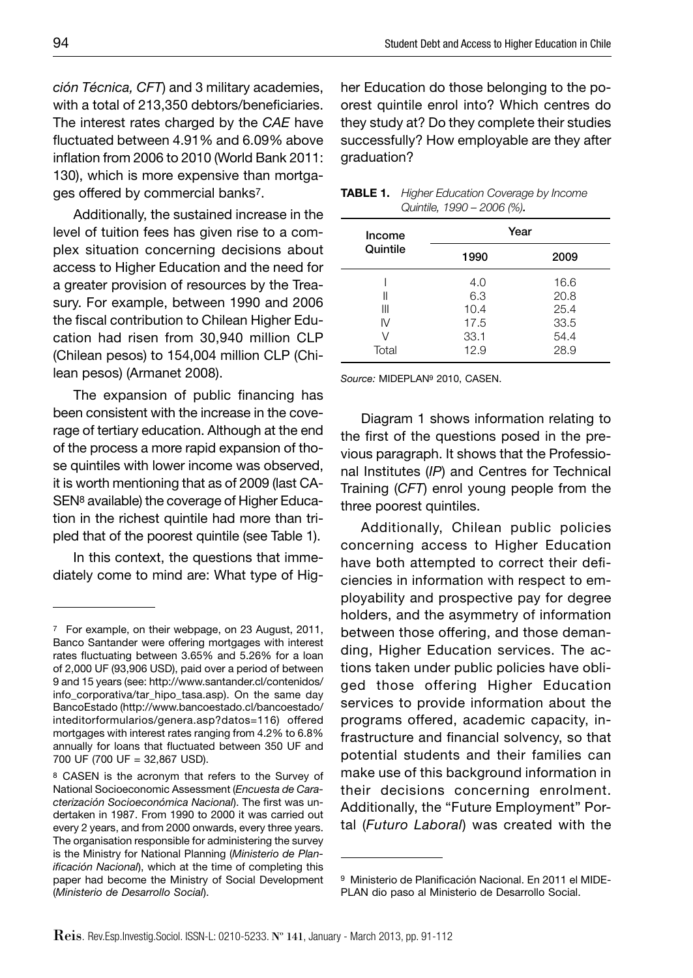*ción Técnica, CFT*) and 3 military academies, with a total of 213,350 debtors/beneficiaries. The interest rates charged by the *CAE* have fluctuated between 4.91% and 6.09% above inflation from 2006 to 2010 (World Bank 2011: 130), which is more expensive than mortgages offered by commercial banks7.

Additionally, the sustained increase in the level of tuition fees has given rise to a complex situation concerning decisions about access to Higher Education and the need for a greater provision of resources by the Treasury. For example, between 1990 and 2006 the fiscal contribution to Chilean Higher Education had risen from 30,940 million CLP (Chilean pesos) to 154,004 million CLP (Chilean pesos) (Armanet 2008).

The expansion of public financing has been consistent with the increase in the coverage of tertiary education. Although at the end of the process a more rapid expansion of those quintiles with lower income was observed, it is worth mentioning that as of 2009 (last CA-SEN8 available) the coverage of Higher Education in the richest quintile had more than tripled that of the poorest quintile (see Table 1).

In this context, the questions that immediately come to mind are: What type of Higher Education do those belonging to the poorest quintile enrol into? Which centres do they study at? Do they complete their studies successfully? How employable are they after graduation?

| <b>TABLE 1.</b> Higher Education Coverage by Income |
|-----------------------------------------------------|
| Quintile, 1990 - 2006 (%).                          |

| Income   |      | Year |
|----------|------|------|
| Quintile | 1990 | 2009 |
|          | 4.0  | 16.6 |
| II       | 6.3  | 20.8 |
| Ш        | 10.4 | 25.4 |
| IV       | 17.5 | 33.5 |
| \ /      | 33.1 | 54.4 |
| Total    | 12.9 | 28.9 |

*Source:* MIDEPLAN9 2010, CASEN.

Diagram 1 shows information relating to the first of the questions posed in the previous paragraph. It shows that the Professional Institutes (*IP*) and Centres for Technical Training (*CFT*) enrol young people from the three poorest quintiles.

Additionally, Chilean public policies concerning access to Higher Education have both attempted to correct their deficiencies in information with respect to employability and prospective pay for degree holders, and the asymmetry of information between those offering, and those demanding, Higher Education services. The actions taken under public policies have obliged those offering Higher Education services to provide information about the programs offered, academic capacity, infrastructure and financial solvency, so that potential students and their families can make use of this background information in their decisions concerning enrolment. Additionally, the "Future Employment" Portal (*Futuro Laboral*) was created with the

<sup>7</sup> For example, on their webpage, on 23 August, 2011, Banco Santander were offering mortgages with interest rates fluctuating between 3.65% and 5.26% for a loan of 2,000 UF (93,906 USD), paid over a period of between 9 and 15 years (see: http://www.santander.cl/contenidos/ info corporativa/tar hipo tasa.asp). On the same day BancoEstado (http://www.bancoestado.cl/bancoestado/ inteditorformularios/genera.asp?datos=116) offered mortgages with interest rates ranging from 4.2% to 6.8% annually for loans that fluctuated between 350 UF and 700 UF (700 UF = 32,867 USD).

<sup>8</sup> CASEN is the acronym that refers to the Survey of National Socioeconomic Assessment (*Encuesta de Caracterización Socioeconómica Nacional*). The first was undertaken in 1987. From 1990 to 2000 it was carried out every 2 years, and from 2000 onwards, every three years. The organisation responsible for administering the survey is the Ministry for National Planning (*Ministerio de Planificación Nacional*), which at the time of completing this paper had become the Ministry of Social Development (*Ministerio de Desarrollo Social*).

<sup>9</sup> Ministerio de Planificación Nacional. En 2011 el MIDE-PLAN dio paso al Ministerio de Desarrollo Social.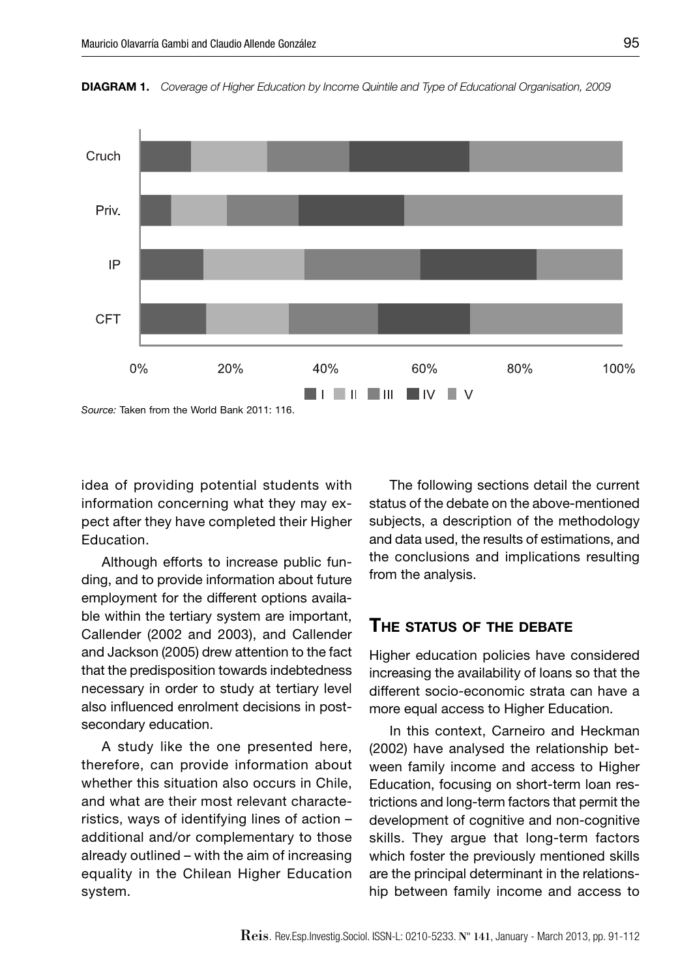

**DIAGRAM 1.** *Coverage of Higher Education by Income Quintile and Type of Educational Organisation, 2009*

*Source:* Taken from the World Bank 2011: 116.

idea of providing potential students with information concerning what they may expect after they have completed their Higher Education.

Although efforts to increase public funding, and to provide information about future employment for the different options available within the tertiary system are important, Callender (2002 and 2003), and Callender and Jackson (2005) drew attention to the fact that the predisposition towards indebtedness necessary in order to study at tertiary level also influenced enrolment decisions in postsecondary education.

A study like the one presented here, therefore, can provide information about whether this situation also occurs in Chile, and what are their most relevant characteristics, ways of identifying lines of action – additional and/or complementary to those already outlined – with the aim of increasing equality in the Chilean Higher Education system.

The following sections detail the current status of the debate on the above-mentioned subjects, a description of the methodology and data used, the results of estimations, and the conclusions and implications resulting from the analysis.

#### **THE STATUS OF THE DEBATE**

Higher education policies have considered increasing the availability of loans so that the different socio-economic strata can have a more equal access to Higher Education.

In this context, Carneiro and Heckman (2002) have analysed the relationship between family income and access to Higher Education, focusing on short-term loan restrictions and long-term factors that permit the development of cognitive and non-cognitive skills. They argue that long-term factors which foster the previously mentioned skills are the principal determinant in the relationship between family income and access to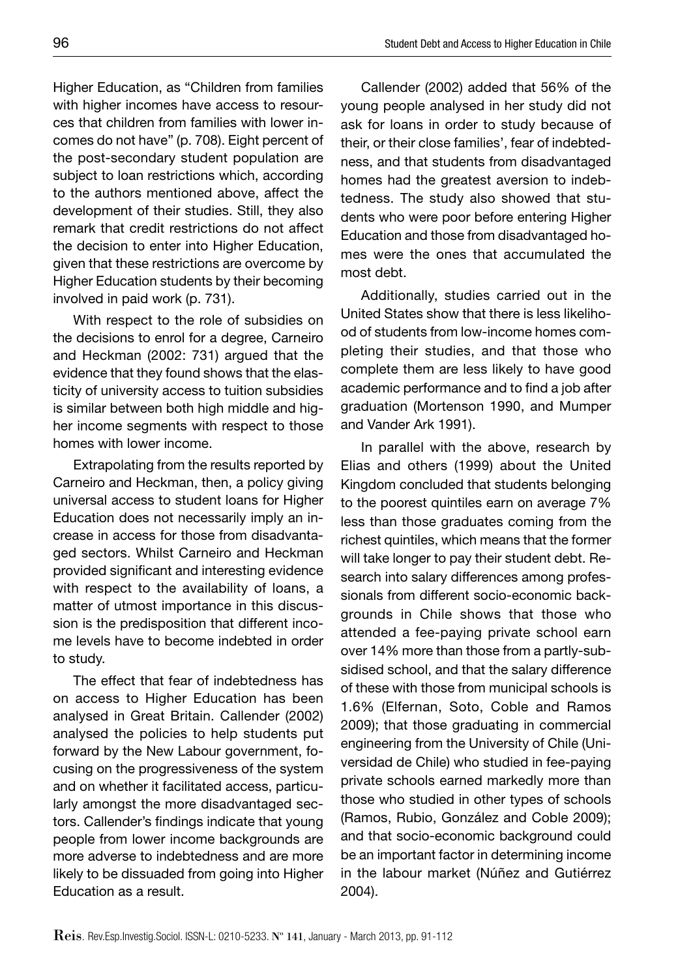Higher Education, as "Children from families with higher incomes have access to resour-

ces that children from families with lower incomes do not have" (p. 708). Eight percent of the post-secondary student population are subject to loan restrictions which, according to the authors mentioned above, affect the development of their studies. Still, they also remark that credit restrictions do not affect the decision to enter into Higher Education. given that these restrictions are overcome by Higher Education students by their becoming involved in paid work (p. 731).

With respect to the role of subsidies on the decisions to enrol for a degree, Carneiro and Heckman (2002: 731) argued that the evidence that they found shows that the elasticity of university access to tuition subsidies is similar between both high middle and higher income segments with respect to those homes with lower income.

Extrapolating from the results reported by Carneiro and Heckman, then, a policy giving universal access to student loans for Higher Education does not necessarily imply an increase in access for those from disadvantaged sectors. Whilst Carneiro and Heckman provided significant and interesting evidence with respect to the availability of loans, a matter of utmost importance in this discussion is the predisposition that different income levels have to become indebted in order to study.

The effect that fear of indebtedness has on access to Higher Education has been analysed in Great Britain. Callender (2002) analysed the policies to help students put forward by the New Labour government, focusing on the progressiveness of the system and on whether it facilitated access, particularly amongst the more disadvantaged sectors. Callender's findings indicate that young people from lower income backgrounds are more adverse to indebtedness and are more likely to be dissuaded from going into Higher Education as a result.

Callender (2002) added that 56% of the young people analysed in her study did not ask for loans in order to study because of their, or their close families', fear of indebtedness, and that students from disadvantaged homes had the greatest aversion to indebtedness. The study also showed that students who were poor before entering Higher Education and those from disadvantaged homes were the ones that accumulated the most debt.

Additionally, studies carried out in the United States show that there is less likelihood of students from low-income homes completing their studies, and that those who complete them are less likely to have good academic performance and to find a job after graduation (Mortenson 1990, and Mumper and Vander Ark 1991).

In parallel with the above, research by Elias and others (1999) about the United Kingdom concluded that students belonging to the poorest quintiles earn on average 7% less than those graduates coming from the richest quintiles, which means that the former will take longer to pay their student debt. Research into salary differences among professionals from different socio-economic backgrounds in Chile shows that those who attended a fee-paying private school earn over 14% more than those from a partly-subsidised school, and that the salary difference of these with those from municipal schools is 1.6% (Elfernan, Soto, Coble and Ramos 2009); that those graduating in commercial engineering from the University of Chile (Universidad de Chile) who studied in fee-paying private schools earned markedly more than those who studied in other types of schools (Ramos, Rubio, González and Coble 2009); and that socio-economic background could be an important factor in determining income in the labour market (Núñez and Gutiérrez 2004).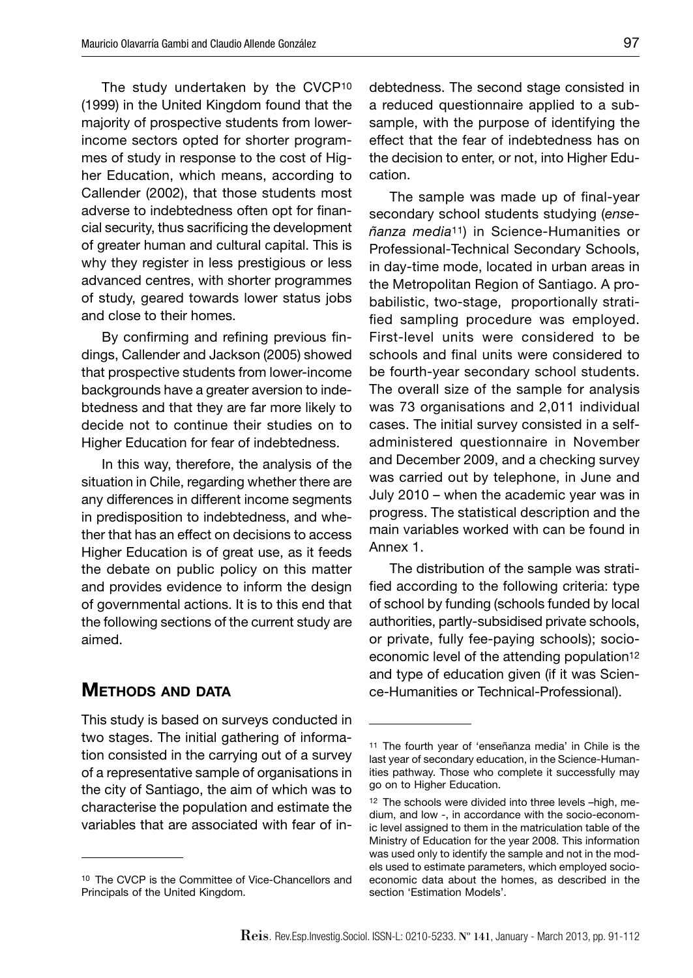The study undertaken by the CVCP10 (1999) in the United Kingdom found that the majority of prospective students from lowerincome sectors opted for shorter programmes of study in response to the cost of Higher Education, which means, according to Callender (2002), that those students most adverse to indebtedness often opt for financial security, thus sacrificing the development of greater human and cultural capital. This is why they register in less prestigious or less advanced centres, with shorter programmes of study, geared towards lower status jobs and close to their homes.

By confirming and refining previous findings, Callender and Jackson (2005) showed that prospective students from lower-income backgrounds have a greater aversion to indebtedness and that they are far more likely to decide not to continue their studies on to Higher Education for fear of indebtedness.

In this way, therefore, the analysis of the situation in Chile, regarding whether there are any differences in different income segments in predisposition to indebtedness, and whether that has an effect on decisions to access Higher Education is of great use, as it feeds the debate on public policy on this matter and provides evidence to inform the design of governmental actions. It is to this end that the following sections of the current study are aimed.

### **METHODS AND DATA**

This study is based on surveys conducted in two stages. The initial gathering of information consisted in the carrying out of a survey of a representative sample of organisations in the city of Santiago, the aim of which was to characterise the population and estimate the variables that are associated with fear of indebtedness. The second stage consisted in a reduced questionnaire applied to a subsample, with the purpose of identifying the effect that the fear of indebtedness has on the decision to enter, or not, into Higher Education.

The sample was made up of final-year secondary school students studying (*enseñanza media*11) in Science-Humanities or Professional-Technical Secondary Schools, in day-time mode, located in urban areas in the Metropolitan Region of Santiago. A probabilistic, two-stage, proportionally stratified sampling procedure was employed. First-level units were considered to be schools and final units were considered to be fourth-year secondary school students. The overall size of the sample for analysis was 73 organisations and 2,011 individual cases. The initial survey consisted in a selfadministered questionnaire in November and December 2009, and a checking survey was carried out by telephone, in June and July 2010 – when the academic year was in progress. The statistical description and the main variables worked with can be found in Annex 1.

The distribution of the sample was stratified according to the following criteria: type of school by funding (schools funded by local authorities, partly-subsidised private schools, or private, fully fee-paying schools); socioeconomic level of the attending population<sup>12</sup> and type of education given (if it was Science-Humanities or Technical-Professional).

<sup>10</sup> The CVCP is the Committee of Vice-Chancellors and Principals of the United Kingdom.

<sup>11</sup> The fourth year of 'enseñanza media' in Chile is the last year of secondary education, in the Science-Humanities pathway. Those who complete it successfully may go on to Higher Education.

<sup>12</sup> The schools were divided into three levels –high, medium, and low -, in accordance with the socio-economic level assigned to them in the matriculation table of the Ministry of Education for the year 2008. This information was used only to identify the sample and not in the models used to estimate parameters, which employed socioeconomic data about the homes, as described in the section 'Estimation Models'.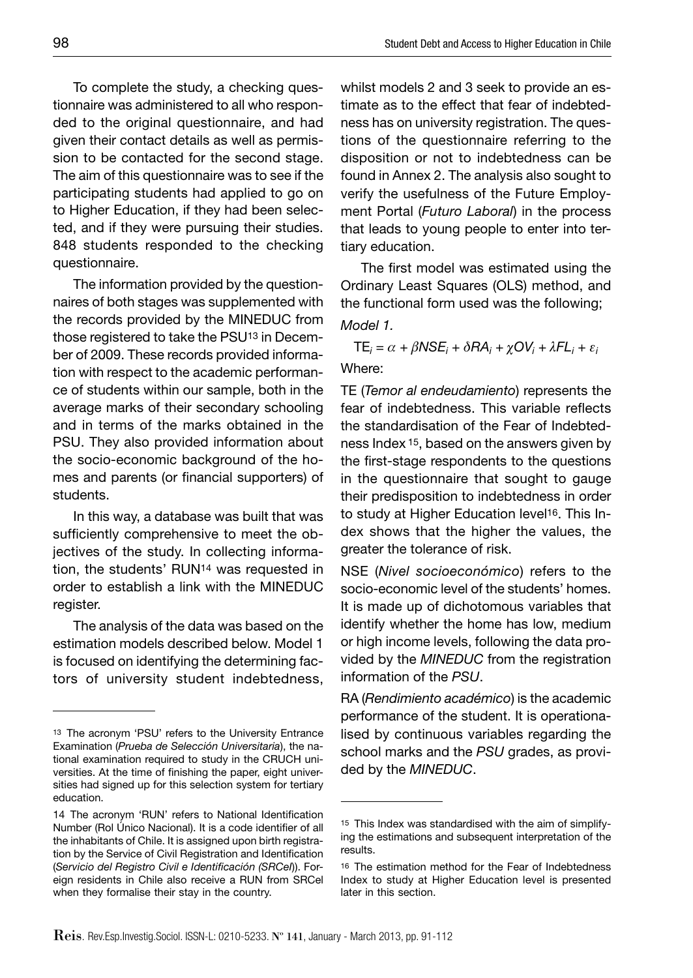To complete the study, a checking questionnaire was administered to all who responded to the original questionnaire, and had given their contact details as well as permission to be contacted for the second stage. The aim of this questionnaire was to see if the participating students had applied to go on to Higher Education, if they had been selected, and if they were pursuing their studies. 848 students responded to the checking questionnaire.

The information provided by the questionnaires of both stages was supplemented with the records provided by the MINEDUC from those registered to take the PSU13 in December of 2009. These records provided information with respect to the academic performance of students within our sample, both in the average marks of their secondary schooling and in terms of the marks obtained in the PSU. They also provided information about the socio-economic background of the homes and parents (or financial supporters) of students.

In this way, a database was built that was sufficiently comprehensive to meet the objectives of the study. In collecting information, the students' RUN14 was requested in order to establish a link with the MINEDUC register.

The analysis of the data was based on the estimation models described below. Model 1 is focused on identifying the determining factors of university student indebtedness,

whilst models 2 and 3 seek to provide an estimate as to the effect that fear of indebtedness has on university registration. The questions of the questionnaire referring to the disposition or not to indebtedness can be found in Annex 2. The analysis also sought to verify the usefulness of the Future Employment Portal (*Futuro Laboral*) in the process that leads to young people to enter into tertiary education.

The first model was estimated using the Ordinary Least Squares (OLS) method, and the functional form used was the following; *Model 1.*

 $TE_i = \alpha + \beta \text{NSE}_i + \delta \text{RA}_i + \chi \text{OV}_i + \lambda FL_i + \varepsilon_i$ Where:

TE (*Temor al endeudamiento*) represents the fear of indebtedness. This variable reflects the standardisation of the Fear of Indebtedness Index 15, based on the answers given by the first-stage respondents to the questions in the questionnaire that sought to gauge their predisposition to indebtedness in order to study at Higher Education level16. This Index shows that the higher the values, the greater the tolerance of risk.

NSE (*Nivel socioeconómico*) refers to the socio-economic level of the students' homes. It is made up of dichotomous variables that identify whether the home has low, medium or high income levels, following the data provided by the *MINEDUC* from the registration information of the *PSU*.

RA (*Rendimiento académico*) is the academic performance of the student. It is operationalised by continuous variables regarding the school marks and the *PSU* grades, as provided by the *MINEDUC*.

<sup>13</sup> The acronym 'PSU' refers to the University Entrance Examination (*Prueba de Selección Universitaria*), the national examination required to study in the CRUCH universities. At the time of finishing the paper, eight universities had signed up for this selection system for tertiary education.

<sup>14</sup> The acronym 'RUN' refers to National Identification Number (Rol Único Nacional). It is a code identifier of all the inhabitants of Chile. It is assigned upon birth registration by the Service of Civil Registration and Identification (Servicio del Registro Civil e Identificación (SRCel)). Foreign residents in Chile also receive a RUN from SRCel when they formalise their stay in the country.

<sup>15</sup> This Index was standardised with the aim of simplifying the estimations and subsequent interpretation of the results.

<sup>16</sup> The estimation method for the Fear of Indebtedness Index to study at Higher Education level is presented later in this section.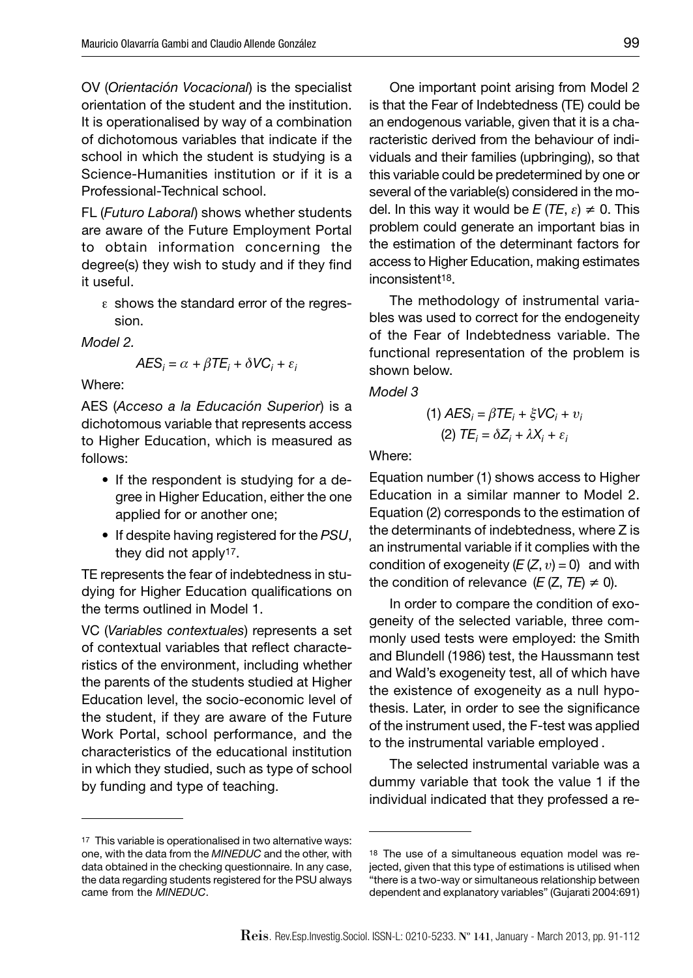OV (*Orientación Vocacional*) is the specialist orientation of the student and the institution. It is operationalised by way of a combination of dichotomous variables that indicate if the school in which the student is studying is a Science-Humanities institution or if it is a Professional-Technical school.

FL (*Futuro Laboral*) shows whether students are aware of the Future Employment Portal to obtain information concerning the degree(s) they wish to study and if they find it useful.

ε shows the standard error of the regression.

*Model 2.*

$$
AES_i = \alpha + \beta TE_i + \delta VC_i + \varepsilon_i
$$

Where:

AES (*Acceso a la Educación Superior*) is a dichotomous variable that represents access to Higher Education, which is measured as follows:

- If the respondent is studying for a degree in Higher Education, either the one applied for or another one;
- If despite having registered for the *PSU*, they did not apply17.

TE represents the fear of indebtedness in studying for Higher Education qualifications on the terms outlined in Model 1.

VC (*Variables contextuales*) represents a set of contextual variables that reflect characteristics of the environment, including whether the parents of the students studied at Higher Education level, the socio-economic level of the student, if they are aware of the Future Work Portal, school performance, and the characteristics of the educational institution in which they studied, such as type of school by funding and type of teaching.

One important point arising from Model 2 is that the Fear of Indebtedness (TE) could be an endogenous variable, given that it is a characteristic derived from the behaviour of individuals and their families (upbringing), so that this variable could be predetermined by one or several of the variable(s) considered in the model. In this way it would be  $E(TE, \varepsilon) \neq 0$ . This problem could generate an important bias in the estimation of the determinant factors for access to Higher Education, making estimates inconsistent18.

The methodology of instrumental variables was used to correct for the endogeneity of the Fear of Indebtedness variable. The functional representation of the problem is shown below.

*Model 3*

(1) 
$$
AES_i = \beta TE_i + \xi VC_i + v_i
$$
  
(2) 
$$
TE_i = \delta Z_i + \lambda X_i + \varepsilon_i
$$

Where:

Equation number (1) shows access to Higher Education in a similar manner to Model 2. Equation (2) corresponds to the estimation of the determinants of indebtedness, where Z is an instrumental variable if it complies with the condition of exogeneity  $(E(Z, v) = 0)$  and with the condition of relevance  $(E (Z, TE) \neq 0)$ .

In order to compare the condition of exogeneity of the selected variable, three commonly used tests were employed: the Smith and Blundell (1986) test, the Haussmann test and Wald's exogeneity test, all of which have the existence of exogeneity as a null hypothesis. Later, in order to see the significance of the instrument used, the F-test was applied to the instrumental variable employed .

The selected instrumental variable was a dummy variable that took the value 1 if the individual indicated that they professed a re-

<sup>17</sup> This variable is operationalised in two alternative ways: one, with the data from the *MINEDUC* and the other, with data obtained in the checking questionnaire. In any case, the data regarding students registered for the PSU always came from the *MINEDUC*.

<sup>18</sup> The use of a simultaneous equation model was rejected, given that this type of estimations is utilised when "there is a two-way or simultaneous relationship between dependent and explanatory variables" (Gujarati 2004:691)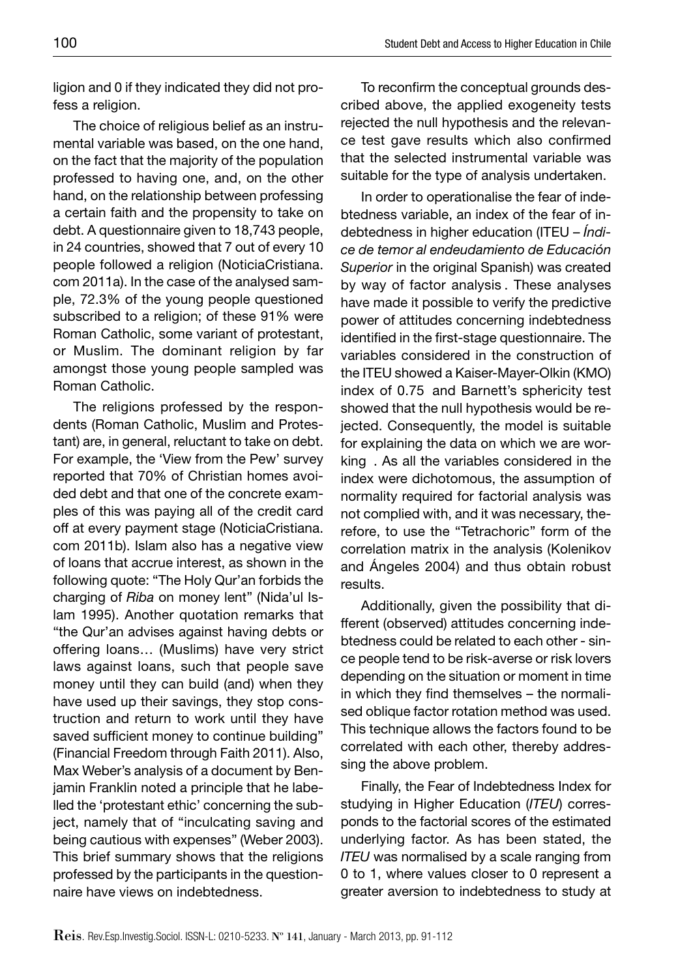ligion and 0 if they indicated they did not profess a religion.

The choice of religious belief as an instrumental variable was based, on the one hand, on the fact that the majority of the population professed to having one, and, on the other hand, on the relationship between professing a certain faith and the propensity to take on debt. A questionnaire given to 18,743 people, in 24 countries, showed that 7 out of every 10 people followed a religion (NoticiaCristiana. com 2011a). In the case of the analysed sample, 72.3% of the young people questioned subscribed to a religion; of these 91% were Roman Catholic, some variant of protestant, or Muslim. The dominant religion by far amongst those young people sampled was Roman Catholic.

The religions professed by the respondents (Roman Catholic, Muslim and Protestant) are, in general, reluctant to take on debt. For example, the 'View from the Pew' survey reported that 70% of Christian homes avoided debt and that one of the concrete examples of this was paying all of the credit card off at every payment stage (NoticiaCristiana. com 2011b). Islam also has a negative view of loans that accrue interest, as shown in the following quote: "The Holy Qur'an forbids the charging of *Riba* on money lent" (Nida'ul Islam 1995). Another quotation remarks that "the Qur'an advises against having debts or offering loans… (Muslims) have very strict laws against loans, such that people save money until they can build (and) when they have used up their savings, they stop construction and return to work until they have saved sufficient money to continue building" (Financial Freedom through Faith 2011). Also, Max Weber's analysis of a document by Benjamin Franklin noted a principle that he labelled the 'protestant ethic' concerning the subject, namely that of "inculcating saving and being cautious with expenses" (Weber 2003). This brief summary shows that the religions professed by the participants in the questionnaire have views on indebtedness.

To reconfirm the conceptual grounds described above, the applied exogeneity tests rejected the null hypothesis and the relevance test gave results which also confirmed that the selected instrumental variable was suitable for the type of analysis undertaken.

In order to operationalise the fear of indebtedness variable, an index of the fear of indebtedness in higher education (ITEU – *Índice de temor al endeudamiento de Educación Superior* in the original Spanish) was created by way of factor analysis . These analyses have made it possible to verify the predictive power of attitudes concerning indebtedness identified in the first-stage questionnaire. The variables considered in the construction of the ITEU showed a Kaiser-Mayer-Olkin (KMO) index of 0.75 and Barnett's sphericity test showed that the null hypothesis would be rejected. Consequently, the model is suitable for explaining the data on which we are working . As all the variables considered in the index were dichotomous, the assumption of normality required for factorial analysis was not complied with, and it was necessary, therefore, to use the "Tetrachoric" form of the correlation matrix in the analysis (Kolenikov and Ángeles 2004) and thus obtain robust results.

Additionally, given the possibility that different (observed) attitudes concerning indebtedness could be related to each other - since people tend to be risk-averse or risk lovers depending on the situation or moment in time in which they find themselves – the normalised oblique factor rotation method was used. This technique allows the factors found to be correlated with each other, thereby addressing the above problem.

Finally, the Fear of Indebtedness Index for studying in Higher Education (*ITEU*) corresponds to the factorial scores of the estimated underlying factor. As has been stated, the *ITEU* was normalised by a scale ranging from 0 to 1, where values closer to 0 represent a greater aversion to indebtedness to study at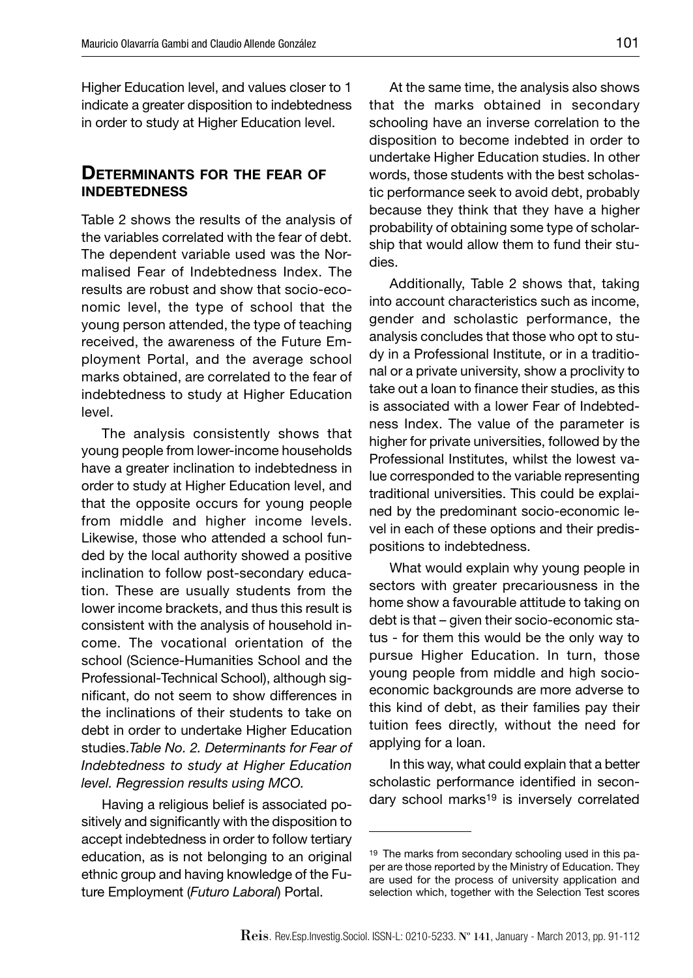Higher Education level, and values closer to 1 indicate a greater disposition to indebtedness in order to study at Higher Education level.

#### **DETERMINANTS FOR THE FEAR OF INDEBTEDNESS**

Table 2 shows the results of the analysis of the variables correlated with the fear of debt. The dependent variable used was the Normalised Fear of Indebtedness Index. The results are robust and show that socio-economic level, the type of school that the young person attended, the type of teaching received, the awareness of the Future Employment Portal, and the average school marks obtained, are correlated to the fear of indebtedness to study at Higher Education level.

The analysis consistently shows that young people from lower-income households have a greater inclination to indebtedness in order to study at Higher Education level, and that the opposite occurs for young people from middle and higher income levels. Likewise, those who attended a school funded by the local authority showed a positive inclination to follow post-secondary education. These are usually students from the lower income brackets, and thus this result is consistent with the analysis of household income. The vocational orientation of the school (Science-Humanities School and the Professional-Technical School), although significant, do not seem to show differences in the inclinations of their students to take on debt in order to undertake Higher Education studies.*Table No. 2. Determinants for Fear of Indebtedness to study at Higher Education level. Regression results using MCO.*

Having a religious belief is associated positively and significantly with the disposition to accept indebtedness in order to follow tertiary education, as is not belonging to an original ethnic group and having knowledge of the Future Employment (*Futuro Laboral*) Portal.

At the same time, the analysis also shows that the marks obtained in secondary schooling have an inverse correlation to the disposition to become indebted in order to undertake Higher Education studies. In other words, those students with the best scholastic performance seek to avoid debt, probably because they think that they have a higher probability of obtaining some type of scholarship that would allow them to fund their studies.

Additionally, Table 2 shows that, taking into account characteristics such as income, gender and scholastic performance, the analysis concludes that those who opt to study in a Professional Institute, or in a traditional or a private university, show a proclivity to take out a loan to finance their studies, as this is associated with a lower Fear of Indebtedness Index. The value of the parameter is higher for private universities, followed by the Professional Institutes, whilst the lowest value corresponded to the variable representing traditional universities. This could be explained by the predominant socio-economic level in each of these options and their predispositions to indebtedness.

What would explain why young people in sectors with greater precariousness in the home show a favourable attitude to taking on debt is that – given their socio-economic status - for them this would be the only way to pursue Higher Education. In turn, those young people from middle and high socioeconomic backgrounds are more adverse to this kind of debt, as their families pay their tuition fees directly, without the need for applying for a loan.

In this way, what could explain that a better scholastic performance identified in secondary school marks<sup>19</sup> is inversely correlated

<sup>19</sup> The marks from secondary schooling used in this paper are those reported by the Ministry of Education. They are used for the process of university application and selection which, together with the Selection Test scores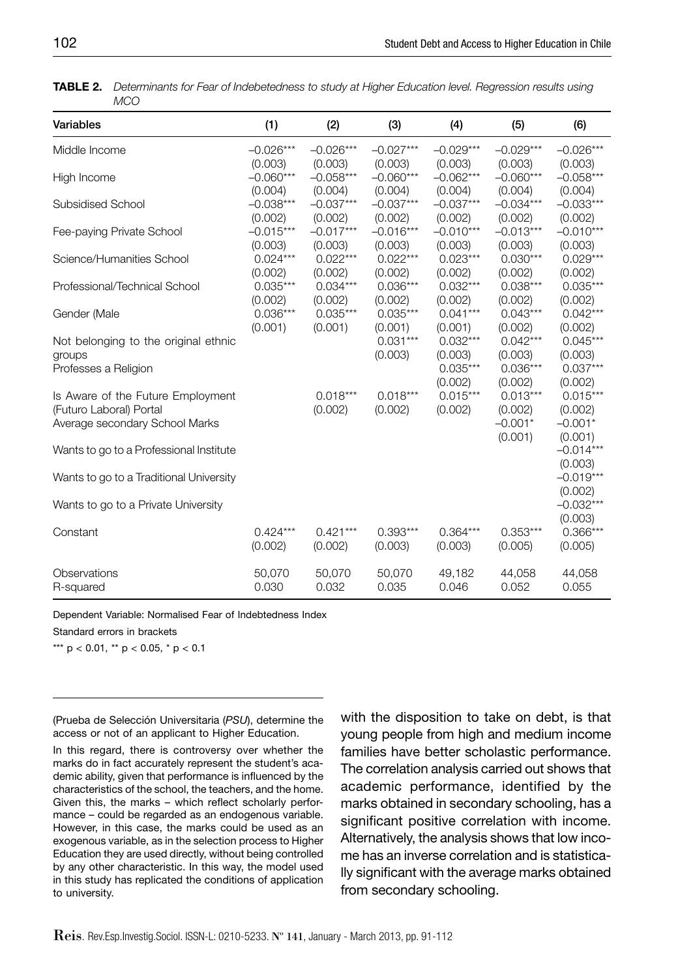| Variables                                                                                      | (1)         | (2)                   | (3)                   | (4)                                            | (5)                                            | (6)                                            |
|------------------------------------------------------------------------------------------------|-------------|-----------------------|-----------------------|------------------------------------------------|------------------------------------------------|------------------------------------------------|
| Middle Income                                                                                  | $-0.026***$ | $-0.026***$           | $-0.027***$           | $-0.029***$                                    | $-0.029***$                                    | $-0.026***$                                    |
|                                                                                                | (0.003)     | (0.003)               | (0.003)               | (0.003)                                        | (0.003)                                        | (0.003)                                        |
| High Income                                                                                    | $-0.060***$ | $-0.058***$           | $-0.060***$           | $-0.062***$                                    | $-0.060***$                                    | $-0.058***$                                    |
|                                                                                                | (0.004)     | (0.004)               | (0.004)               | (0.004)                                        | (0.004)                                        | (0.004)                                        |
| <b>Subsidised School</b>                                                                       | $-0.038***$ | $-0.037***$           | $-0.037***$           | $-0.037***$                                    | $-0.034***$                                    | $-0.033***$                                    |
|                                                                                                | (0.002)     | (0.002)               | (0.002)               | (0.002)                                        | (0.002)                                        | (0.002)                                        |
| Fee-paying Private School                                                                      | $-0.015***$ | $-0.017***$           | $-0.016***$           | $-0.010***$                                    | $-0.013***$                                    | $-0.010***$                                    |
|                                                                                                | (0.003)     | (0.003)               | (0.003)               | (0.003)                                        | (0.003)                                        | (0.003)                                        |
| Science/Humanities School                                                                      | $0.024***$  | $0.022***$            | $0.022***$            | $0.023***$                                     | $0.030***$                                     | $0.029***$                                     |
|                                                                                                | (0.002)     | (0.002)               | (0.002)               | (0.002)                                        | (0.002)                                        | (0.002)                                        |
| Professional/Technical School                                                                  | $0.035***$  | $0.034***$            | $0.036***$            | $0.032***$                                     | $0.038***$                                     | $0.035***$                                     |
|                                                                                                | (0.002)     | (0.002)               | (0.002)               | (0.002)                                        | (0.002)                                        | (0.002)                                        |
| Gender (Male                                                                                   | $0.036***$  | $0.035***$            | $0.035***$            | $0.041***$                                     | $0.043***$                                     | $0.042***$                                     |
|                                                                                                | (0.001)     | (0.001)               | (0.001)               | (0.001)                                        | (0.002)                                        | (0.002)                                        |
| Not belonging to the original ethnic<br>groups<br>Professes a Religion                         |             |                       | $0.031***$<br>(0.003) | $0.032***$<br>(0.003)<br>$0.035***$<br>(0.002) | $0.042***$<br>(0.003)<br>$0.036***$<br>(0.002) | $0.045***$<br>(0.003)<br>$0.037***$<br>(0.002) |
| Is Aware of the Future Employment<br>(Futuro Laboral) Portal<br>Average secondary School Marks |             | $0.018***$<br>(0.002) | $0.018***$<br>(0.002) | $0.015***$<br>(0.002)                          | $0.013***$<br>(0.002)<br>$-0.001*$<br>(0.001)  | $0.015***$<br>(0.002)<br>$-0.001*$<br>(0.001)  |
| Wants to go to a Professional Institute                                                        |             |                       |                       |                                                |                                                | $-0.014***$<br>(0.003)                         |
| Wants to go to a Traditional University                                                        |             |                       |                       |                                                |                                                | $-0.019***$<br>(0.002)                         |
| Wants to go to a Private University                                                            |             |                       |                       |                                                |                                                | $-0.032***$<br>(0.003)                         |
| Constant                                                                                       | $0.424***$  | $0.421***$            | $0.393***$            | $0.364***$                                     | $0.353***$                                     | $0.366***$                                     |
|                                                                                                | (0.002)     | (0.002)               | (0.003)               | (0.003)                                        | (0.005)                                        | (0.005)                                        |
| Observations                                                                                   | 50,070      | 50,070                | 50,070                | 49,182                                         | 44,058                                         | 44,058                                         |
| R-squared                                                                                      | 0.030       | 0.032                 | 0.035                 | 0.046                                          | 0.052                                          | 0.055                                          |
| Dependent Variable: Normalised Fear of Indebtedness Index                                      |             |                       |                       |                                                |                                                |                                                |
| Standard errors in brackets<br>*** $p < 0.01$ , ** $p < 0.05$ , * $p < 0.1$                    |             |                       |                       |                                                |                                                |                                                |
|                                                                                                |             |                       |                       |                                                |                                                |                                                |

**TABLE 2.** *Determinants for Fear of Indebetedness to study at Higher Education level. Regression results using MCO*

(Prueba de Selección Universitaria (*PSU*), determine the access or not of an applicant to Higher Education.

In this regard, there is controversy over whether the marks do in fact accurately represent the student's academic ability, given that performance is influenced by the characteristics of the school, the teachers, and the home. Given this, the marks – which reflect scholarly performance – could be regarded as an endogenous variable. However, in this case, the marks could be used as an exogenous variable, as in the selection process to Higher Education they are used directly, without being controlled by any other characteristic. In this way, the model used in this study has replicated the conditions of application to university.

with the disposition to take on debt, is that young people from high and medium income families have better scholastic performance. The correlation analysis carried out shows that academic performance, identified by the marks obtained in secondary schooling, has a significant positive correlation with income. Alternatively, the analysis shows that low income has an inverse correlation and is statistically significant with the average marks obtained from secondary schooling.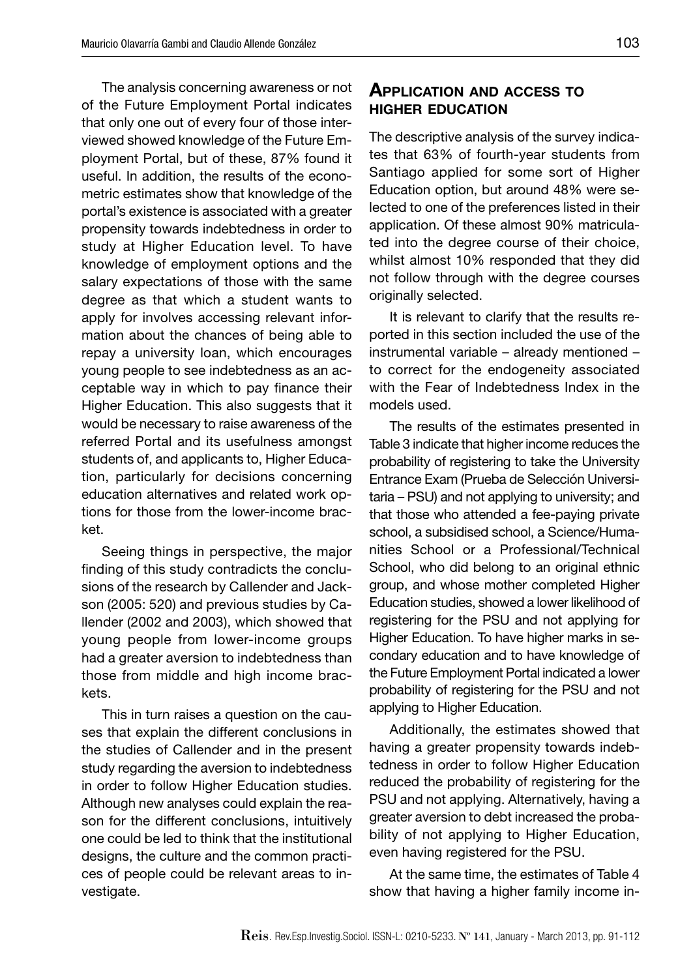The analysis concerning awareness or not of the Future Employment Portal indicates that only one out of every four of those interviewed showed knowledge of the Future Employment Portal, but of these, 87% found it useful. In addition, the results of the econometric estimates show that knowledge of the portal's existence is associated with a greater propensity towards indebtedness in order to study at Higher Education level. To have knowledge of employment options and the salary expectations of those with the same degree as that which a student wants to apply for involves accessing relevant information about the chances of being able to repay a university loan, which encourages young people to see indebtedness as an acceptable way in which to pay finance their Higher Education. This also suggests that it would be necessary to raise awareness of the referred Portal and its usefulness amongst students of, and applicants to, Higher Education, particularly for decisions concerning education alternatives and related work options for those from the lower-income bracket.

Seeing things in perspective, the major finding of this study contradicts the conclusions of the research by Callender and Jackson (2005: 520) and previous studies by Callender (2002 and 2003), which showed that young people from lower-income groups had a greater aversion to indebtedness than those from middle and high income brackets.

This in turn raises a question on the causes that explain the different conclusions in the studies of Callender and in the present study regarding the aversion to indebtedness in order to follow Higher Education studies. Although new analyses could explain the reason for the different conclusions, intuitively one could be led to think that the institutional designs, the culture and the common practices of people could be relevant areas to investigate.

#### **APPLICATION AND ACCESS TO HIGHER EDUCATION**

The descriptive analysis of the survey indicates that 63% of fourth-year students from Santiago applied for some sort of Higher Education option, but around 48% were selected to one of the preferences listed in their application. Of these almost 90% matriculated into the degree course of their choice, whilst almost 10% responded that they did not follow through with the degree courses originally selected.

It is relevant to clarify that the results reported in this section included the use of the instrumental variable – already mentioned – to correct for the endogeneity associated with the Fear of Indebtedness Index in the models used.

The results of the estimates presented in Table 3 indicate that higher income reduces the probability of registering to take the University Entrance Exam (Prueba de Selección Universitaria – PSU) and not applying to university; and that those who attended a fee-paying private school, a subsidised school, a Science/Humanities School or a Professional/Technical School, who did belong to an original ethnic group, and whose mother completed Higher Education studies, showed a lower likelihood of registering for the PSU and not applying for Higher Education. To have higher marks in secondary education and to have knowledge of the Future Employment Portal indicated a lower probability of registering for the PSU and not applying to Higher Education.

Additionally, the estimates showed that having a greater propensity towards indebtedness in order to follow Higher Education reduced the probability of registering for the PSU and not applying. Alternatively, having a greater aversion to debt increased the probability of not applying to Higher Education, even having registered for the PSU.

At the same time, the estimates of Table 4 show that having a higher family income in-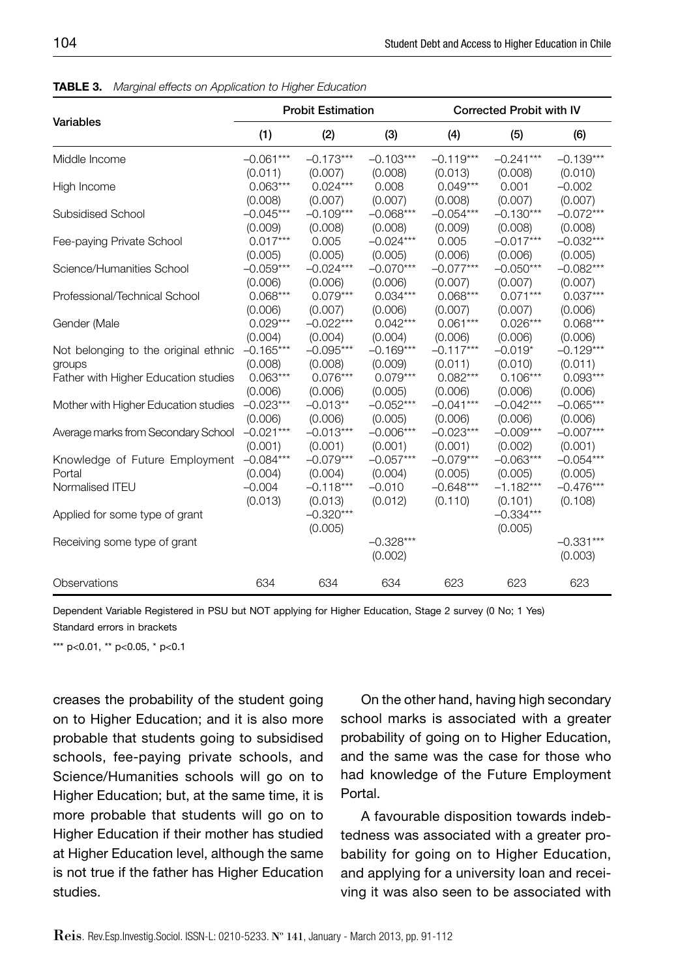|                                          | <b>Probit Estimation</b> |                        |                        | <b>Corrected Probit with IV</b> |                        |                        |
|------------------------------------------|--------------------------|------------------------|------------------------|---------------------------------|------------------------|------------------------|
| Variables                                | (1)                      | (2)                    | (3)                    | (4)                             | (5)                    | (6)                    |
| Middle Income                            | $-0.061***$              | $-0.173***$            | $-0.103***$            | $-0.119***$                     | $-0.241***$            | $-0.139***$            |
|                                          | (0.011)                  | (0.007)                | (0.008)                | (0.013)                         | (0.008)                | (0.010)                |
| High Income                              | $0.063***$               | $0.024***$             | 0.008                  | $0.049***$                      | 0.001                  | $-0.002$               |
|                                          | (0.008)                  | (0.007)                | (0.007)                | (0.008)                         | (0.007)                | (0.007)                |
| Subsidised School                        | $-0.045***$              | $-0.109***$            | $-0.068***$            | $-0.054***$                     | $-0.130***$            | $-0.072***$            |
|                                          | (0.009)                  | (0.008)                | (0.008)                | (0.009)                         | (0.008)                | (0.008)                |
| Fee-paying Private School                | $0.017***$               | 0.005                  | $-0.024***$            | 0.005                           | $-0.017***$            | $-0.032***$            |
|                                          | (0.005)                  | (0.005)                | (0.005)                | (0.006)                         | (0.006)                | (0.005)                |
| Science/Humanities School                | $-0.059***$              | $-0.024***$            | $-0.070***$            | $-0.077***$                     | $-0.050***$            | $-0.082***$            |
|                                          | (0.006)                  | (0.006)                | (0.006)                | (0.007)                         | (0.007)                | (0.007)                |
| Professional/Technical School            | $0.068***$               | $0.079***$             | $0.034***$             | $0.068***$                      | $0.071***$             | $0.037***$             |
|                                          | (0.006)                  | (0.007)                | (0.006)                | (0.007)                         | (0.007)                | (0.006)                |
| Gender (Male                             | $0.029***$               | $-0.022***$            | $0.042***$             | $0.061***$                      | $0.026***$             | $0.068***$             |
|                                          | (0.004)                  | (0.004)                | (0.004)                | (0.006)                         | (0.006)                | (0.006)                |
| Not belonging to the original ethnic     | $-0.165***$              | $-0.095***$            | $-0.169***$            | $-0.117***$                     | $-0.019*$              | $-0.129***$            |
| groups                                   | (0.008)                  | (0.008)                | (0.009)                | (0.011)                         | (0.010)                | (0.011)                |
| Father with Higher Education studies     | $0.063***$               | $0.076***$             | $0.079***$             | $0.082***$                      | $0.106***$             | $0.093***$             |
|                                          | (0.006)                  | (0.006)                | (0.005)                | (0.006)                         | (0.006)                | (0.006)                |
| Mother with Higher Education studies     | $-0.023***$              | $-0.013**$             | $-0.052***$            | $-0.041***$                     | $-0.042***$            | $-0.065***$            |
|                                          | (0.006)                  | (0.006)                | (0.005)                | (0.006)                         | (0.006)                | (0.006)                |
| Average marks from Secondary School      | $-0.021***$              | $-0.013***$            | $-0.006***$            | $-0.023***$                     | $-0.009***$            | $-0.007***$            |
|                                          | (0.001)                  | (0.001)                | (0.001)                | (0.001)                         | (0.002)                | (0.001)                |
| Knowledge of Future Employment -0.084*** | (0.004)                  | $-0.079***$            | $-0.057***$            | $-0.079***$                     | $-0.063***$            | $-0.054***$            |
| Portal                                   |                          | (0.004)                | (0.004)                | (0.005)                         | (0.005)                | (0.005)                |
| Normalised ITEU                          | $-0.004$                 | $-0.118***$            | $-0.010$               | $-0.648***$                     | $-1.182***$            | $-0.476***$            |
|                                          | (0.013)                  | (0.013)                | (0.012)                | (0.110)                         | (0.101)                | (0.108)                |
| Applied for some type of grant           |                          | $-0.320***$<br>(0.005) |                        |                                 | $-0.334***$<br>(0.005) |                        |
| Receiving some type of grant             |                          |                        | $-0.328***$<br>(0.002) |                                 |                        | $-0.331***$<br>(0.003) |
| Observations                             | 634                      | 634                    | 634                    | 623                             | 623                    | 623                    |

**TABLE 3.** *Marginal effects on Application to Higher Education*

Dependent Variable Registered in PSU but NOT applying for Higher Education, Stage 2 survey (0 No; 1 Yes) Standard errors in brackets

\*\*\* p<0.01, \*\* p<0.05, \* p<0.1

creases the probability of the student going on to Higher Education; and it is also more probable that students going to subsidised schools, fee-paying private schools, and Science/Humanities schools will go on to Higher Education; but, at the same time, it is more probable that students will go on to Higher Education if their mother has studied at Higher Education level, although the same is not true if the father has Higher Education studies.

On the other hand, having high secondary school marks is associated with a greater probability of going on to Higher Education, and the same was the case for those who had knowledge of the Future Employment Portal.

A favourable disposition towards indebtedness was associated with a greater probability for going on to Higher Education, and applying for a university loan and receiving it was also seen to be associated with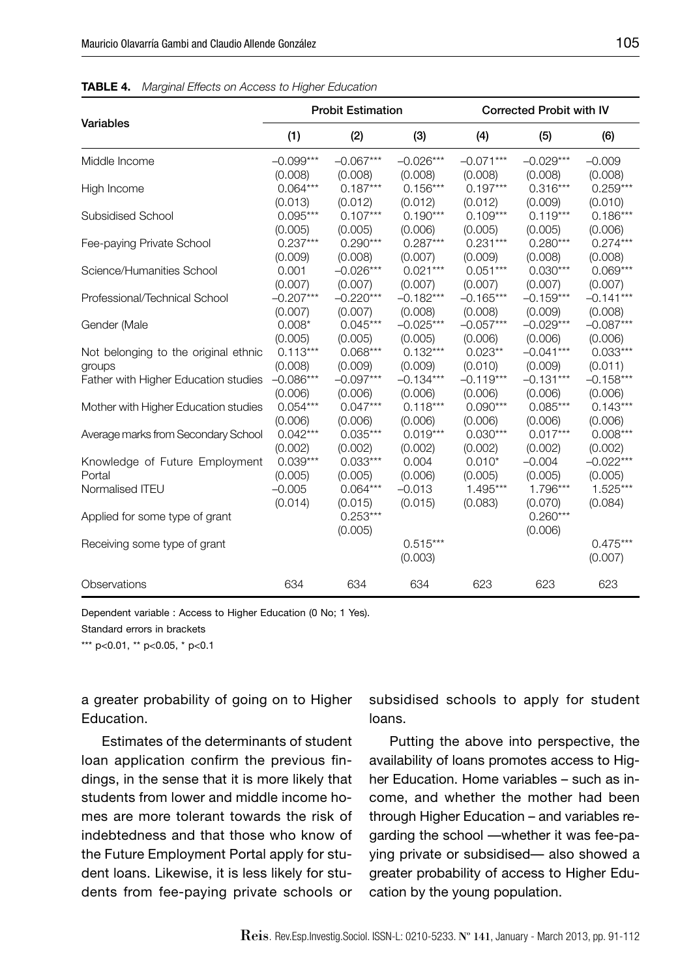|                                      |             | <b>Probit Estimation</b> |                       | <b>Corrected Probit with IV</b> |                       |                       |  |
|--------------------------------------|-------------|--------------------------|-----------------------|---------------------------------|-----------------------|-----------------------|--|
| Variables                            | (1)         | (2)                      | (3)                   | (4)                             | (5)                   | (6)                   |  |
| Middle Income                        | $-0.099***$ | $-0.067***$              | $-0.026***$           | $-0.071***$                     | $-0.029***$           | $-0.009$              |  |
|                                      | (0.008)     | (0.008)                  | (0.008)               | (0.008)                         | (0.008)               | (0.008)               |  |
| High Income                          | $0.064***$  | $0.187***$               | $0.156***$            | $0.197***$                      | $0.316***$            | $0.259***$            |  |
|                                      | (0.013)     | (0.012)                  | (0.012)               | (0.012)                         | (0.009)               | (0.010)               |  |
| Subsidised School                    | $0.095***$  | $0.107***$               | $0.190***$            | $0.109***$                      | $0.119***$            | $0.186***$            |  |
|                                      | (0.005)     | (0.005)                  | (0.006)               | (0.005)                         | (0.005)               | (0.006)               |  |
| Fee-paying Private School            | $0.237***$  | $0.290***$               | $0.287***$            | $0.231***$                      | $0.280***$            | $0.274***$            |  |
|                                      | (0.009)     | (0.008)                  | (0.007)               | (0.009)                         | (0.008)               | (0.008)               |  |
| Science/Humanities School            | 0.001       | $-0.026***$              | $0.021***$            | $0.051***$                      | $0.030***$            | $0.069***$            |  |
|                                      | (0.007)     | (0.007)                  | (0.007)               | (0.007)                         | (0.007)               | (0.007)               |  |
| Professional/Technical School        | $-0.207***$ | $-0.220***$              | $-0.182***$           | $-0.165***$                     | $-0.159***$           | $-0.141***$           |  |
|                                      | (0.007)     | (0.007)                  | (0.008)               | (0.008)                         | (0.009)               | (0.008)               |  |
| Gender (Male                         | $0.008*$    | $0.045***$               | $-0.025***$           | $-0.057***$                     | $-0.029***$           | $-0.087***$           |  |
|                                      | (0.005)     | (0.005)                  | (0.005)               | (0.006)                         | (0.006)               | (0.006)               |  |
| Not belonging to the original ethnic | $0.113***$  | $0.068***$               | $0.132***$            | $0.023**$                       | $-0.041***$           | $0.033***$            |  |
| groups                               | (0.008)     | (0.009)                  | (0.009)               | (0.010)                         | (0.009)               | (0.011)               |  |
| Father with Higher Education studies | $-0.086***$ | $-0.097***$              | $-0.134***$           | $-0.119***$                     | $-0.131***$           | $-0.158***$           |  |
|                                      | (0.006)     | (0.006)                  | (0.006)               | (0.006)                         | (0.006)               | (0.006)               |  |
| Mother with Higher Education studies | $0.054***$  | $0.047***$               | $0.118***$            | $0.090***$                      | $0.085***$            | $0.143***$            |  |
|                                      | (0.006)     | (0.006)                  | (0.006)               | (0.006)                         | (0.006)               | (0.006)               |  |
| Average marks from Secondary School  | $0.042***$  | $0.035***$               | $0.019***$            | $0.030***$                      | $0.017***$            | $0.008***$            |  |
|                                      | (0.002)     | (0.002)                  | (0.002)               | (0.002)                         | (0.002)               | (0.002)               |  |
| Knowledge of Future Employment       | $0.039***$  | $0.033***$               | 0.004                 | $0.010*$                        | $-0.004$              | $-0.022***$           |  |
| Portal                               | (0.005)     | (0.005)                  | (0.006)               | (0.005)                         | (0.005)               | (0.005)               |  |
| Normalised ITEU                      | $-0.005$    | $0.064***$               | $-0.013$              | $1.495***$                      | $1.796***$            | $1.525***$            |  |
|                                      | (0.014)     | (0.015)                  | (0.015)               | (0.083)                         | (0.070)               | (0.084)               |  |
| Applied for some type of grant       |             | $0.253***$<br>(0.005)    |                       |                                 | $0.260***$<br>(0.006) |                       |  |
| Receiving some type of grant         |             |                          | $0.515***$<br>(0.003) |                                 |                       | $0.475***$<br>(0.007) |  |
| Observations                         | 634         | 634                      | 634                   | 623                             | 623                   | 623                   |  |

|  |  | <b>TABLE 4.</b> Marginal Effects on Access to Higher Education |
|--|--|----------------------------------------------------------------|
|--|--|----------------------------------------------------------------|

Dependent variable : Access to Higher Education (0 No; 1 Yes).

Standard errors in brackets

\*\*\* p<0.01, \*\* p<0.05, \* p<0.1

a greater probability of going on to Higher Education.

Estimates of the determinants of student loan application confirm the previous findings, in the sense that it is more likely that students from lower and middle income homes are more tolerant towards the risk of indebtedness and that those who know of the Future Employment Portal apply for student loans. Likewise, it is less likely for students from fee-paying private schools or

subsidised schools to apply for student loans.

Putting the above into perspective, the availability of loans promotes access to Higher Education. Home variables – such as income, and whether the mother had been through Higher Education – and variables regarding the school —whether it was fee-paying private or subsidised— also showed a greater probability of access to Higher Education by the young population.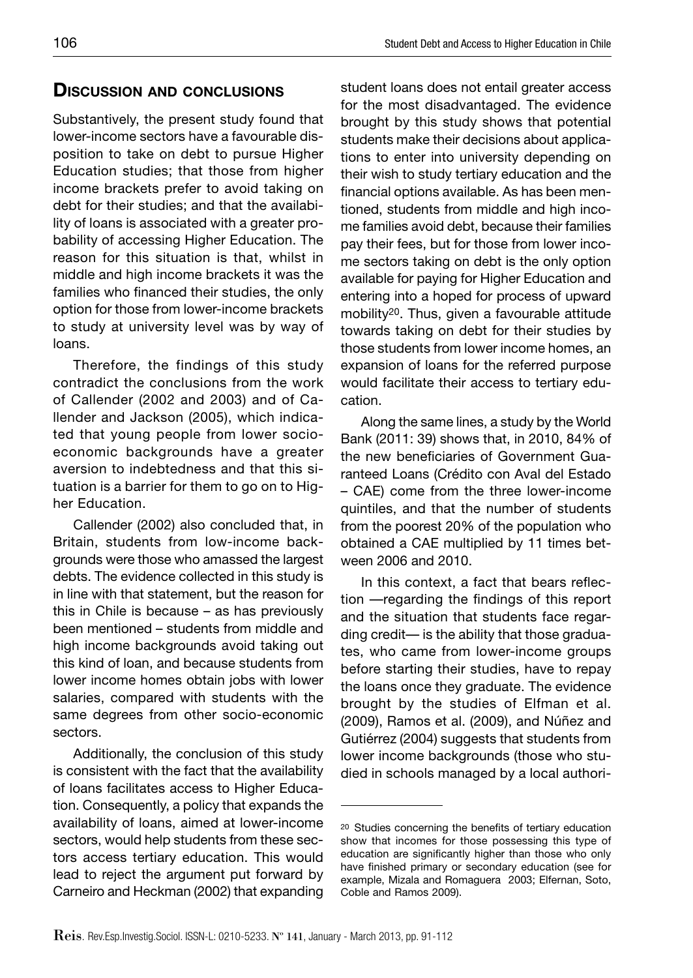## **DISCUSSION AND CONCLUSIONS**

Substantively, the present study found that lower-income sectors have a favourable disposition to take on debt to pursue Higher Education studies; that those from higher income brackets prefer to avoid taking on debt for their studies; and that the availability of loans is associated with a greater probability of accessing Higher Education. The reason for this situation is that, whilst in middle and high income brackets it was the families who financed their studies, the only option for those from lower-income brackets to study at university level was by way of loans.

Therefore, the findings of this study contradict the conclusions from the work of Callender (2002 and 2003) and of Callender and Jackson (2005), which indicated that young people from lower socioeconomic backgrounds have a greater aversion to indebtedness and that this situation is a barrier for them to go on to Higher Education.

Callender (2002) also concluded that, in Britain, students from low-income backgrounds were those who amassed the largest debts. The evidence collected in this study is in line with that statement, but the reason for this in Chile is because – as has previously been mentioned – students from middle and high income backgrounds avoid taking out this kind of loan, and because students from lower income homes obtain jobs with lower salaries, compared with students with the same degrees from other socio-economic sectors.

Additionally, the conclusion of this study is consistent with the fact that the availability of loans facilitates access to Higher Education. Consequently, a policy that expands the availability of loans, aimed at lower-income sectors, would help students from these sectors access tertiary education. This would lead to reject the argument put forward by Carneiro and Heckman (2002) that expanding

student loans does not entail greater access for the most disadvantaged. The evidence brought by this study shows that potential students make their decisions about applications to enter into university depending on their wish to study tertiary education and the financial options available. As has been mentioned, students from middle and high income families avoid debt, because their families pay their fees, but for those from lower income sectors taking on debt is the only option available for paying for Higher Education and entering into a hoped for process of upward mobility20. Thus, given a favourable attitude towards taking on debt for their studies by those students from lower income homes, an expansion of loans for the referred purpose would facilitate their access to tertiary education.

Along the same lines, a study by the World Bank (2011: 39) shows that, in 2010, 84% of the new beneficiaries of Government Guaranteed Loans (Crédito con Aval del Estado – CAE) come from the three lower-income quintiles, and that the number of students from the poorest 20% of the population who obtained a CAE multiplied by 11 times between 2006 and 2010.

In this context, a fact that bears reflection —regarding the findings of this report and the situation that students face regarding credit— is the ability that those graduates, who came from lower-income groups before starting their studies, have to repay the loans once they graduate. The evidence brought by the studies of Elfman et al. (2009), Ramos et al. (2009), and Núñez and Gutiérrez (2004) suggests that students from lower income backgrounds (those who studied in schools managed by a local authori-

<sup>&</sup>lt;sup>20</sup> Studies concerning the benefits of tertiary education show that incomes for those possessing this type of education are significantly higher than those who only have finished primary or secondary education (see for example, Mizala and Romaguera 2003; Elfernan, Soto, Coble and Ramos 2009).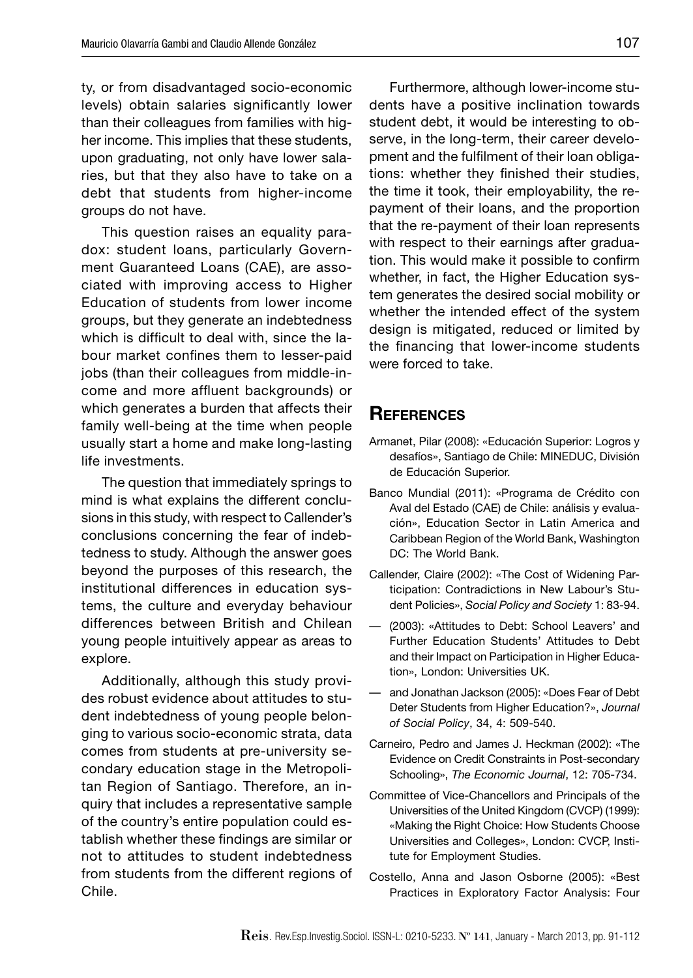ty, or from disadvantaged socio-economic levels) obtain salaries significantly lower than their colleagues from families with higher income. This implies that these students, upon graduating, not only have lower salaries, but that they also have to take on a debt that students from higher-income groups do not have.

This question raises an equality paradox: student loans, particularly Government Guaranteed Loans (CAE), are associated with improving access to Higher Education of students from lower income groups, but they generate an indebtedness which is difficult to deal with, since the labour market confines them to lesser-paid jobs (than their colleagues from middle-income and more affluent backgrounds) or which generates a burden that affects their family well-being at the time when people usually start a home and make long-lasting life investments.

The question that immediately springs to mind is what explains the different conclusions in this study, with respect to Callender's conclusions concerning the fear of indebtedness to study. Although the answer goes beyond the purposes of this research, the institutional differences in education systems, the culture and everyday behaviour differences between British and Chilean young people intuitively appear as areas to explore.

Additionally, although this study provides robust evidence about attitudes to student indebtedness of young people belonging to various socio-economic strata, data comes from students at pre-university secondary education stage in the Metropolitan Region of Santiago. Therefore, an inquiry that includes a representative sample of the country's entire population could establish whether these findings are similar or not to attitudes to student indebtedness from students from the different regions of Chile.

Furthermore, although lower-income students have a positive inclination towards student debt, it would be interesting to observe, in the long-term, their career development and the fulfilment of their loan obligations: whether they finished their studies, the time it took, their employability, the repayment of their loans, and the proportion that the re-payment of their loan represents with respect to their earnings after graduation. This would make it possible to confirm whether, in fact, the Higher Education system generates the desired social mobility or whether the intended effect of the system design is mitigated, reduced or limited by the financing that lower-income students were forced to take.

#### **REFERENCES**

- Armanet, Pilar (2008): «Educación Superior: Logros y desafíos», Santiago de Chile: MINEDUC, División de Educación Superior.
- Banco Mundial (2011): «Programa de Crédito con Aval del Estado (CAE) de Chile: análisis y evaluación», Education Sector in Latin America and Caribbean Region of the World Bank, Washington DC: The World Bank.
- Callender, Claire (2002): «The Cost of Widening Participation: Contradictions in New Labour's Student Policies», *Social Policy and Society* 1: 83-94.
- (2003): «Attitudes to Debt: School Leavers' and Further Education Students' Attitudes to Debt and their Impact on Participation in Higher Education», London: Universities UK.
- and Jonathan Jackson (2005): «Does Fear of Debt Deter Students from Higher Education?», *Journal of Social Policy*, 34, 4: 509-540.
- Carneiro, Pedro and James J. Heckman (2002): «The Evidence on Credit Constraints in Post-secondary Schooling», *The Economic Journal*, 12: 705-734.
- Committee of Vice-Chancellors and Principals of the Universities of the United Kingdom (CVCP) (1999): «Making the Right Choice: How Students Choose Universities and Colleges», London: CVCP, Institute for Employment Studies.
- Costello, Anna and Jason Osborne (2005): «Best Practices in Exploratory Factor Analysis: Four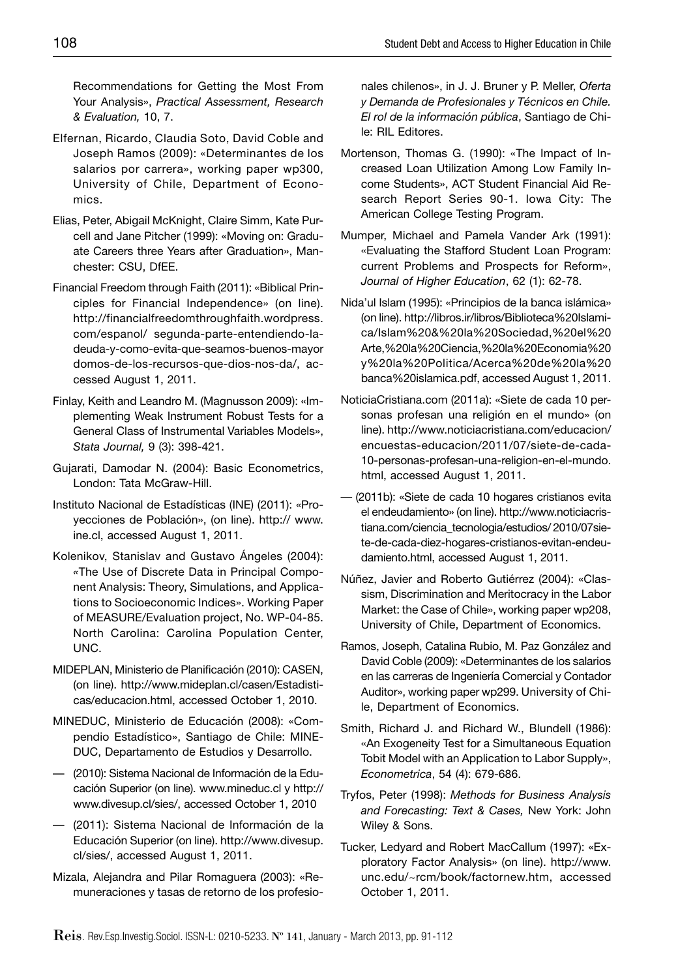Recommendations for Getting the Most From Your Analysis», *Practical Assessment, Research & Evaluation,* 10, 7.

- Elfernan, Ricardo, Claudia Soto, David Coble and Joseph Ramos (2009): «Determinantes de los salarios por carrera», working paper wp300. University of Chile, Department of Economics.
- Elias, Peter, Abigail McKnight, Claire Simm, Kate Purcell and Jane Pitcher (1999): «Moving on: Graduate Careers three Years after Graduation», Manchester: CSU, DfEE.
- Financial Freedom through Faith (2011): «Biblical Principles for Financial Independence» (on line). http://financialfreedomthroughfaith.wordpress. com/espanol/ segunda-parte-entendiendo-ladeuda-y-como-evita-que-seamos-buenos-mayor domos-de-los-recursos-que-dios-nos-da/, accessed August 1, 2011.
- Finlay, Keith and Leandro M. (Magnusson 2009): «Implementing Weak Instrument Robust Tests for a General Class of Instrumental Variables Models», *Stata Journal,* 9 (3): 398-421.
- Gujarati, Damodar N. (2004): Basic Econometrics, London: Tata McGraw-Hill.
- Instituto Nacional de Estadísticas (INE) (2011): «Proyecciones de Población», (on line). http:// www. ine.cl, accessed August 1, 2011.
- Kolenikov, Stanislav and Gustavo Ángeles (2004): *«*The Use of Discrete Data in Principal Component Analysis: Theory, Simulations, and Applications to Socioeconomic Indices». Working Paper of MEASURE/Evaluation project, No. WP-04-85. North Carolina: Carolina Population Center, UNC.
- MIDEPLAN, Ministerio de Planificación (2010): CASEN, (on line). http://www.mideplan.cl/casen/Estadisticas/educacion.html, accessed October 1, 2010.
- MINEDUC, Ministerio de Educación (2008): «Compendio Estadístico», Santiago de Chile: MINE-DUC, Departamento de Estudios y Desarrollo.
- (2010): Sistema Nacional de Información de la Educación Superior (on line). www.mineduc.cl y http:// www.divesup.cl/sies/, accessed October 1, 2010
- (2011): Sistema Nacional de Información de la Educación Superior (on line). http://www.divesup. cl/sies/, accessed August 1, 2011.
- Mizala, Alejandra and Pilar Romaguera (2003): «Remuneraciones y tasas de retorno de los profesio-

nales chilenos», in J. J. Bruner y P. Meller, *Oferta y Demanda de Profesionales y Técnicos en Chile. El rol de la información pública*, Santiago de Chile: RIL Editores.

- Mortenson, Thomas G. (1990): «The Impact of Increased Loan Utilization Among Low Family Income Students», ACT Student Financial Aid Research Report Series 90-1. Iowa City: The American College Testing Program.
- Mumper, Michael and Pamela Vander Ark (1991): «Evaluating the Stafford Student Loan Program: current Problems and Prospects for Reform», *Journal of Higher Education*, 62 (1): 62-78.
- Nida'ul Islam (1995): «Principios de la banca islámica» (on line). http://libros.ir/libros/Biblioteca%20Islamica/Islam%20&%20la%20Sociedad,%20el%20 Arte,%20la%20Ciencia,%20la%20Economia%20 y%20la%20Politica/Acerca%20de%20la%20 banca%20islamica.pdf, accessed August 1, 2011.
- NoticiaCristiana.com (2011a): «Siete de cada 10 personas profesan una religión en el mundo» (on line). http://www.noticiacristiana.com/educacion/ encuestas-educacion/2011/07/siete-de-cada-10-personas-profesan-una-religion-en-el-mundo. html, accessed August 1, 2011.
- (2011b): «Siete de cada 10 hogares cristianos evita el endeudamiento» (on line). http://www.noticiacristiana.com/ciencia\_tecnologia/estudios/ 2010/07siete-de-cada-diez-hogares-cristianos-evitan-endeudamiento.html, accessed August 1, 2011.
- Núñez, Javier and Roberto Gutiérrez (2004): «Classism, Discrimination and Meritocracy in the Labor Market: the Case of Chile», working paper wp208, University of Chile, Department of Economics.
- Ramos, Joseph, Catalina Rubio, M. Paz González and David Coble (2009): «Determinantes de los salarios en las carreras de Ingeniería Comercial y Contador Auditor», working paper wp299. University of Chile, Department of Economics.
- Smith, Richard J. and Richard W., Blundell (1986): «An Exogeneity Test for a Simultaneous Equation Tobit Model with an Application to Labor Supply», *Econometrica*, 54 (4): 679-686.
- Tryfos, Peter (1998): *Methods for Business Analysis and Forecasting: Text & Cases,* New York: John Wiley & Sons.
- Tucker, Ledyard and Robert MacCallum (1997): «Exploratory Factor Analysis» (on line). http://www. unc.edu/~rcm/book/factornew.htm, accessed October 1, 2011.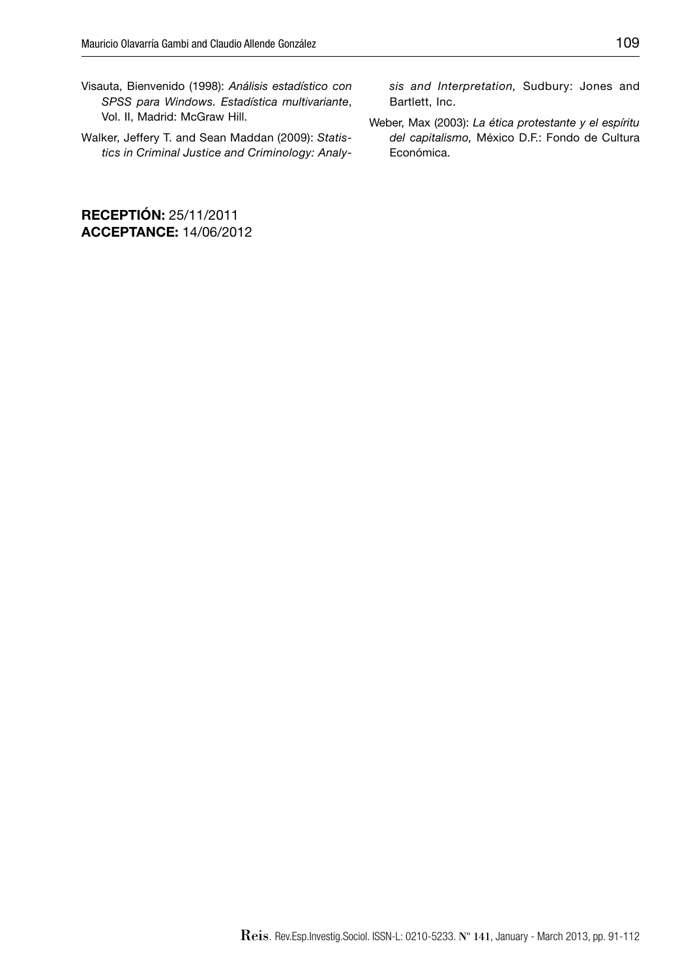- Visauta, Bienvenido (1998): *Análisis estadístico con SPSS para Windows. Estadística multivariante*, Vol. II, Madrid: McGraw Hill.
- Walker, Jeffery T. and Sean Maddan (2009): *Statistics in Criminal Justice and Criminology: Analy-*

**RECEPTIÓN:** 25/11/2011 **ACCEPTANCE:** 14/06/2012 *sis and Interpretation,* Sudbury: Jones and Bartlett, Inc.

Weber, Max (2003): *La ética protestante y el espíritu del capitalismo,* México D.F.: Fondo de Cultura Económica.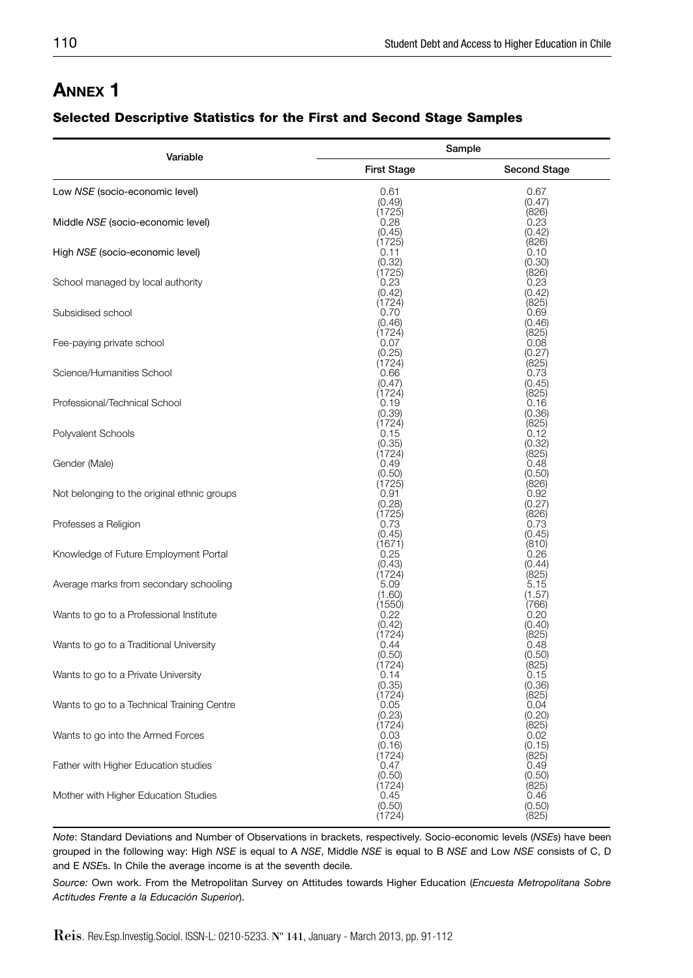## **ANNEX 1**

#### **Selected Descriptive Statistics for the First and Second Stage Samples**

|                                             | Sample                             |                                  |  |  |  |
|---------------------------------------------|------------------------------------|----------------------------------|--|--|--|
| Variable                                    | <b>First Stage</b>                 | Second Stage                     |  |  |  |
| Low NSE (socio-economic level)              | 0.61<br>(0.49)                     | 0.67<br>(0.47)                   |  |  |  |
| Middle NSE (socio-economic level)           | (1725)<br>0.28<br>(0.45)           | (826)<br>0.23<br>(0.42)          |  |  |  |
| High NSE (socio-economic level)             | (1725)<br>0.11<br>(0.32)           | (826)<br>0.10<br>(0.30)          |  |  |  |
| School managed by local authority           | (1725)<br>0.23<br>(0.42)           | (826)<br>0.23<br>(0.42)          |  |  |  |
| Subsidised school                           | (1724)<br>0.70<br>(0.46)<br>(1724) | (825)<br>0.69<br>(0.46)          |  |  |  |
| Fee-paying private school                   | 0.07<br>(0.25)                     | (825)<br>0.08<br>(0.27)          |  |  |  |
| Science/Humanities School                   | (1724)<br>0.66<br>(0.47)<br>(1724) | (825)<br>0.73<br>(0.45)<br>(825) |  |  |  |
| Professional/Technical School               | 0.19<br>(0.39)<br>(1724)           | 0.16<br>(0.36)<br>(825)          |  |  |  |
| Polyvalent Schools                          | 0.15<br>(0.35)<br>(1724)           | 0.12<br>(0.32)<br>(825)          |  |  |  |
| Gender (Male)                               | 0.49<br>(0.50)<br>(1725)           | 0.48<br>(0.50)<br>(826)          |  |  |  |
| Not belonging to the original ethnic groups | 0.91<br>(0.28)<br>(1725)           | 0.92<br>(0.27)<br>(826)          |  |  |  |
| Professes a Religion                        | 0.73<br>(0.45)<br>(1671)           | 0.73<br>(0.45)<br>(810)          |  |  |  |
| Knowledge of Future Employment Portal       | 0.25<br>(0.43)<br>(1724)           | 0.26<br>(0.44)<br>(825)          |  |  |  |
| Average marks from secondary schooling      | 5.09<br>(1.60)<br>(1550)           | 5.15<br>(1.57)<br>(766)          |  |  |  |
| Wants to go to a Professional Institute     | 0.22<br>(0.42)<br>(1724)           | 0.20<br>(0.40)<br>(825)          |  |  |  |
| Wants to go to a Traditional University     | 0.44<br>(0.50)<br>(1724)           | 0.48<br>(0.50)<br>(825)          |  |  |  |
| Wants to go to a Private University         | 0.14<br>(0.35)                     | 0.15<br>(0.36)                   |  |  |  |
| Wants to go to a Technical Training Centre  | (1724)<br>0.05<br>(0.23)           | (825)<br>0.04<br>(0.20)          |  |  |  |
| Wants to go into the Armed Forces           | (1724)<br>0.03<br>(0.16)           | (825)<br>0.02<br>(0.15)          |  |  |  |
| Father with Higher Education studies        | (1724)<br>0.47<br>(0.50)           | (825)<br>0.49<br>(0.50)          |  |  |  |
| Mother with Higher Education Studies        | (1724)<br>0.45<br>(0.50)<br>(1724) | (825)<br>0.46<br>(0.50)<br>(825) |  |  |  |

*Note*: Standard Deviations and Number of Observations in brackets, respectively. Socio-economic levels (*NSEs*) have been grouped in the following way: High *NSE* is equal to A *NSE*, Middle *NSE* is equal to B *NSE* and Low *NSE* consists of C, D and E *NSE*s. In Chile the average income is at the seventh decile.

*Source:* Own work. From the Metropolitan Survey on Attitudes towards Higher Education (*Encuesta Metropolitana Sobre Actitudes Frente a la Educación Superior*).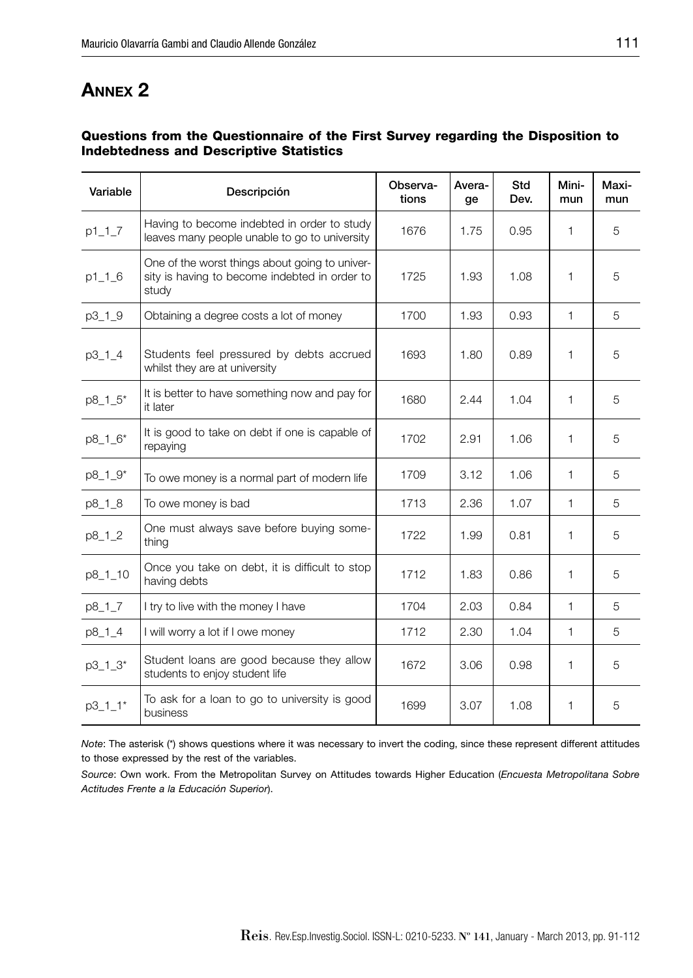## **ANNEX 2**

#### **Questions from the Questionnaire of the First Survey regarding the Disposition to Indebtedness and Descriptive Statistics**

| Variable             | Descripción                                                                                              | Observa-<br>tions | Avera-<br>ge | Std<br>Dev. | Mini-<br>mun | Maxi-<br>mun |
|----------------------|----------------------------------------------------------------------------------------------------------|-------------------|--------------|-------------|--------------|--------------|
| $p1_1$ <sub>-7</sub> | Having to become indebted in order to study<br>leaves many people unable to go to university             | 1676              | 1.75         | 0.95        | 1            | 5            |
| $p1_1_6$             | One of the worst things about going to univer-<br>sity is having to become indebted in order to<br>study | 1725              | 1.93         | 1.08        | 1            | 5            |
| $p3_{19}$            | Obtaining a degree costs a lot of money                                                                  | 1700              | 1.93         | 0.93        | 1            | 5            |
| $p3_1$ -4            | Students feel pressured by debts accrued<br>whilst they are at university                                | 1693              | 1.80         | 0.89        | 1            | 5            |
| $p8_{-}1_{-}5*$      | It is better to have something now and pay for<br>it later                                               | 1680              | 2.44         | 1.04        | 1            | 5            |
| $p8_{-}1_{-}6*$      | It is good to take on debt if one is capable of<br>repaying                                              | 1702              | 2.91         | 1.06        | 1            | 5            |
| $p8_{-}1_{-}9*$      | To owe money is a normal part of modern life                                                             | 1709              | 3.12         | 1.06        | 1            | 5            |
| p8_1_8               | To owe money is bad                                                                                      | 1713              | 2.36         | 1.07        | 1            | 5            |
| p8_1_2               | One must always save before buying some-<br>thing                                                        | 1722              | 1.99         | 0.81        | 1            | 5            |
| p8_1_10              | Once you take on debt, it is difficult to stop<br>having debts                                           | 1712              | 1.83         | 0.86        | 1            | 5            |
| p8_1_7               | I try to live with the money I have                                                                      | 1704              | 2.03         | 0.84        | $\mathbf{1}$ | 5            |
| p8_1_4               | I will worry a lot if I owe money                                                                        | 1712              | 2.30         | 1.04        | 1            | 5            |
| $p3_{1.3*}$          | Student loans are good because they allow<br>students to enjoy student life                              | 1672              | 3.06         | 0.98        | 1            | 5            |
| $p3_{-}1_{-}1^{*}$   | To ask for a loan to go to university is good<br>business                                                | 1699              | 3.07         | 1.08        | 1            | 5            |

*Note*: The asterisk (\*) shows questions where it was necessary to invert the coding, since these represent different attitudes to those expressed by the rest of the variables.

*Source*: Own work. From the Metropolitan Survey on Attitudes towards Higher Education (*Encuesta Metropolitana Sobre Actitudes Frente a la Educación Superior*).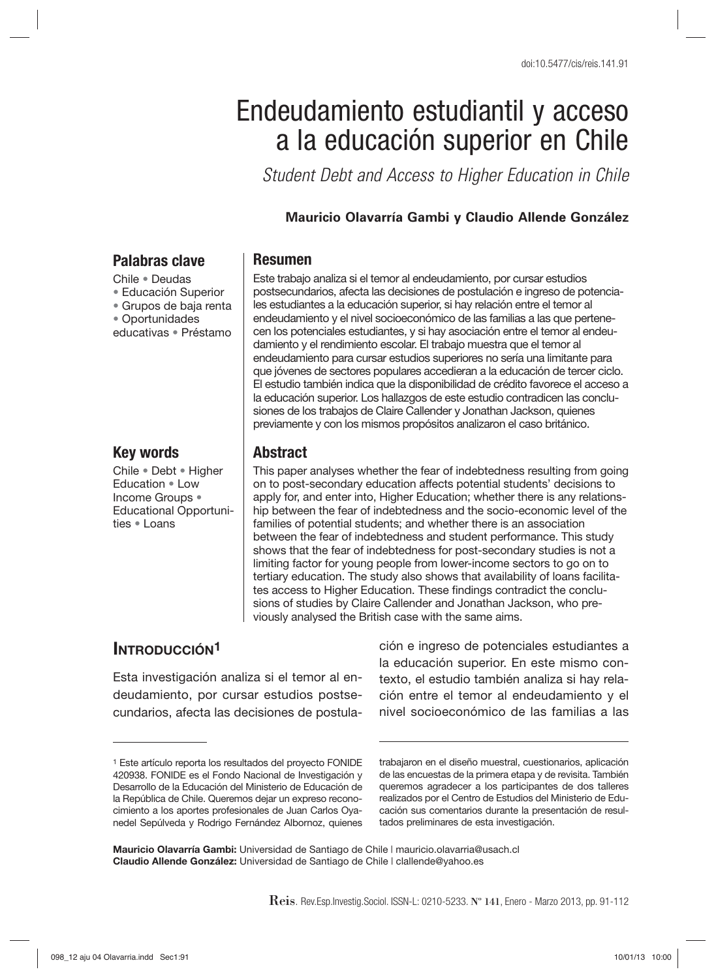# Endeudamiento estudiantil y acceso a la educación superior en Chile

*Student Debt and Access to Higher Education in Chile*

#### **Mauricio Olavarría Gambi y Claudio Allende González**

#### **Palabras clave**

- Chile Deudas • Educación Superior • Grupos de baja renta • Oportunidades
- educativas Préstamo

### **Key words**

Chile • Debt • Higher Education • Low Income Groups • Educational Opportunities • Loans

#### **Resumen**

Este trabajo analiza si el temor al endeudamiento, por cursar estudios postsecundarios, afecta las decisiones de postulación e ingreso de potenciales estudiantes a la educación superior, si hay relación entre el temor al endeudamiento y el nivel socioeconómico de las familias a las que pertenecen los potenciales estudiantes, y si hay asociación entre el temor al endeudamiento y el rendimiento escolar. El trabajo muestra que el temor al endeudamiento para cursar estudios superiores no sería una limitante para que jóvenes de sectores populares accedieran a la educación de tercer ciclo. El estudio también indica que la disponibilidad de crédito favorece el acceso a la educación superior. Los hallazgos de este estudio contradicen las conclusiones de los trabajos de Claire Callender y Jonathan Jackson, quienes previamente y con los mismos propósitos analizaron el caso británico.

#### **Abstract**

This paper analyses whether the fear of indebtedness resulting from going on to post-secondary education affects potential students' decisions to apply for, and enter into, Higher Education; whether there is any relationship between the fear of indebtedness and the socio-economic level of the families of potential students; and whether there is an association between the fear of indebtedness and student performance. This study shows that the fear of indebtedness for post-secondary studies is not a limiting factor for young people from lower-income sectors to go on to tertiary education. The study also shows that availability of loans facilitates access to Higher Education. These findings contradict the conclusions of studies by Claire Callender and Jonathan Jackson, who previously analysed the British case with the same aims.

## **INTRODUCCIÓN1**

Esta investigación analiza si el temor al endeudamiento, por cursar estudios postsecundarios, afecta las decisiones de postulación e ingreso de potenciales estudiantes a la educación superior. En este mismo contexto, el estudio también analiza si hay relación entre el temor al endeudamiento y el nivel socioeconómico de las familias a las

trabajaron en el diseño muestral, cuestionarios, aplicación de las encuestas de la primera etapa y de revisita. También queremos agradecer a los participantes de dos talleres realizados por el Centro de Estudios del Ministerio de Educación sus comentarios durante la presentación de resultados preliminares de esta investigación.

**Mauricio Olavarría Gambi:** Universidad de Santiago de Chile | mauricio.olavarria@usach.cl **Claudio Allende González:** Universidad de Santiago de Chile | clallende@yahoo.es

<sup>1</sup> Este artículo reporta los resultados del proyecto FONIDE 420938. FONIDE es el Fondo Nacional de Investigación y Desarrollo de la Educación del Ministerio de Educación de la República de Chile. Queremos dejar un expreso reconocimiento a los aportes profesionales de Juan Carlos Oyanedel Sepúlveda y Rodrigo Fernández Albornoz, quienes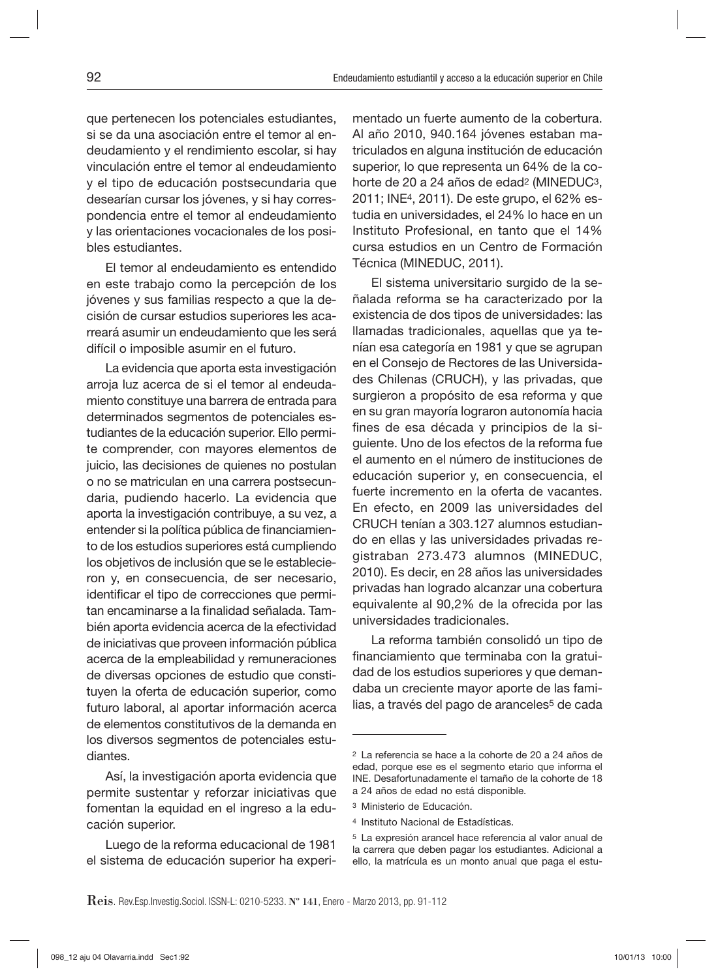que pertenecen los potenciales estudiantes, si se da una asociación entre el temor al endeudamiento y el rendimiento escolar, si hay vinculación entre el temor al endeudamiento y el tipo de educación postsecundaria que desearían cursar los jóvenes, y si hay correspondencia entre el temor al endeudamiento y las orientaciones vocacionales de los posibles estudiantes.

El temor al endeudamiento es entendido en este trabajo como la percepción de los jóvenes y sus familias respecto a que la decisión de cursar estudios superiores les acarreará asumir un endeudamiento que les será difícil o imposible asumir en el futuro.

La evidencia que aporta esta investigación arroja luz acerca de si el temor al endeudamiento constituye una barrera de entrada para determinados segmentos de potenciales estudiantes de la educación superior. Ello permite comprender, con mayores elementos de juicio, las decisiones de quienes no postulan o no se matriculan en una carrera postsecundaria, pudiendo hacerlo. La evidencia que aporta la investigación contribuye, a su vez, a entender si la política pública de financiamiento de los estudios superiores está cumpliendo los objetivos de inclusión que se le establecieron y, en consecuencia, de ser necesario, identificar el tipo de correcciones que permitan encaminarse a la finalidad señalada. También aporta evidencia acerca de la efectividad de iniciativas que proveen información pública acerca de la empleabilidad y remuneraciones de diversas opciones de estudio que constituyen la oferta de educación superior, como futuro laboral, al aportar información acerca de elementos constitutivos de la demanda en los diversos segmentos de potenciales estudiantes.

Así, la investigación aporta evidencia que permite sustentar y reforzar iniciativas que fomentan la equidad en el ingreso a la educación superior.

Luego de la reforma educacional de 1981 el sistema de educación superior ha experimentado un fuerte aumento de la cobertura. Al año 2010, 940.164 jóvenes estaban matriculados en alguna institución de educación superior, lo que representa un 64% de la cohorte de 20 a 24 años de edad<sup>2</sup> (MINEDUC<sup>3</sup>, 2011; INE4, 2011). De este grupo, el 62% estudia en universidades, el 24% lo hace en un Instituto Profesional, en tanto que el 14% cursa estudios en un Centro de Formación Técnica (MINEDUC, 2011).

El sistema universitario surgido de la señalada reforma se ha caracterizado por la existencia de dos tipos de universidades: las llamadas tradicionales, aquellas que ya tenían esa categoría en 1981 y que se agrupan en el Consejo de Rectores de las Universidades Chilenas (CRUCH), y las privadas, que surgieron a propósito de esa reforma y que en su gran mayoría lograron autonomía hacia fines de esa década y principios de la siguiente. Uno de los efectos de la reforma fue el aumento en el número de instituciones de educación superior y, en consecuencia, el fuerte incremento en la oferta de vacantes. En efecto, en 2009 las universidades del CRUCH tenían a 303.127 alumnos estudiando en ellas y las universidades privadas registraban 273.473 alumnos (MINEDUC, 2010). Es decir, en 28 años las universidades privadas han logrado alcanzar una cobertura equivalente al 90,2% de la ofrecida por las universidades tradicionales.

La reforma también consolidó un tipo de financiamiento que terminaba con la gratuidad de los estudios superiores y que demandaba un creciente mayor aporte de las familias, a través del pago de aranceles<sup>5</sup> de cada

<sup>2</sup> La referencia se hace a la cohorte de 20 a 24 años de edad, porque ese es el segmento etario que informa el INE. Desafortunadamente el tamaño de la cohorte de 18 a 24 años de edad no está disponible.

<sup>3</sup> Ministerio de Educación.

<sup>4</sup> Instituto Nacional de Estadísticas.

<sup>5</sup> La expresión arancel hace referencia al valor anual de la carrera que deben pagar los estudiantes. Adicional a ello, la matrícula es un monto anual que paga el estu-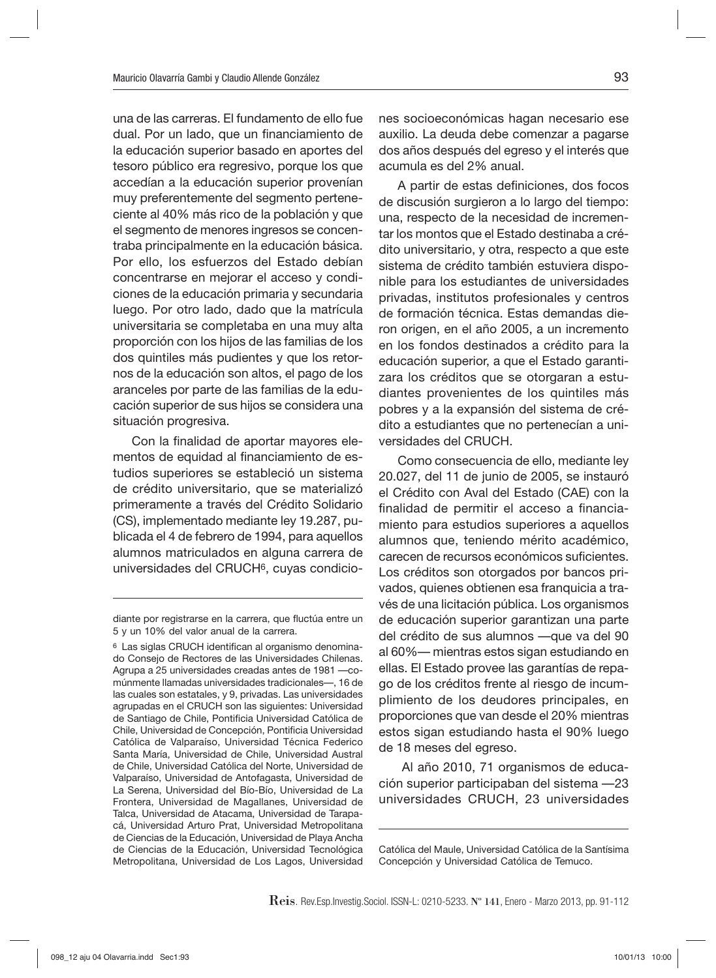una de las carreras. El fundamento de ello fue dual. Por un lado, que un financiamiento de la educación superior basado en aportes del tesoro público era regresivo, porque los que accedían a la educación superior provenían muy preferentemente del segmento perteneciente al 40% más rico de la población y que el segmento de menores ingresos se concentraba principalmente en la educación básica. Por ello, los esfuerzos del Estado debían concentrarse en mejorar el acceso y condiciones de la educación primaria y secundaria luego. Por otro lado, dado que la matrícula universitaria se completaba en una muy alta proporción con los hijos de las familias de los dos quintiles más pudientes y que los retornos de la educación son altos, el pago de los aranceles por parte de las familias de la educación superior de sus hijos se considera una situación progresiva.

Con la finalidad de aportar mayores elementos de equidad al financiamiento de estudios superiores se estableció un sistema de crédito universitario, que se materializó primeramente a través del Crédito Solidario (CS), implementado mediante ley 19.287, publicada el 4 de febrero de 1994, para aquellos alumnos matriculados en alguna carrera de universidades del CRUCH6, cuyas condiciones socioeconómicas hagan necesario ese auxilio. La deuda debe comenzar a pagarse dos años después del egreso y el interés que acumula es del 2% anual.

A partir de estas definiciones, dos focos de discusión surgieron a lo largo del tiempo: una, respecto de la necesidad de incrementar los montos que el Estado destinaba a crédito universitario, y otra, respecto a que este sistema de crédito también estuviera disponible para los estudiantes de universidades privadas, institutos profesionales y centros de formación técnica. Estas demandas dieron origen, en el año 2005, a un incremento en los fondos destinados a crédito para la educación superior, a que el Estado garantizara los créditos que se otorgaran a estudiantes provenientes de los quintiles más pobres y a la expansión del sistema de crédito a estudiantes que no pertenecían a universidades del CRUCH.

Como consecuencia de ello, mediante ley 20.027, del 11 de junio de 2005, se instauró el Crédito con Aval del Estado (CAE) con la finalidad de permitir el acceso a financiamiento para estudios superiores a aquellos alumnos que, teniendo mérito académico, carecen de recursos económicos suficientes. Los créditos son otorgados por bancos privados, quienes obtienen esa franquicia a través de una licitación pública. Los organismos de educación superior garantizan una parte del crédito de sus alumnos —que va del 90 al 60%— mientras estos sigan estudiando en ellas. El Estado provee las garantías de repago de los créditos frente al riesgo de incumplimiento de los deudores principales, en proporciones que van desde el 20% mientras estos sigan estudiando hasta el 90% luego de 18 meses del egreso.

 Al año 2010, 71 organismos de educación superior participaban del sistema —23 universidades CRUCH, 23 universidades

diante por registrarse en la carrera, que fluctúa entre un 5 y un 10% del valor anual de la carrera.

<sup>6</sup> Las siglas CRUCH identifican al organismo denominado Consejo de Rectores de las Universidades Chilenas. Agrupa a 25 universidades creadas antes de 1981 —comúnmente llamadas universidades tradicionales—, 16 de las cuales son estatales, y 9, privadas. Las universidades agrupadas en el CRUCH son las siguientes: Universidad de Santiago de Chile, Pontificia Universidad Católica de Chile, Universidad de Concepción, Pontificia Universidad Católica de Valparaíso, Universidad Técnica Federico Santa María, Universidad de Chile, Universidad Austral de Chile, Universidad Católica del Norte, Universidad de Valparaíso, Universidad de Antofagasta, Universidad de La Serena, Universidad del Bío-Bío, Universidad de La Frontera, Universidad de Magallanes, Universidad de Talca, Universidad de Atacama, Universidad de Tarapacá, Universidad Arturo Prat, Universidad Metropolitana de Ciencias de la Educación, Universidad de Playa Ancha de Ciencias de la Educación, Universidad Tecnológica Metropolitana, Universidad de Los Lagos, Universidad

Católica del Maule, Universidad Católica de la Santísima Concepción y Universidad Católica de Temuco.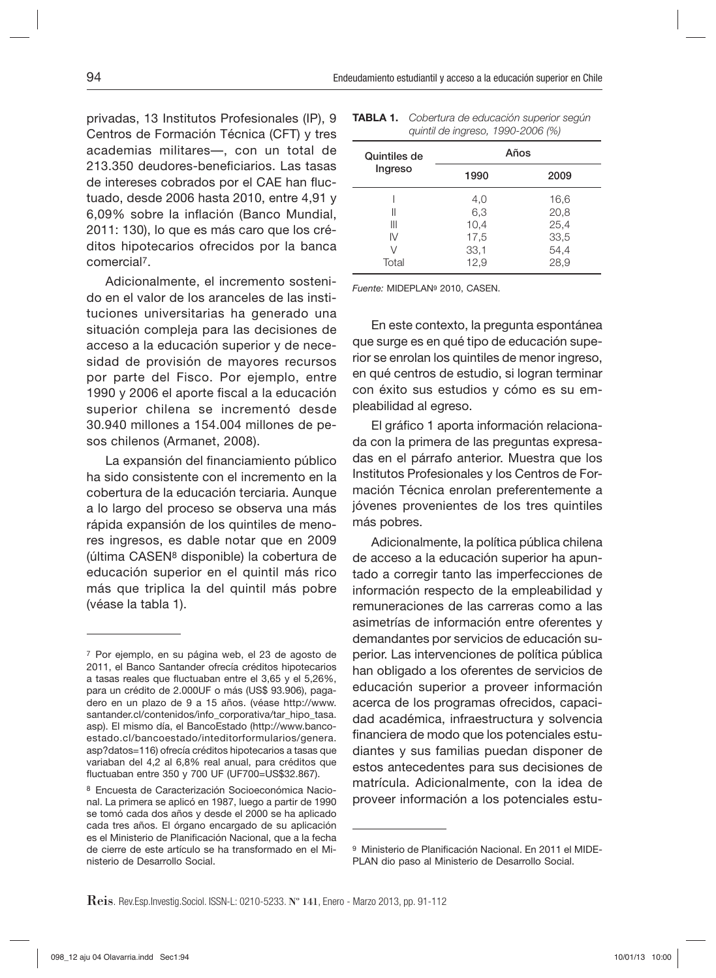privadas, 13 Institutos Profesionales (IP), 9 Centros de Formación Técnica (CFT) y tres academias militares—, con un total de 213.350 deudores-beneficiarios. Las tasas de intereses cobrados por el CAE han fluctuado, desde 2006 hasta 2010, entre 4,91 y 6,09% sobre la inflación (Banco Mundial, 2011: 130), lo que es más caro que los créditos hipotecarios ofrecidos por la banca comercial7.

Adicionalmente, el incremento sostenido en el valor de los aranceles de las instituciones universitarias ha generado una situación compleja para las decisiones de acceso a la educación superior y de necesidad de provisión de mayores recursos por parte del Fisco. Por ejemplo, entre 1990 y 2006 el aporte fiscal a la educación superior chilena se incrementó desde 30.940 millones a 154.004 millones de pesos chilenos (Armanet, 2008).

La expansión del financiamiento público ha sido consistente con el incremento en la cobertura de la educación terciaria. Aunque a lo largo del proceso se observa una más rápida expansión de los quintiles de menores ingresos, es dable notar que en 2009 (última CASEN8 disponible) la cobertura de educación superior en el quintil más rico más que triplica la del quintil más pobre (véase la tabla 1).

| <b>Ouintiles de</b> | Años                                                  |
|---------------------|-------------------------------------------------------|
|                     | quintil de ingreso, 1990-2006 (%)                     |
|                     | <b>TABLA 1.</b> Cobertura de educación superior según |

| Quintiles de |      | Años |
|--------------|------|------|
| Ingreso      | 1990 | 2009 |
|              | 4,0  | 16,6 |
| ΙΙ           | 6,3  | 20,8 |
| Ш            | 10,4 | 25,4 |
| IV           | 17,5 | 33,5 |
| V            | 33,1 | 54,4 |
| Total        | 12,9 | 28,9 |

*Fuente:* MIDEPLAN9 2010, CASEN.

En este contexto, la pregunta espontánea que surge es en qué tipo de educación superior se enrolan los quintiles de menor ingreso, en qué centros de estudio, si logran terminar con éxito sus estudios y cómo es su empleabilidad al egreso.

El gráfico 1 aporta información relacionada con la primera de las preguntas expresadas en el párrafo anterior. Muestra que los Institutos Profesionales y los Centros de Formación Técnica enrolan preferentemente a jóvenes provenientes de los tres quintiles más pobres.

Adicionalmente, la política pública chilena de acceso a la educación superior ha apuntado a corregir tanto las imperfecciones de información respecto de la empleabilidad y remuneraciones de las carreras como a las asimetrías de información entre oferentes y demandantes por servicios de educación superior. Las intervenciones de política pública han obligado a los oferentes de servicios de educación superior a proveer información acerca de los programas ofrecidos, capacidad académica, infraestructura y solvencia financiera de modo que los potenciales estudiantes y sus familias puedan disponer de estos antecedentes para sus decisiones de matrícula. Adicionalmente, con la idea de proveer información a los potenciales estu-

<sup>7</sup> Por ejemplo, en su página web, el 23 de agosto de 2011, el Banco Santander ofrecía créditos hipotecarios a tasas reales que fluctuaban entre el  $3,65$  y el  $5,26\%$ , para un crédito de 2.000UF o más (US\$ 93.906), pagadero en un plazo de 9 a 15 años. (véase http://www. santander.cl/contenidos/info\_corporativa/tar\_hipo\_tasa. asp). El mismo día, el BancoEstado (http://www.bancoestado.cl/bancoestado/inteditorformularios/genera. asp?datos=116) ofrecía créditos hipotecarios a tasas que variaban del 4,2 al 6,8% real anual, para créditos que fluctuaban entre 350 y 700 UF (UF700=US\$32.867).

<sup>8</sup> Encuesta de Caracterización Socioeconómica Nacional. La primera se aplicó en 1987, luego a partir de 1990 se tomó cada dos años y desde el 2000 se ha aplicado cada tres años. El órgano encargado de su aplicación es el Ministerio de Planificación Nacional, que a la fecha de cierre de este artículo se ha transformado en el Ministerio de Desarrollo Social.

<sup>&</sup>lt;sup>9</sup> Ministerio de Planificación Nacional. En 2011 el MIDE-PLAN dio paso al Ministerio de Desarrollo Social.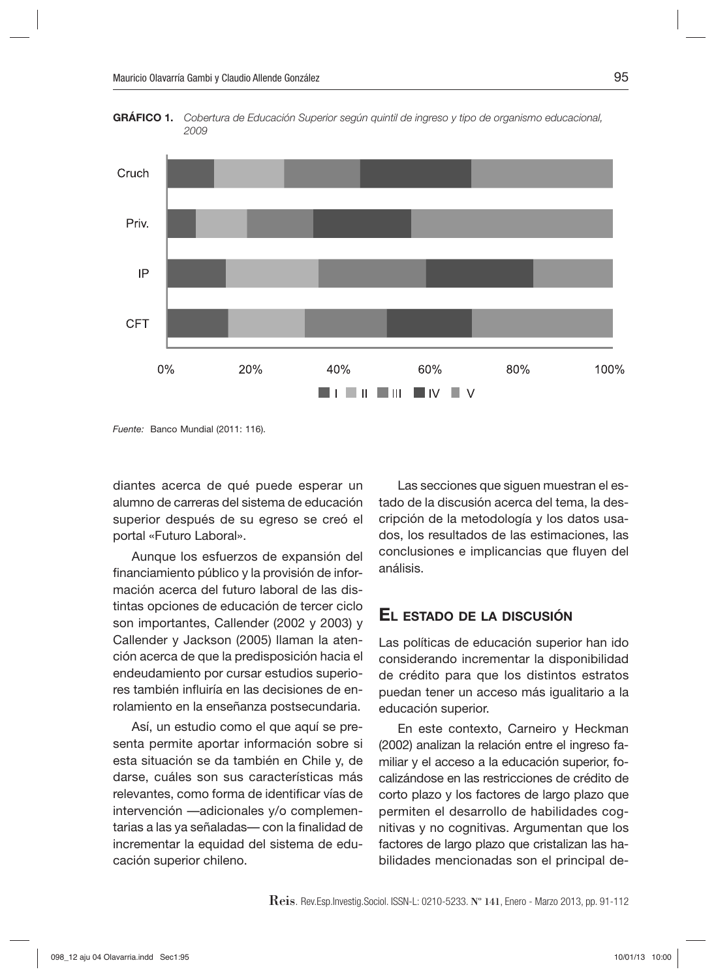**GRÁFICO 1.** *Cobertura de Educación Superior según quintil de ingreso y tipo de organismo educacional, 2009*



*Fuente:* Banco Mundial (2011: 116).

diantes acerca de qué puede esperar un alumno de carreras del sistema de educación superior después de su egreso se creó el portal «Futuro Laboral».

Aunque los esfuerzos de expansión del financiamiento público y la provisión de información acerca del futuro laboral de las distintas opciones de educación de tercer ciclo son importantes, Callender (2002 y 2003) y Callender y Jackson (2005) llaman la atención acerca de que la predisposición hacia el endeudamiento por cursar estudios superiores también influiría en las decisiones de enrolamiento en la enseñanza postsecundaria.

Así, un estudio como el que aquí se presenta permite aportar información sobre si esta situación se da también en Chile y, de darse, cuáles son sus características más relevantes, como forma de identificar vías de intervención —adicionales y/o complementarias a las ya señaladas — con la finalidad de incrementar la equidad del sistema de educación superior chileno.

Las secciones que siguen muestran el estado de la discusión acerca del tema, la descripción de la metodología y los datos usados, los resultados de las estimaciones, las conclusiones e implicancias que fluyen del análisis.

#### **EL ESTADO DE LA DISCUSIÓN**

Las políticas de educación superior han ido considerando incrementar la disponibilidad de crédito para que los distintos estratos puedan tener un acceso más igualitario a la educación superior.

En este contexto, Carneiro y Heckman (2002) analizan la relación entre el ingreso familiar y el acceso a la educación superior, focalizándose en las restricciones de crédito de corto plazo y los factores de largo plazo que permiten el desarrollo de habilidades cognitivas y no cognitivas. Argumentan que los factores de largo plazo que cristalizan las habilidades mencionadas son el principal de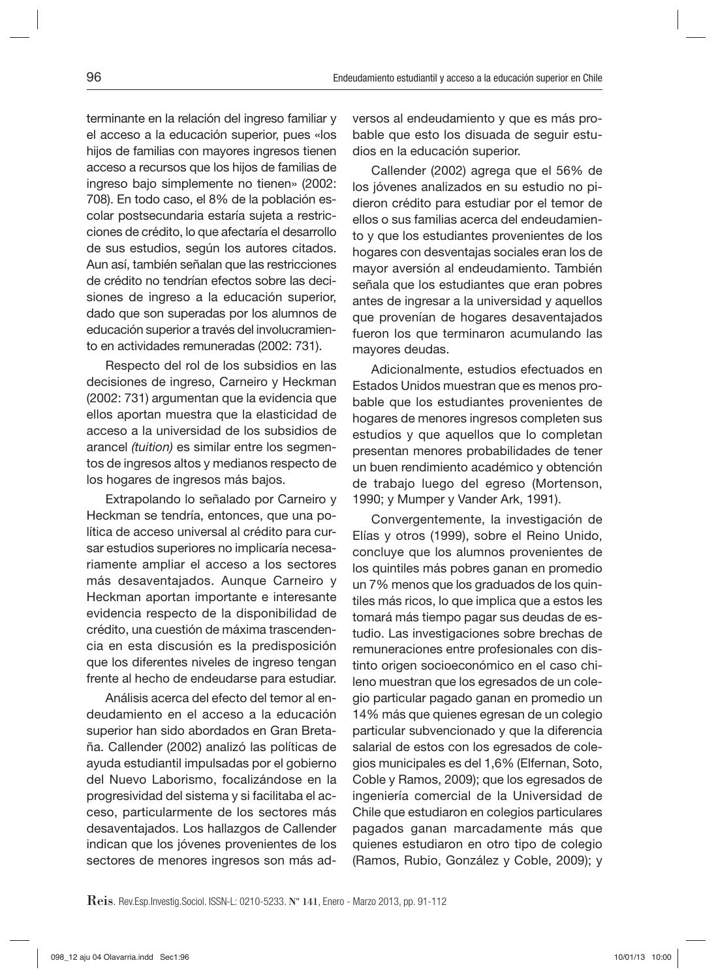terminante en la relación del ingreso familiar y el acceso a la educación superior, pues «los hijos de familias con mayores ingresos tienen acceso a recursos que los hijos de familias de ingreso bajo simplemente no tienen» (2002: 708). En todo caso, el 8% de la población escolar postsecundaria estaría sujeta a restricciones de crédito, lo que afectaría el desarrollo de sus estudios, según los autores citados. Aun así, también señalan que las restricciones de crédito no tendrían efectos sobre las decisiones de ingreso a la educación superior, dado que son superadas por los alumnos de educación superior a través del involucramiento en actividades remuneradas (2002: 731).

Respecto del rol de los subsidios en las decisiones de ingreso, Carneiro y Heckman (2002: 731) argumentan que la evidencia que ellos aportan muestra que la elasticidad de acceso a la universidad de los subsidios de arancel *(tuition)* es similar entre los segmentos de ingresos altos y medianos respecto de los hogares de ingresos más bajos.

Extrapolando lo señalado por Carneiro y Heckman se tendría, entonces, que una política de acceso universal al crédito para cursar estudios superiores no implicaría necesariamente ampliar el acceso a los sectores más desaventajados. Aunque Carneiro y Heckman aportan importante e interesante evidencia respecto de la disponibilidad de crédito, una cuestión de máxima trascendencia en esta discusión es la predisposición que los diferentes niveles de ingreso tengan frente al hecho de endeudarse para estudiar.

Análisis acerca del efecto del temor al endeudamiento en el acceso a la educación superior han sido abordados en Gran Bretaña. Callender (2002) analizó las políticas de ayuda estudiantil impulsadas por el gobierno del Nuevo Laborismo, focalizándose en la progresividad del sistema y si facilitaba el acceso, particularmente de los sectores más desaventajados. Los hallazgos de Callender indican que los jóvenes provenientes de los sectores de menores ingresos son más adversos al endeudamiento y que es más probable que esto los disuada de seguir estudios en la educación superior.

Callender (2002) agrega que el 56% de los jóvenes analizados en su estudio no pidieron crédito para estudiar por el temor de ellos o sus familias acerca del endeudamiento y que los estudiantes provenientes de los hogares con desventajas sociales eran los de mayor aversión al endeudamiento. También señala que los estudiantes que eran pobres antes de ingresar a la universidad y aquellos que provenían de hogares desaventajados fueron los que terminaron acumulando las mayores deudas.

Adicionalmente, estudios efectuados en Estados Unidos muestran que es menos probable que los estudiantes provenientes de hogares de menores ingresos completen sus estudios y que aquellos que lo completan presentan menores probabilidades de tener un buen rendimiento académico y obtención de trabajo luego del egreso (Mortenson, 1990; y Mumper y Vander Ark, 1991).

Convergentemente, la investigación de Elías y otros (1999), sobre el Reino Unido, concluye que los alumnos provenientes de los quintiles más pobres ganan en promedio un 7% menos que los graduados de los quintiles más ricos, lo que implica que a estos les tomará más tiempo pagar sus deudas de estudio. Las investigaciones sobre brechas de remuneraciones entre profesionales con distinto origen socioeconómico en el caso chileno muestran que los egresados de un colegio particular pagado ganan en promedio un 14% más que quienes egresan de un colegio particular subvencionado y que la diferencia salarial de estos con los egresados de colegios municipales es del 1,6% (Elfernan, Soto, Coble y Ramos, 2009); que los egresados de ingeniería comercial de la Universidad de Chile que estudiaron en colegios particulares pagados ganan marcadamente más que quienes estudiaron en otro tipo de colegio (Ramos, Rubio, González y Coble, 2009); y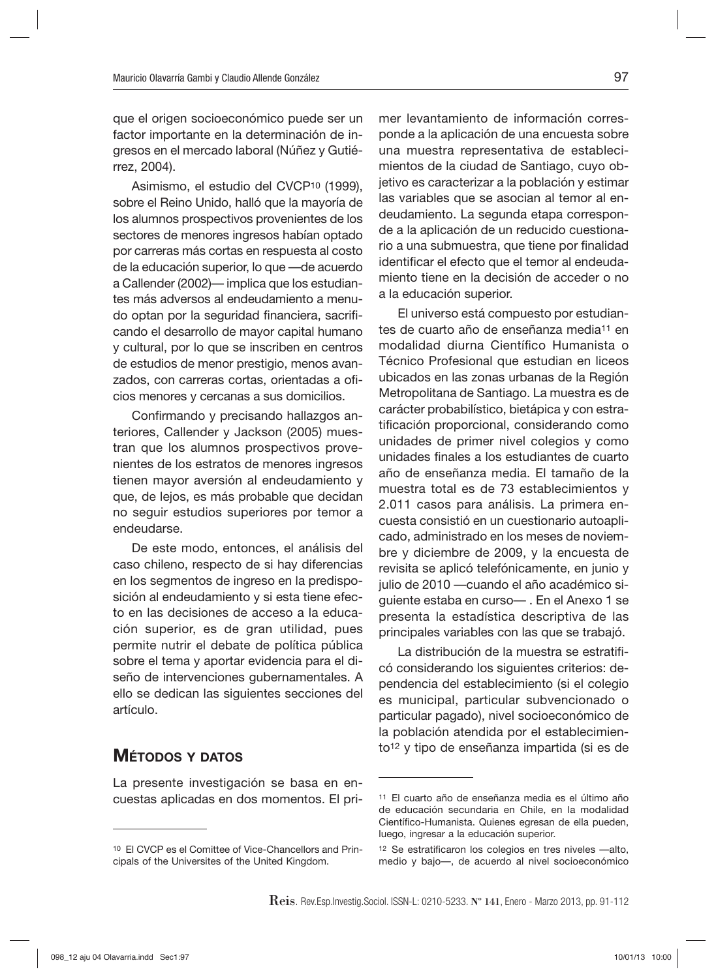que el origen socioeconómico puede ser un factor importante en la determinación de ingresos en el mercado laboral (Núñez y Gutiérrez, 2004).

Asimismo, el estudio del CVCP10 (1999), sobre el Reino Unido, halló que la mayoría de los alumnos prospectivos provenientes de los sectores de menores ingresos habían optado por carreras más cortas en respuesta al costo de la educación superior, lo que —de acuerdo a Callender (2002)— implica que los estudiantes más adversos al endeudamiento a menudo optan por la seguridad financiera, sacrificando el desarrollo de mayor capital humano y cultural, por lo que se inscriben en centros de estudios de menor prestigio, menos avanzados, con carreras cortas, orientadas a oficios menores y cercanas a sus domicilios.

Confirmando y precisando hallazgos anteriores, Callender y Jackson (2005) muestran que los alumnos prospectivos provenientes de los estratos de menores ingresos tienen mayor aversión al endeudamiento y que, de lejos, es más probable que decidan no seguir estudios superiores por temor a endeudarse.

De este modo, entonces, el análisis del caso chileno, respecto de si hay diferencias en los segmentos de ingreso en la predisposición al endeudamiento y si esta tiene efecto en las decisiones de acceso a la educación superior, es de gran utilidad, pues permite nutrir el debate de política pública sobre el tema y aportar evidencia para el diseño de intervenciones gubernamentales. A ello se dedican las siguientes secciones del artículo.

#### **MÉTODOS <sup>Y</sup> DATOS**

La presente investigación se basa en encuestas aplicadas en dos momentos. El primer levantamiento de información corresponde a la aplicación de una encuesta sobre una muestra representativa de establecimientos de la ciudad de Santiago, cuyo objetivo es caracterizar a la población y estimar las variables que se asocian al temor al endeudamiento. La segunda etapa corresponde a la aplicación de un reducido cuestionario a una submuestra, que tiene por finalidad identificar el efecto que el temor al endeudamiento tiene en la decisión de acceder o no a la educación superior.

El universo está compuesto por estudiantes de cuarto año de enseñanza media<sup>11</sup> en modalidad diurna Científico Humanista o Técnico Profesional que estudian en liceos ubicados en las zonas urbanas de la Región Metropolitana de Santiago. La muestra es de carácter probabilístico, bietápica y con estratificación proporcional, considerando como unidades de primer nivel colegios y como unidades finales a los estudiantes de cuarto año de enseñanza media. El tamaño de la muestra total es de 73 establecimientos y 2.011 casos para análisis. La primera encuesta consistió en un cuestionario autoaplicado, administrado en los meses de noviembre y diciembre de 2009, y la encuesta de revisita se aplicó telefónicamente, en junio y julio de 2010 —cuando el año académico siguiente estaba en curso— . En el Anexo 1 se presenta la estadística descriptiva de las principales variables con las que se trabajó.

La distribución de la muestra se estratificó considerando los siguientes criterios: dependencia del establecimiento (si el colegio es municipal, particular subvencionado o particular pagado), nivel socioeconómico de la población atendida por el establecimiento12 y tipo de enseñanza impartida (si es de

<sup>10</sup> El CVCP es el Comittee of Vice-Chancellors and Principals of the Universites of the United Kingdom.

<sup>11</sup> El cuarto año de enseñanza media es el último año de educación secundaria en Chile, en la modalidad Científico-Humanista. Quienes egresan de ella pueden, luego, ingresar a la educación superior.

<sup>12</sup> Se estratificaron los colegios en tres niveles -alto, medio y bajo—, de acuerdo al nivel socioeconómico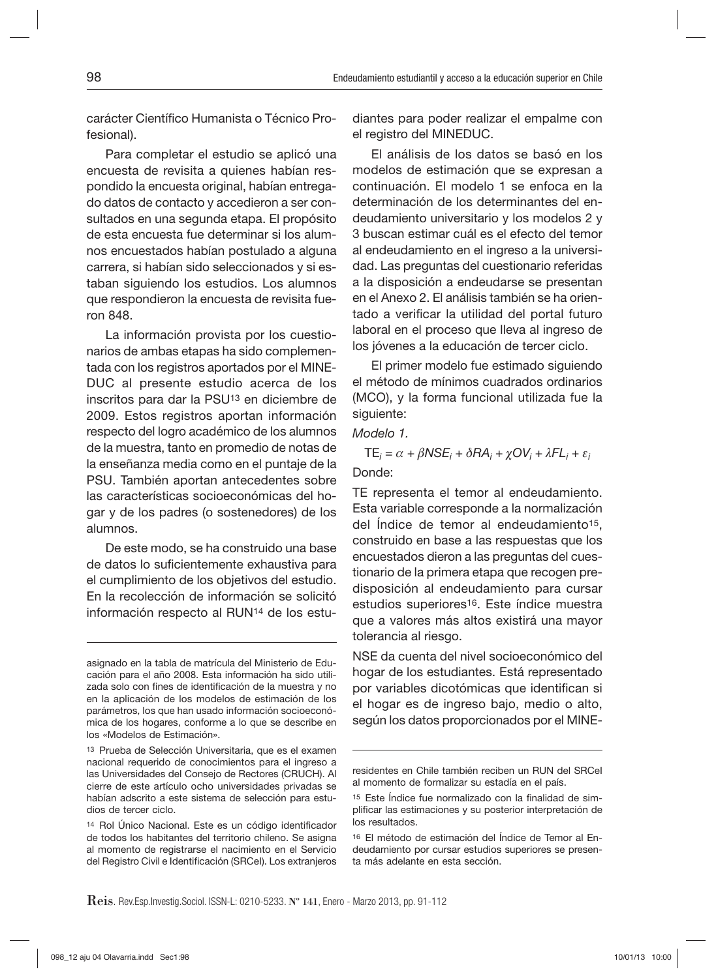carácter Científico Humanista o Técnico Profesional).

Para completar el estudio se aplicó una encuesta de revisita a quienes habían respondido la encuesta original, habían entregado datos de contacto y accedieron a ser consultados en una segunda etapa. El propósito de esta encuesta fue determinar si los alumnos encuestados habían postulado a alguna carrera, si habían sido seleccionados y si estaban siguiendo los estudios. Los alumnos que respondieron la encuesta de revisita fueron 848.

La información provista por los cuestionarios de ambas etapas ha sido complementada con los registros aportados por el MINE-DUC al presente estudio acerca de los inscritos para dar la PSU13 en diciembre de 2009. Estos registros aportan información respecto del logro académico de los alumnos de la muestra, tanto en promedio de notas de la enseñanza media como en el puntaje de la PSU. También aportan antecedentes sobre las características socioeconómicas del hogar y de los padres (o sostenedores) de los alumnos.

De este modo, se ha construido una base de datos lo suficientemente exhaustiva para el cumplimiento de los objetivos del estudio. En la recolección de información se solicitó información respecto al RUN14 de los estudiantes para poder realizar el empalme con el registro del MINEDUC.

El análisis de los datos se basó en los modelos de estimación que se expresan a continuación. El modelo 1 se enfoca en la determinación de los determinantes del endeudamiento universitario y los modelos 2 y 3 buscan estimar cuál es el efecto del temor al endeudamiento en el ingreso a la universidad. Las preguntas del cuestionario referidas a la disposición a endeudarse se presentan en el Anexo 2. El análisis también se ha orientado a verificar la utilidad del portal futuro laboral en el proceso que lleva al ingreso de los jóvenes a la educación de tercer ciclo.

El primer modelo fue estimado siguiendo el método de mínimos cuadrados ordinarios (MCO), y la forma funcional utilizada fue la siguiente:

*Modelo 1.*

 $TE_i = \alpha + \beta \text{NSE}_i + \delta \text{RA}_i + \chi \text{OV}_i + \lambda FL_i + \varepsilon_i$ Donde:

TE representa el temor al endeudamiento. Esta variable corresponde a la normalización del Índice de temor al endeudamiento15, construido en base a las respuestas que los encuestados dieron a las preguntas del cuestionario de la primera etapa que recogen predisposición al endeudamiento para cursar estudios superiores<sup>16</sup>. Este índice muestra que a valores más altos existirá una mayor tolerancia al riesgo.

NSE da cuenta del nivel socioeconómico del hogar de los estudiantes. Está representado por variables dicotómicas que identifican si el hogar es de ingreso bajo, medio o alto, según los datos proporcionados por el MINE-

asignado en la tabla de matrícula del Ministerio de Educación para el año 2008. Esta información ha sido utilizada solo con fines de identificación de la muestra y no en la aplicación de los modelos de estimación de los parámetros, los que han usado información socioeconómica de los hogares, conforme a lo que se describe en los «Modelos de Estimación».

<sup>13</sup> Prueba de Selección Universitaria, que es el examen nacional requerido de conocimientos para el ingreso a las Universidades del Consejo de Rectores (CRUCH). Al cierre de este artículo ocho universidades privadas se habían adscrito a este sistema de selección para estudios de tercer ciclo.

<sup>14</sup> Rol Único Nacional. Este es un código identificador de todos los habitantes del territorio chileno. Se asigna al momento de registrarse el nacimiento en el Servicio del Registro Civil e Identificación (SRCel). Los extranjeros

residentes en Chile también reciben un RUN del SRCeI al momento de formalizar su estadía en el país.

<sup>15</sup> Este Índice fue normalizado con la finalidad de simplificar las estimaciones y su posterior interpretación de los resultados.

<sup>16</sup> El método de estimación del Índice de Temor al Endeudamiento por cursar estudios superiores se presenta más adelante en esta sección.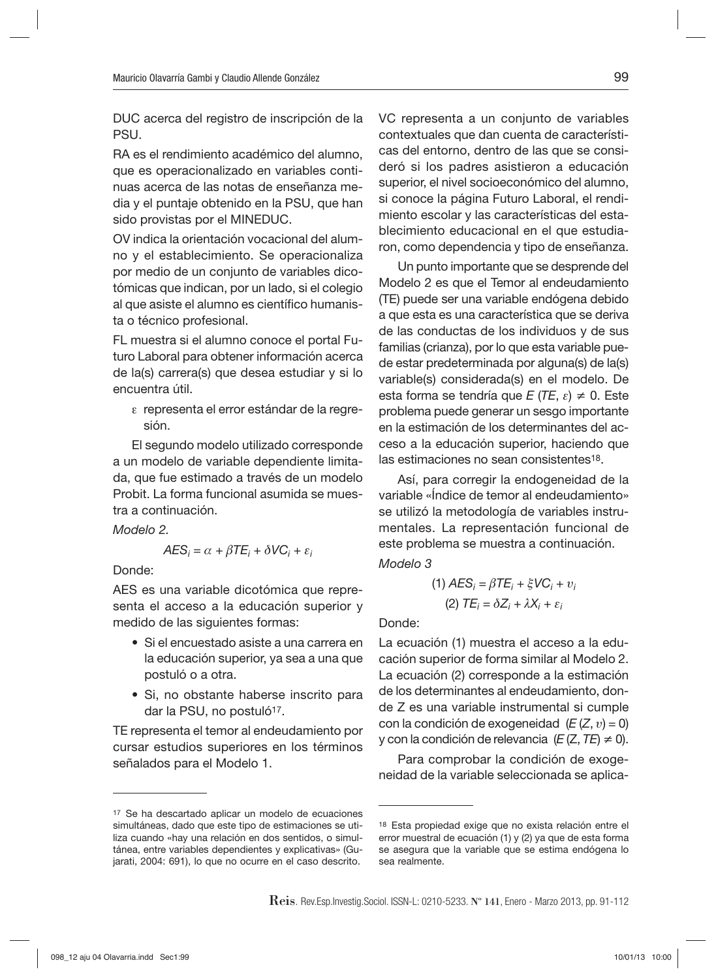DUC acerca del registro de inscripción de la PSU.

RA es el rendimiento académico del alumno, que es operacionalizado en variables continuas acerca de las notas de enseñanza media y el puntaje obtenido en la PSU, que han sido provistas por el MINEDUC.

OV indica la orientación vocacional del alumno y el establecimiento. Se operacionaliza por medio de un conjunto de variables dicotómicas que indican, por un lado, si el colegio al que asiste el alumno es científico humanista o técnico profesional.

FL muestra si el alumno conoce el portal Futuro Laboral para obtener información acerca de la(s) carrera(s) que desea estudiar y si lo encuentra útil.

ε representa el error estándar de la regresión.

El segundo modelo utilizado corresponde a un modelo de variable dependiente limitada, que fue estimado a través de un modelo Probit. La forma funcional asumida se muestra a continuación.

*Modelo 2.*

$$
AES_i = \alpha + \beta TE_i + \delta VC_i + \varepsilon_i
$$

Donde:

AES es una variable dicotómica que representa el acceso a la educación superior y medido de las siguientes formas:

- Si el encuestado asiste a una carrera en la educación superior, ya sea a una que postuló o a otra.
- Si, no obstante haberse inscrito para dar la PSU, no postuló<sup>17</sup>.

TE representa el temor al endeudamiento por cursar estudios superiores en los términos señalados para el Modelo 1.

VC representa a un conjunto de variables contextuales que dan cuenta de características del entorno, dentro de las que se consideró si los padres asistieron a educación superior, el nivel socioeconómico del alumno, si conoce la página Futuro Laboral, el rendimiento escolar y las características del establecimiento educacional en el que estudiaron, como dependencia y tipo de enseñanza.

Un punto importante que se desprende del Modelo 2 es que el Temor al endeudamiento (TE) puede ser una variable endógena debido a que esta es una característica que se deriva de las conductas de los individuos y de sus familias (crianza), por lo que esta variable puede estar predeterminada por alguna(s) de la(s) variable(s) considerada(s) en el modelo. De esta forma se tendría que  $E(TE, \varepsilon) \neq 0$ . Este problema puede generar un sesgo importante en la estimación de los determinantes del acceso a la educación superior, haciendo que las estimaciones no sean consistentes18.

Así, para corregir la endogeneidad de la variable «Índice de temor al endeudamiento» se utilizó la metodología de variables instrumentales. La representación funcional de este problema se muestra a continuación.

*Modelo 3*

(1) 
$$
AES_i = \beta TE_i + \xi VC_i + v_i
$$
  
(2) 
$$
TE_i = \delta Z_i + \lambda X_i + \varepsilon_i
$$

Donde:

La ecuación (1) muestra el acceso a la educación superior de forma similar al Modelo 2. La ecuación (2) corresponde a la estimación de los determinantes al endeudamiento, donde Z es una variable instrumental si cumple con la condición de exogeneidad (*E* (*Z*, υ) = 0) y con la condición de relevancia ( $E$  ( $Z$ ,  $TE$ )  $\neq$  0).

Para comprobar la condición de exogeneidad de la variable seleccionada se aplica-

<sup>17</sup> Se ha descartado aplicar un modelo de ecuaciones simultáneas, dado que este tipo de estimaciones se utiliza cuando «hay una relación en dos sentidos, o simultánea, entre variables dependientes y explicativas» (Gujarati, 2004: 691), lo que no ocurre en el caso descrito.

<sup>18</sup> Esta propiedad exige que no exista relación entre el error muestral de ecuación (1) y (2) ya que de esta forma se asegura que la variable que se estima endógena lo sea realmente.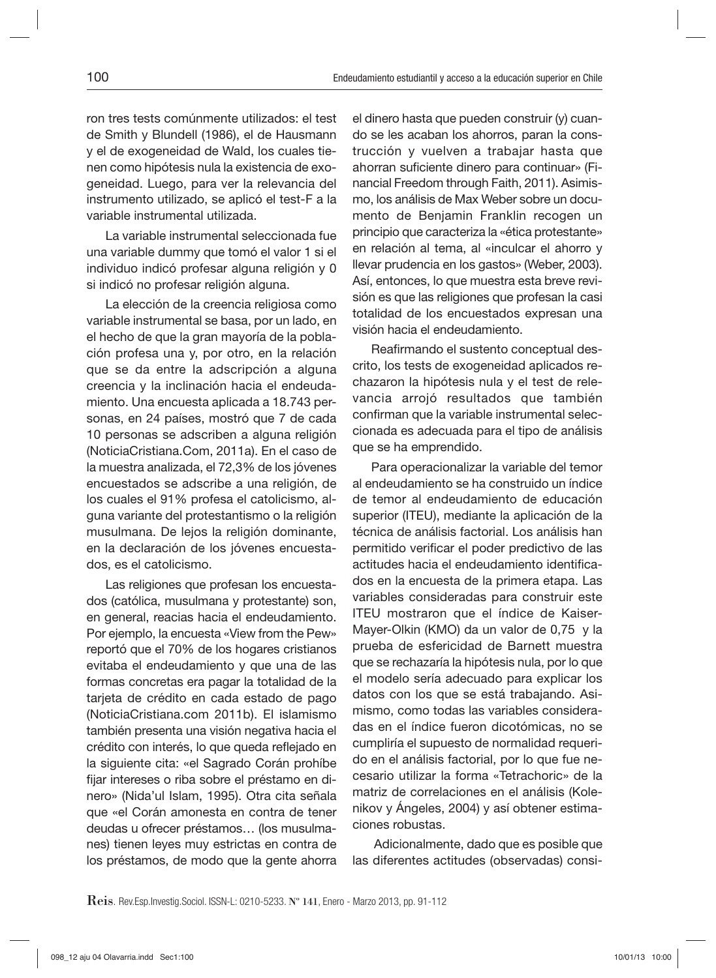ron tres tests comúnmente utilizados: el test de Smith y Blundell (1986), el de Hausmann y el de exogeneidad de Wald, los cuales tienen como hipótesis nula la existencia de exogeneidad. Luego, para ver la relevancia del instrumento utilizado, se aplicó el test-F a la variable instrumental utilizada.

La variable instrumental seleccionada fue una variable dummy que tomó el valor 1 si el individuo indicó profesar alguna religión y 0 si indicó no profesar religión alguna.

La elección de la creencia religiosa como variable instrumental se basa, por un lado, en el hecho de que la gran mayoría de la población profesa una y, por otro, en la relación que se da entre la adscripción a alguna creencia y la inclinación hacia el endeudamiento. Una encuesta aplicada a 18.743 personas, en 24 países, mostró que 7 de cada 10 personas se adscriben a alguna religión (NoticiaCristiana.Com, 2011a). En el caso de la muestra analizada, el 72,3% de los jóvenes encuestados se adscribe a una religión, de los cuales el 91% profesa el catolicismo, alguna variante del protestantismo o la religión musulmana. De lejos la religión dominante, en la declaración de los jóvenes encuestados, es el catolicismo.

Las religiones que profesan los encuestados (católica, musulmana y protestante) son, en general, reacias hacia el endeudamiento. Por ejemplo, la encuesta «View from the Pew» reportó que el 70% de los hogares cristianos evitaba el endeudamiento y que una de las formas concretas era pagar la totalidad de la tarjeta de crédito en cada estado de pago (NoticiaCristiana.com 2011b). El islamismo también presenta una visión negativa hacia el crédito con interés, lo que queda reflejado en la siguiente cita: «el Sagrado Corán prohíbe fijar intereses o riba sobre el préstamo en dinero» (Nida'ul Islam, 1995). Otra cita señala que «el Corán amonesta en contra de tener deudas u ofrecer préstamos… (los musulmanes) tienen leyes muy estrictas en contra de los préstamos, de modo que la gente ahorra el dinero hasta que pueden construir (y) cuando se les acaban los ahorros, paran la construcción y vuelven a trabajar hasta que ahorran suficiente dinero para continuar» (Financial Freedom through Faith, 2011). Asimismo, los análisis de Max Weber sobre un documento de Benjamin Franklin recogen un principio que caracteriza la «ética protestante» en relación al tema, al «inculcar el ahorro y llevar prudencia en los gastos» (Weber, 2003). Así, entonces, lo que muestra esta breve revisión es que las religiones que profesan la casi totalidad de los encuestados expresan una visión hacia el endeudamiento.

Reafirmando el sustento conceptual descrito, los tests de exogeneidad aplicados rechazaron la hipótesis nula y el test de relevancia arrojó resultados que también confirman que la variable instrumental seleccionada es adecuada para el tipo de análisis que se ha emprendido.

Para operacionalizar la variable del temor al endeudamiento se ha construido un índice de temor al endeudamiento de educación superior (ITEU), mediante la aplicación de la técnica de análisis factorial. Los análisis han permitido verificar el poder predictivo de las actitudes hacia el endeudamiento identificados en la encuesta de la primera etapa. Las variables consideradas para construir este ITEU mostraron que el índice de Kaiser-Mayer-Olkin (KMO) da un valor de 0,75 y la prueba de esfericidad de Barnett muestra que se rechazaría la hipótesis nula, por lo que el modelo sería adecuado para explicar los datos con los que se está trabajando. Asimismo, como todas las variables consideradas en el índice fueron dicotómicas, no se cumpliría el supuesto de normalidad requerido en el análisis factorial, por lo que fue necesario utilizar la forma «Tetrachoric» de la matriz de correlaciones en el análisis (Kolenikov y Ángeles, 2004) y así obtener estimaciones robustas.

 Adicionalmente, dado que es posible que las diferentes actitudes (observadas) consi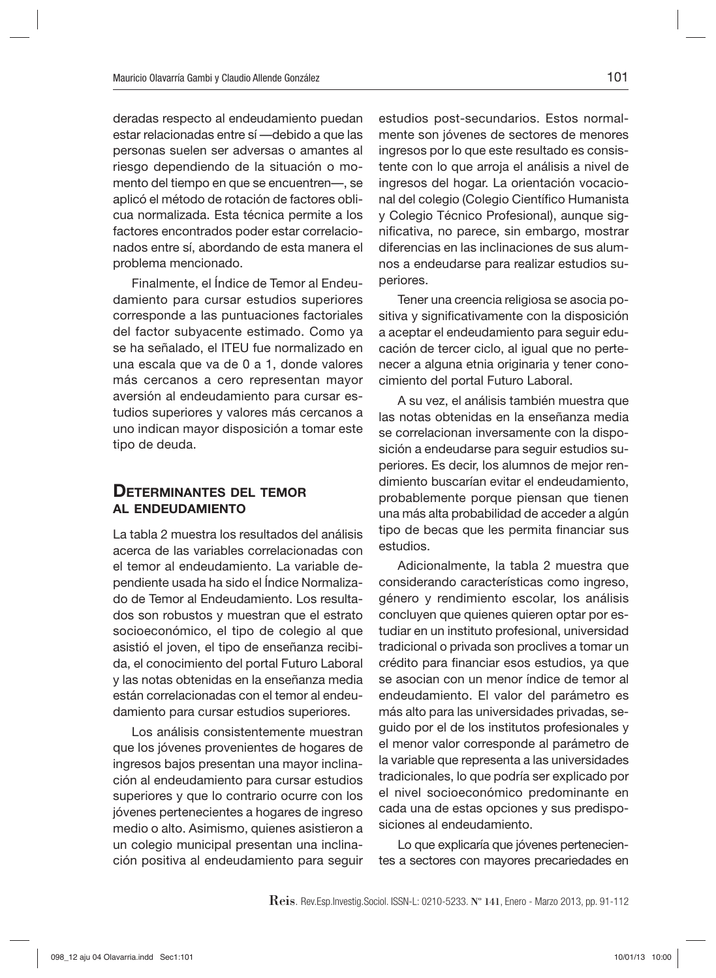deradas respecto al endeudamiento puedan estar relacionadas entre sí —debido a que las personas suelen ser adversas o amantes al riesgo dependiendo de la situación o momento del tiempo en que se encuentren—, se aplicó el método de rotación de factores oblicua normalizada. Esta técnica permite a los factores encontrados poder estar correlacionados entre sí, abordando de esta manera el problema mencionado.

Finalmente, el Índice de Temor al Endeudamiento para cursar estudios superiores corresponde a las puntuaciones factoriales del factor subyacente estimado. Como ya se ha señalado, el ITEU fue normalizado en una escala que va de 0 a 1, donde valores más cercanos a cero representan mayor aversión al endeudamiento para cursar estudios superiores y valores más cercanos a uno indican mayor disposición a tomar este tipo de deuda.

#### **DETERMINANTES DEL TEMOR AL ENDEUDAMIENTO**

La tabla 2 muestra los resultados del análisis acerca de las variables correlacionadas con el temor al endeudamiento. La variable dependiente usada ha sido el Índice Normalizado de Temor al Endeudamiento. Los resultados son robustos y muestran que el estrato socioeconómico, el tipo de colegio al que asistió el joven, el tipo de enseñanza recibida, el conocimiento del portal Futuro Laboral y las notas obtenidas en la enseñanza media están correlacionadas con el temor al endeudamiento para cursar estudios superiores.

Los análisis consistentemente muestran que los jóvenes provenientes de hogares de ingresos bajos presentan una mayor inclinación al endeudamiento para cursar estudios superiores y que lo contrario ocurre con los jóvenes pertenecientes a hogares de ingreso medio o alto. Asimismo, quienes asistieron a un colegio municipal presentan una inclinación positiva al endeudamiento para seguir

estudios post-secundarios. Estos normalmente son jóvenes de sectores de menores ingresos por lo que este resultado es consistente con lo que arroja el análisis a nivel de ingresos del hogar. La orientación vocacional del colegio (Colegio Científico Humanista y Colegio Técnico Profesional), aunque significativa, no parece, sin embargo, mostrar diferencias en las inclinaciones de sus alumnos a endeudarse para realizar estudios superiores.

Tener una creencia religiosa se asocia positiva y significativamente con la disposición a aceptar el endeudamiento para seguir educación de tercer ciclo, al igual que no pertenecer a alguna etnia originaria y tener conocimiento del portal Futuro Laboral.

A su vez, el análisis también muestra que las notas obtenidas en la enseñanza media se correlacionan inversamente con la disposición a endeudarse para seguir estudios superiores. Es decir, los alumnos de mejor rendimiento buscarían evitar el endeudamiento, probablemente porque piensan que tienen una más alta probabilidad de acceder a algún tipo de becas que les permita financiar sus estudios.

Adicionalmente, la tabla 2 muestra que considerando características como ingreso, género y rendimiento escolar, los análisis concluyen que quienes quieren optar por estudiar en un instituto profesional, universidad tradicional o privada son proclives a tomar un crédito para financiar esos estudios, ya que se asocian con un menor índice de temor al endeudamiento. El valor del parámetro es más alto para las universidades privadas, seguido por el de los institutos profesionales y el menor valor corresponde al parámetro de la variable que representa a las universidades tradicionales, lo que podría ser explicado por el nivel socioeconómico predominante en cada una de estas opciones y sus predisposiciones al endeudamiento.

Lo que explicaría que jóvenes pertenecientes a sectores con mayores precariedades en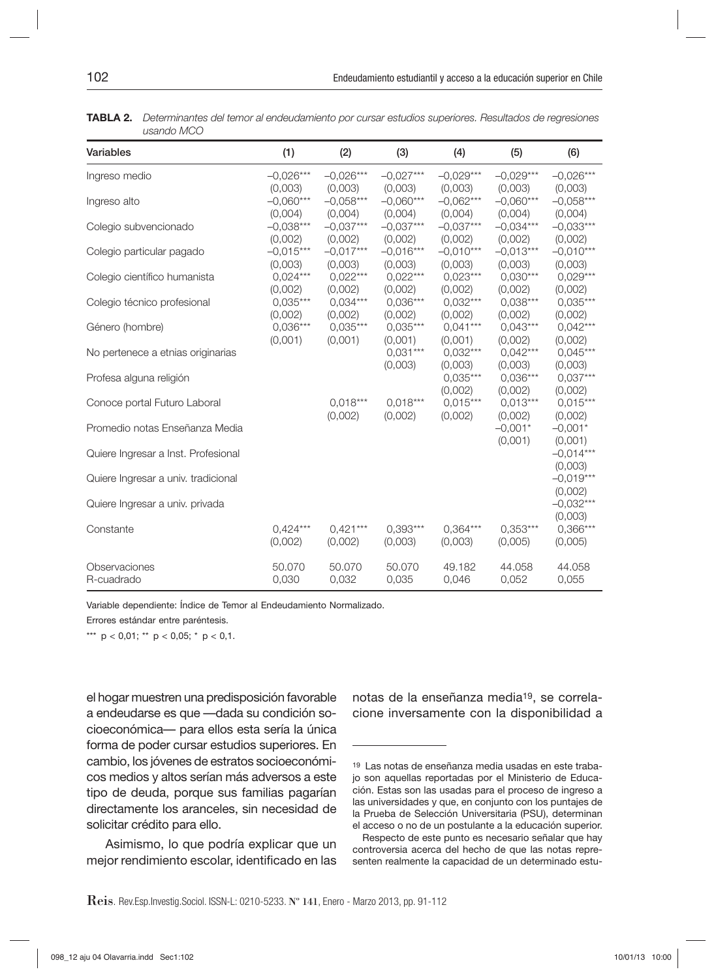| <b>Variables</b>                    | (1)         | (2)                   | (3)                   | (4)                   | (5)                   | (6)                    |
|-------------------------------------|-------------|-----------------------|-----------------------|-----------------------|-----------------------|------------------------|
| Ingreso medio                       | $-0,026***$ | $-0.026***$           | $-0.027***$           | $-0.029***$           | $-0.029***$           | $-0.026***$            |
|                                     | (0,003)     | (0,003)               | (0,003)               | (0,003)               | (0,003)               | (0,003)                |
| Ingreso alto                        | $-0,060***$ | $-0.058***$           | $-0.060***$           | $-0.062***$           | $-0.060***$           | $-0.058***$            |
|                                     | (0,004)     | (0,004)               | (0,004)               | (0,004)               | (0,004)               | (0,004)                |
| Colegio subvencionado               | $-0.038***$ | $-0.037***$           | $-0.037***$           | $-0.037***$           | $-0.034***$           | $-0.033***$            |
|                                     | (0,002)     | (0,002)               | (0,002)               | (0,002)               | (0,002)               | (0,002)                |
| Colegio particular pagado           | $-0.015***$ | $-0,017***$           | $-0.016***$           | $-0.010***$           | $-0.013***$           | $-0.010***$            |
|                                     | (0,003)     | (0,003)               | (0,003)               | (0,003)               | (0,003)               | (0,003)                |
| Colegio científico humanista        | $0,024***$  | $0,022***$            | $0,022***$            | $0.023***$            | $0.030***$            | $0,029***$             |
|                                     | (0,002)     | (0,002)               | (0,002)               | (0,002)               | (0,002)               | (0,002)                |
| Colegio técnico profesional         | $0.035***$  | $0.034***$            | $0.036***$            | $0.032***$            | $0.038***$            | $0.035***$             |
|                                     | (0,002)     | (0,002)               | (0,002)               | (0,002)               | (0,002)               | (0,002)                |
| Género (hombre)                     | $0,036***$  | $0.035***$            | $0.035***$            | $0.041***$            | $0.043***$            | $0.042***$             |
|                                     | (0,001)     | (0,001)               | (0,001)               | (0,001)               | (0,002)               | (0,002)                |
| No pertenece a etnias originarias   |             |                       | $0.031***$<br>(0,003) | $0.032***$<br>(0,003) | $0.042***$<br>(0,003) | $0.045***$<br>(0,003)  |
| Profesa alguna religión             |             |                       |                       | $0.035***$<br>(0,002) | $0.036***$<br>(0,002) | $0.037***$<br>(0,002)  |
| Conoce portal Futuro Laboral        |             | $0.018***$<br>(0,002) | $0,018***$<br>(0,002) | $0.015***$<br>(0,002) | $0.013***$<br>(0,002) | $0.015***$<br>(0,002)  |
| Promedio notas Enseñanza Media      |             |                       |                       |                       | $-0.001*$<br>(0,001)  | $-0.001*$<br>(0,001)   |
| Quiere Ingresar a Inst. Profesional |             |                       |                       |                       |                       | $-0.014***$<br>(0,003) |
| Quiere Ingresar a univ. tradicional |             |                       |                       |                       |                       | $-0,019***$<br>(0,002) |
| Quiere Ingresar a univ. privada     |             |                       |                       |                       |                       | $-0.032***$<br>(0,003) |
| Constante                           | $0.424***$  | $0.421***$            | $0.393***$            | $0.364***$            | $0.353***$            | $0,366***$             |
|                                     | (0,002)     | (0,002)               | (0,003)               | (0,003)               | (0,005)               | (0,005)                |
| Observaciones                       | 50.070      | 50.070                | 50.070                | 49.182                | 44.058                | 44.058                 |
| R-cuadrado                          | 0,030       | 0,032                 | 0,035                 | 0,046                 | 0,052                 | 0,055                  |

**TABLA 2.** *Determinantes del temor al endeudamiento por cursar estudios superiores. Resultados de regresiones usando MCO*

Variable dependiente: Índice de Temor al Endeudamiento Normalizado.

Errores estándar entre paréntesis.

\*\*\*  $p < 0.01$ ; \*\*  $p < 0.05$ ; \*  $p < 0.1$ .

el hogar muestren una predisposición favorable a endeudarse es que —dada su condición socioeconómica— para ellos esta sería la única forma de poder cursar estudios superiores. En cambio, los jóvenes de estratos socioeconómicos medios y altos serían más adversos a este tipo de deuda, porque sus familias pagarían directamente los aranceles, sin necesidad de solicitar crédito para ello.

Asimismo, lo que podría explicar que un mejor rendimiento escolar, identificado en las notas de la enseñanza media19, se correlacione inversamente con la disponibilidad a

<sup>19</sup> Las notas de enseñanza media usadas en este trabajo son aquellas reportadas por el Ministerio de Educación. Estas son las usadas para el proceso de ingreso a las universidades y que, en conjunto con los puntajes de la Prueba de Selección Universitaria (PSU), determinan el acceso o no de un postulante a la educación superior.

Respecto de este punto es necesario señalar que hay controversia acerca del hecho de que las notas representen realmente la capacidad de un determinado estu-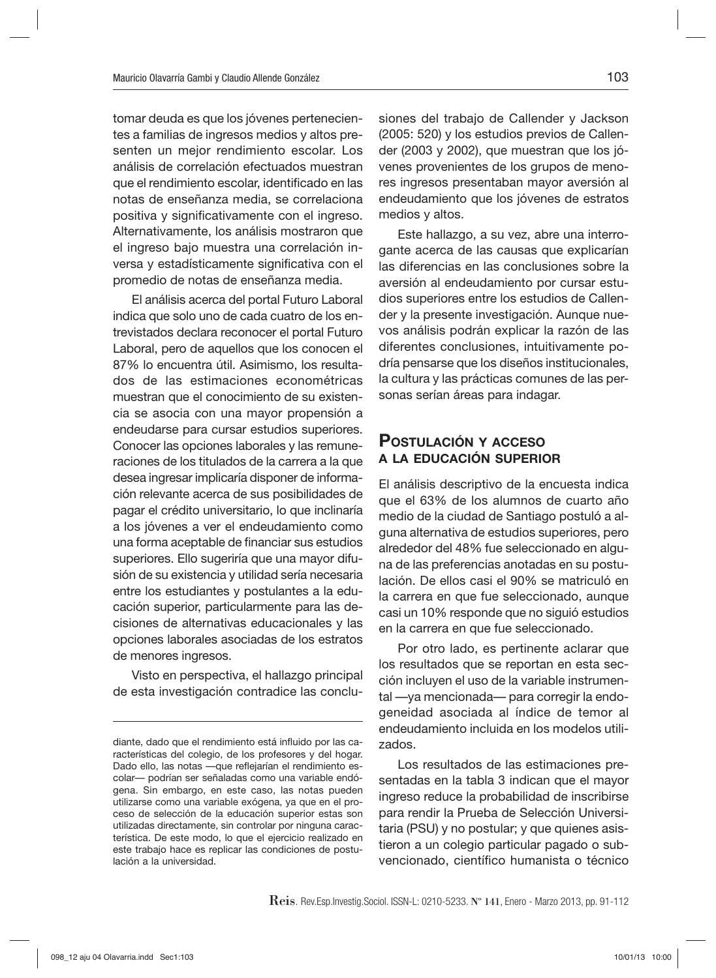tomar deuda es que los jóvenes pertenecientes a familias de ingresos medios y altos presenten un mejor rendimiento escolar. Los análisis de correlación efectuados muestran que el rendimiento escolar, identificado en las notas de enseñanza media, se correlaciona positiva y significativamente con el ingreso. Alternativamente, los análisis mostraron que el ingreso bajo muestra una correlación inversa y estadísticamente significativa con el promedio de notas de enseñanza media.

El análisis acerca del portal Futuro Laboral indica que solo uno de cada cuatro de los entrevistados declara reconocer el portal Futuro Laboral, pero de aquellos que los conocen el 87% lo encuentra útil. Asimismo, los resultados de las estimaciones econométricas muestran que el conocimiento de su existencia se asocia con una mayor propensión a endeudarse para cursar estudios superiores. Conocer las opciones laborales y las remuneraciones de los titulados de la carrera a la que desea ingresar implicaría disponer de información relevante acerca de sus posibilidades de pagar el crédito universitario, lo que inclinaría a los jóvenes a ver el endeudamiento como una forma aceptable de financiar sus estudios superiores. Ello sugeriría que una mayor difusión de su existencia y utilidad sería necesaria entre los estudiantes y postulantes a la educación superior, particularmente para las decisiones de alternativas educacionales y las opciones laborales asociadas de los estratos de menores ingresos.

Visto en perspectiva, el hallazgo principal de esta investigación contradice las conclusiones del trabajo de Callender y Jackson (2005: 520) y los estudios previos de Callender (2003 y 2002), que muestran que los jóvenes provenientes de los grupos de menores ingresos presentaban mayor aversión al endeudamiento que los jóvenes de estratos medios y altos.

Este hallazgo, a su vez, abre una interrogante acerca de las causas que explicarían las diferencias en las conclusiones sobre la aversión al endeudamiento por cursar estudios superiores entre los estudios de Callender y la presente investigación. Aunque nuevos análisis podrán explicar la razón de las diferentes conclusiones, intuitivamente podría pensarse que los diseños institucionales, la cultura y las prácticas comunes de las personas serían áreas para indagar.

#### **POSTULACIÓN <sup>Y</sup> ACCESO A LA EDUCACIÓN SUPERIOR**

El análisis descriptivo de la encuesta indica que el 63% de los alumnos de cuarto año medio de la ciudad de Santiago postuló a alguna alternativa de estudios superiores, pero alrededor del 48% fue seleccionado en alguna de las preferencias anotadas en su postulación. De ellos casi el 90% se matriculó en la carrera en que fue seleccionado, aunque casi un 10% responde que no siguió estudios en la carrera en que fue seleccionado.

Por otro lado, es pertinente aclarar que los resultados que se reportan en esta sección incluyen el uso de la variable instrumental —ya mencionada— para corregir la endogeneidad asociada al índice de temor al endeudamiento incluida en los modelos utilizados.

Los resultados de las estimaciones presentadas en la tabla 3 indican que el mayor ingreso reduce la probabilidad de inscribirse para rendir la Prueba de Selección Universitaria (PSU) y no postular; y que quienes asistieron a un colegio particular pagado o subvencionado, científico humanista o técnico

diante, dado que el rendimiento está influido por las características del colegio, de los profesores y del hogar. Dado ello, las notas - que reflejarían el rendimiento escolar— podrían ser señaladas como una variable endógena. Sin embargo, en este caso, las notas pueden utilizarse como una variable exógena, ya que en el proceso de selección de la educación superior estas son utilizadas directamente, sin controlar por ninguna característica. De este modo, lo que el ejercicio realizado en este trabajo hace es replicar las condiciones de postulación a la universidad.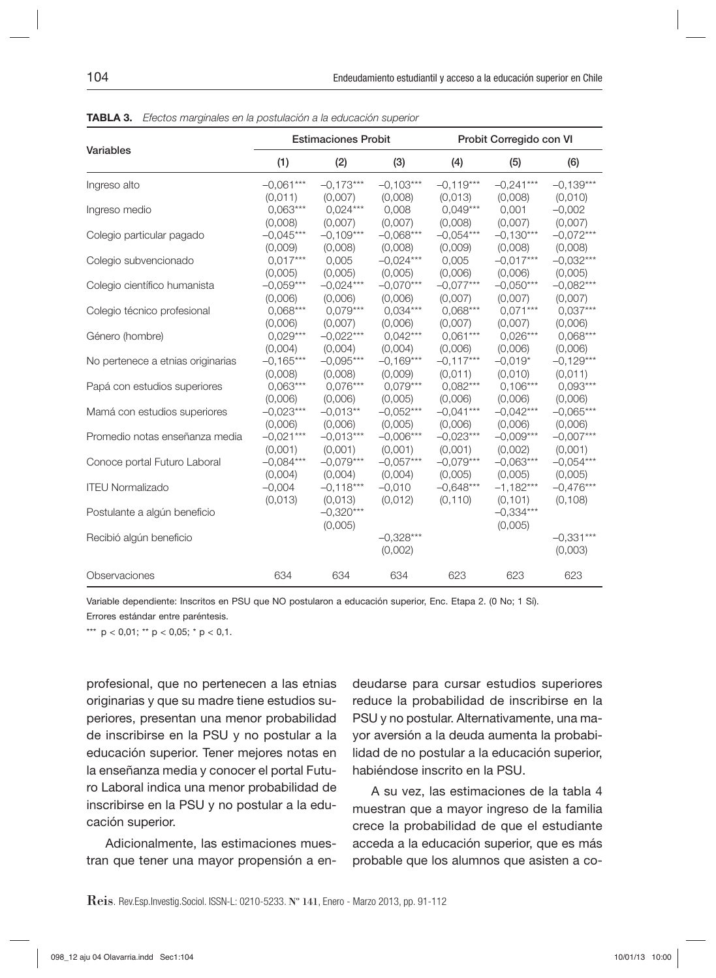|                                   | <b>Estimaciones Probit</b> |                        |                        | Probit Corregido con VI |                        |                        |
|-----------------------------------|----------------------------|------------------------|------------------------|-------------------------|------------------------|------------------------|
| Variables                         | (1)                        | (2)                    | (3)                    | (4)                     | (5)                    | (6)                    |
| Ingreso alto                      | $-0.061***$                | $-0.173***$            | $-0.103***$            | $-0.119***$             | $-0.241***$            | $-0.139***$            |
| Ingreso medio                     | (0,011)                    | (0,007)                | (0,008)                | (0.013)                 | (0,008)                | (0,010)                |
|                                   | $0.063***$                 | $0.024***$             | 0.008                  | $0.049***$              | 0.001                  | $-0.002$               |
|                                   | (0,008)                    | (0,007)                | (0,007)                | (0,008)                 | (0,007)                | (0,007)                |
| Colegio particular pagado         | $-0.045***$                | $-0.109***$            | $-0,068***$            | $-0.054***$             | $-0,130***$            | $-0.072***$            |
|                                   | (0,009)                    | (0,008)                | (0,008)                | (0,009)                 | (0,008)                | (0,008)                |
| Colegio subvencionado             | $0.017***$                 | 0,005                  | $-0.024***$            | 0,005                   | $-0.017***$            | $-0.032***$            |
|                                   | (0,005)                    | (0,005)                | (0,005)                | (0.006)                 | (0.006)                | (0.005)                |
| Colegio científico humanista      | $-0.059***$                | $-0.024***$            | $-0.070***$            | $-0.077***$             | $-0.050***$            | $-0.082***$            |
|                                   | (0,006)                    | (0,006)                | (0,006)                | (0,007)                 | (0,007)                | (0,007)                |
| Colegio técnico profesional       | $0.068***$                 | $0.079***$             | $0.034***$             | $0.068***$              | $0.071***$             | $0.037***$             |
|                                   | (0,006)                    | (0,007)                | (0,006)                | (0,007)                 | (0,007)                | (0,006)                |
| Género (hombre)                   | $0.029***$                 | $-0.022***$            | $0.042***$             | $0.061***$              | $0.026***$             | $0.068***$             |
|                                   | (0,004)                    | (0,004)                | (0,004)                | (0,006)                 | (0,006)                | (0,006)                |
| No pertenece a etnias originarias | $-0.165***$                | $-0.095***$            | $-0.169***$            | $-0.117***$             | $-0.019*$              | $-0.129***$            |
|                                   | (0,008)                    | (0,008)                | (0,009)                | (0,011)                 | (0.010)                | (0,011)                |
| Papá con estudios superiores      | $0.063***$                 | $0.076***$             | $0.079***$             | $0.082***$              | $0.106***$             | $0.093***$             |
|                                   | (0,006)                    | (0,006)                | (0,005)                | (0,006)                 | (0,006)                | (0,006)                |
| Mamá con estudios superiores      | $-0.023***$                | $-0.013**$             | $-0,052***$            | $-0.041***$             | $-0.042***$            | $-0.065***$            |
|                                   | (0,006)                    | (0,006)                | (0,005)                | (0,006)                 | (0,006)                | (0,006)                |
| Promedio notas enseñanza media    | $-0.021***$                | $-0.013***$            | $-0,006***$            | $-0,023***$             | $-0.009***$            | $-0.007***$            |
|                                   | (0,001)                    | (0,001)                | (0,001)                | (0,001)                 | (0,002)                | (0,001)                |
| Conoce portal Futuro Laboral      | $-0.084***$                | $-0.079***$            | $-0.057***$            | $-0.079***$             | $-0.063***$            | $-0.054***$            |
|                                   | (0,004)                    | (0,004)                | (0,004)                | (0,005)                 | (0,005)                | (0,005)                |
| <b>ITEU Normalizado</b>           | $-0,004$                   | $-0.118***$            | $-0.010$               | $-0,648***$             | $-1,182***$            | $-0.476***$            |
|                                   | (0,013)                    | (0,013)                | (0,012)                | (0, 110)                | (0, 101)               | (0, 108)               |
| Postulante a algún beneficio      |                            | $-0.320***$<br>(0,005) |                        |                         | $-0.334***$<br>(0,005) |                        |
| Recibió algún beneficio           |                            |                        | $-0.328***$<br>(0,002) |                         |                        | $-0.331***$<br>(0,003) |
| Observaciones                     | 634                        | 634                    | 634                    | 623                     | 623                    | 623                    |

**TABLA 3.** *Efectos marginales en la postulación a la educación superior*

Variable dependiente: Inscritos en PSU que NO postularon a educación superior, Enc. Etapa 2. (0 No; 1 Sí). Errores estándar entre paréntesis.

\*\*\*  $p < 0.01$ ; \*\*  $p < 0.05$ ; \*  $p < 0.1$ .

profesional, que no pertenecen a las etnias originarias y que su madre tiene estudios superiores, presentan una menor probabilidad de inscribirse en la PSU y no postular a la educación superior. Tener mejores notas en la enseñanza media y conocer el portal Futuro Laboral indica una menor probabilidad de inscribirse en la PSU y no postular a la educación superior.

Adicionalmente, las estimaciones muestran que tener una mayor propensión a endeudarse para cursar estudios superiores reduce la probabilidad de inscribirse en la PSU y no postular. Alternativamente, una mayor aversión a la deuda aumenta la probabilidad de no postular a la educación superior, habiéndose inscrito en la PSU.

A su vez, las estimaciones de la tabla 4 muestran que a mayor ingreso de la familia crece la probabilidad de que el estudiante acceda a la educación superior, que es más probable que los alumnos que asisten a co-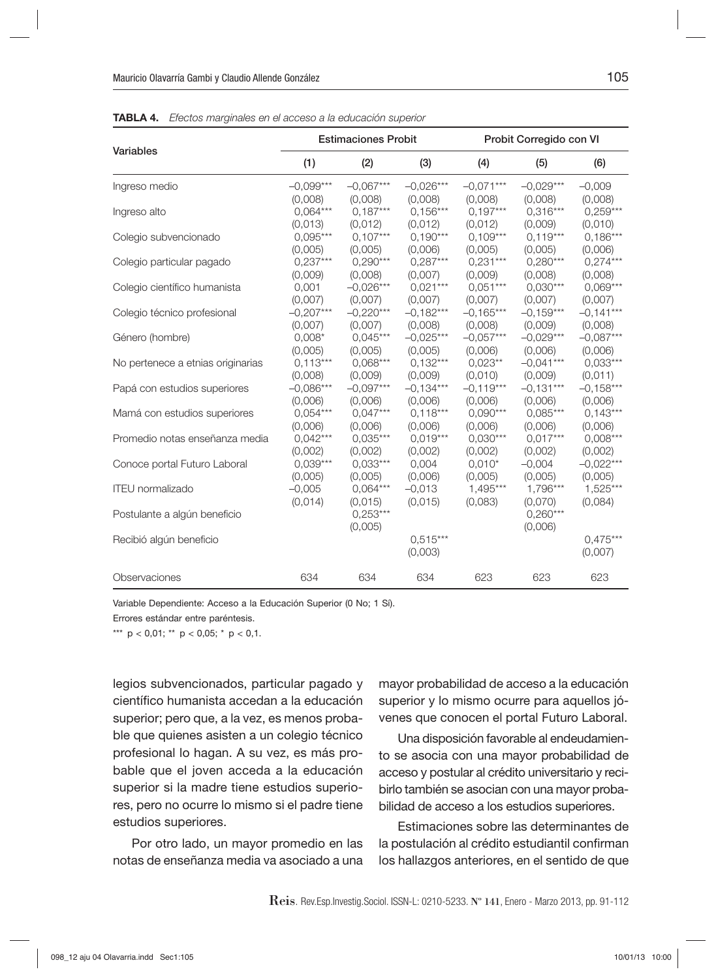|                                   | <b>Estimaciones Probit</b> |                       |                       | Probit Corregido con VI |                       |                       |  |
|-----------------------------------|----------------------------|-----------------------|-----------------------|-------------------------|-----------------------|-----------------------|--|
| <b>Variables</b>                  | (1)                        | (2)                   | (3)                   | (4)                     | (5)                   | (6)                   |  |
| Ingreso medio                     | $-0.099***$                | $-0.067***$           | $-0.026***$           | $-0.071***$             | $-0.029***$           | $-0.009$              |  |
|                                   | (0,008)                    | (0,008)               | (0,008)               | (0,008)                 | (0,008)               | (0,008)               |  |
| Ingreso alto                      | $0.064***$                 | $0.187***$            | $0,156***$            | $0.197***$              | $0,316***$            | $0,259***$            |  |
|                                   | (0,013)                    | (0.012)               | (0,012)               | (0,012)                 | (0,009)               | (0,010)               |  |
| Colegio subvencionado             | $0.095***$                 | $0.107***$            | $0,190***$            | $0.109***$              | $0.119***$            | $0,186***$            |  |
|                                   | (0,005)                    | (0,005)               | (0,006)               | (0,005)                 | (0,005)               | (0,006)               |  |
| Colegio particular pagado         | $0.237***$                 | $0.290***$            | $0.287***$            | $0.231***$              | $0.280***$            | $0.274***$            |  |
|                                   | (0,009)                    | (0,008)               | (0,007)               | (0,009)                 | (0,008)               | (0,008)               |  |
| Colegio científico humanista      | 0,001                      | $-0.026***$           | $0.021***$            | $0.051***$              | $0.030***$            | $0.069***$            |  |
|                                   | (0,007)                    | (0,007)               | (0,007)               | (0,007)                 | (0,007)               | (0,007)               |  |
| Colegio técnico profesional       | $-0,207***$                | $-0,220***$           | $-0.182***$           | $-0,165***$             | $-0.159***$           | $-0.141***$           |  |
|                                   | (0,007)                    | (0,007)               | (0,008)               | (0,008)                 | (0,009)               | (0,008)               |  |
| Género (hombre)                   | $0,008*$                   | $0.045***$            | $-0.025***$           | $-0,057***$             | $-0.029***$           | $-0.087***$           |  |
|                                   | (0,005)                    | (0,005)               | (0,005)               | (0,006)                 | (0,006)               | (0,006)               |  |
| No pertenece a etnias originarias | $0.113***$                 | $0,068***$            | $0,132***$            | $0.023**$               | $-0.041***$           | $0.033***$            |  |
|                                   | (0,008)                    | (0,009)               | (0,009)               | (0,010)                 | (0,009)               | (0,011)               |  |
| Papá con estudios superiores      | $-0,086***$                | $-0,097***$           | $-0,134***$           | $-0,119***$             | $-0,131***$           | $-0,158***$           |  |
|                                   | (0,006)                    | (0,006)               | (0,006)               | (0,006)                 | (0,006)               | (0,006)               |  |
| Mamá con estudios superiores      | $0.054***$                 | $0.047***$            | $0,118***$            | $0,090***$              | $0.085***$            | $0,143***$            |  |
|                                   | (0,006)                    | (0,006)               | (0,006)               | (0,006)                 | (0,006)               | (0,006)               |  |
| Promedio notas enseñanza media    | $0.042***$                 | $0.035***$            | $0.019***$            | $0.030***$              | $0.017***$            | $0,008***$            |  |
|                                   | (0,002)                    | (0,002)               | (0,002)               | (0,002)                 | (0,002)               | (0,002)               |  |
| Conoce portal Futuro Laboral      | $0.039***$                 | $0.033***$            | 0,004                 | $0.010*$                | $-0,004$              | $-0,022***$           |  |
|                                   | (0,005)                    | (0.005)               | (0,006)               | (0,005)                 | (0,005)               | (0,005)               |  |
| <b>ITEU</b> normalizado           | $-0,005$                   | $0.064***$            | $-0.013$              | $1,495***$              | 1,796***              | $1,525***$            |  |
|                                   | (0,014)                    | (0.015)               | (0,015)               | (0,083)                 | (0,070)               | (0,084)               |  |
| Postulante a algún beneficio      |                            | $0.253***$<br>(0,005) |                       |                         | $0.260***$<br>(0,006) |                       |  |
| Recibió algún beneficio           |                            |                       | $0.515***$<br>(0,003) |                         |                       | $0.475***$<br>(0,007) |  |
| Observaciones                     | 634                        | 634                   | 634                   | 623                     | 623                   | 623                   |  |

| TABLA 4. Efectos marginales en el acceso a la educación superior |  |
|------------------------------------------------------------------|--|
|------------------------------------------------------------------|--|

Variable Dependiente: Acceso a la Educación Superior (0 No; 1 Sí).

Errores estándar entre paréntesis.

\*\*\*  $p < 0.01$ ; \*\*  $p < 0.05$ ; \*  $p < 0.1$ .

legios subvencionados, particular pagado y científico humanista accedan a la educación superior; pero que, a la vez, es menos probable que quienes asisten a un colegio técnico profesional lo hagan. A su vez, es más probable que el joven acceda a la educación superior si la madre tiene estudios superiores, pero no ocurre lo mismo si el padre tiene estudios superiores.

Por otro lado, un mayor promedio en las notas de enseñanza media va asociado a una mayor probabilidad de acceso a la educación superior y lo mismo ocurre para aquellos jóvenes que conocen el portal Futuro Laboral.

Una disposición favorable al endeudamiento se asocia con una mayor probabilidad de acceso y postular al crédito universitario y recibirlo también se asocian con una mayor probabilidad de acceso a los estudios superiores.

Estimaciones sobre las determinantes de la postulación al crédito estudiantil confirman los hallazgos anteriores, en el sentido de que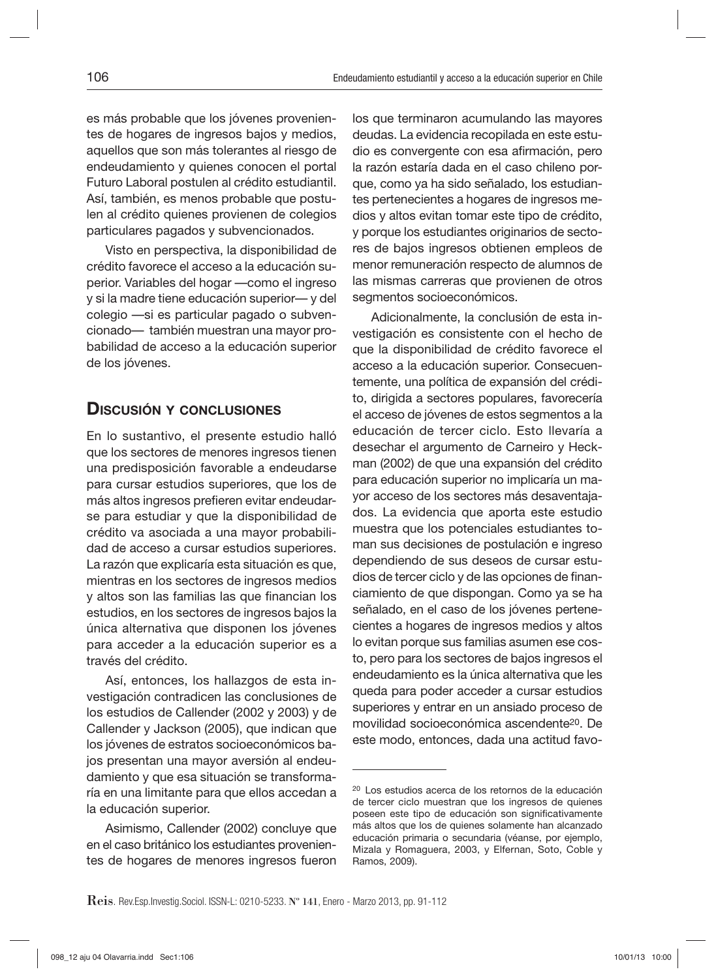es más probable que los jóvenes provenientes de hogares de ingresos bajos y medios, aquellos que son más tolerantes al riesgo de endeudamiento y quienes conocen el portal Futuro Laboral postulen al crédito estudiantil. Así, también, es menos probable que postulen al crédito quienes provienen de colegios particulares pagados y subvencionados.

Visto en perspectiva, la disponibilidad de crédito favorece el acceso a la educación superior. Variables del hogar —como el ingreso y si la madre tiene educación superior— y del colegio —si es particular pagado o subvencionado— también muestran una mayor probabilidad de acceso a la educación superior de los jóvenes.

## **DISCUSIÓN <sup>Y</sup> CONCLUSIONES**

En lo sustantivo, el presente estudio halló que los sectores de menores ingresos tienen una predisposición favorable a endeudarse para cursar estudios superiores, que los de más altos ingresos prefieren evitar endeudarse para estudiar y que la disponibilidad de crédito va asociada a una mayor probabilidad de acceso a cursar estudios superiores. La razón que explicaría esta situación es que, mientras en los sectores de ingresos medios y altos son las familias las que financian los estudios, en los sectores de ingresos bajos la única alternativa que disponen los jóvenes para acceder a la educación superior es a través del crédito.

Así, entonces, los hallazgos de esta investigación contradicen las conclusiones de los estudios de Callender (2002 y 2003) y de Callender y Jackson (2005), que indican que los jóvenes de estratos socioeconómicos bajos presentan una mayor aversión al endeudamiento y que esa situación se transformaría en una limitante para que ellos accedan a la educación superior.

Asimismo, Callender (2002) concluye que en el caso británico los estudiantes provenientes de hogares de menores ingresos fueron los que terminaron acumulando las mayores deudas. La evidencia recopilada en este estudio es convergente con esa afirmación, pero la razón estaría dada en el caso chileno porque, como ya ha sido señalado, los estudiantes pertenecientes a hogares de ingresos medios y altos evitan tomar este tipo de crédito, y porque los estudiantes originarios de sectores de bajos ingresos obtienen empleos de menor remuneración respecto de alumnos de las mismas carreras que provienen de otros segmentos socioeconómicos.

Adicionalmente, la conclusión de esta investigación es consistente con el hecho de que la disponibilidad de crédito favorece el acceso a la educación superior. Consecuentemente, una política de expansión del crédito, dirigida a sectores populares, favorecería el acceso de jóvenes de estos segmentos a la educación de tercer ciclo. Esto llevaría a desechar el argumento de Carneiro y Heckman (2002) de que una expansión del crédito para educación superior no implicaría un mayor acceso de los sectores más desaventajados. La evidencia que aporta este estudio muestra que los potenciales estudiantes toman sus decisiones de postulación e ingreso dependiendo de sus deseos de cursar estudios de tercer ciclo y de las opciones de financiamiento de que dispongan. Como ya se ha señalado, en el caso de los jóvenes pertenecientes a hogares de ingresos medios y altos lo evitan porque sus familias asumen ese costo, pero para los sectores de bajos ingresos el endeudamiento es la única alternativa que les queda para poder acceder a cursar estudios superiores y entrar en un ansiado proceso de movilidad socioeconómica ascendente20. De este modo, entonces, dada una actitud favo-

<sup>20</sup> Los estudios acerca de los retornos de la educación de tercer ciclo muestran que los ingresos de quienes poseen este tipo de educación son significativamente más altos que los de quienes solamente han alcanzado educación primaria o secundaria (véanse, por ejemplo, Mizala y Romaguera, 2003, y Elfernan, Soto, Coble y Ramos, 2009).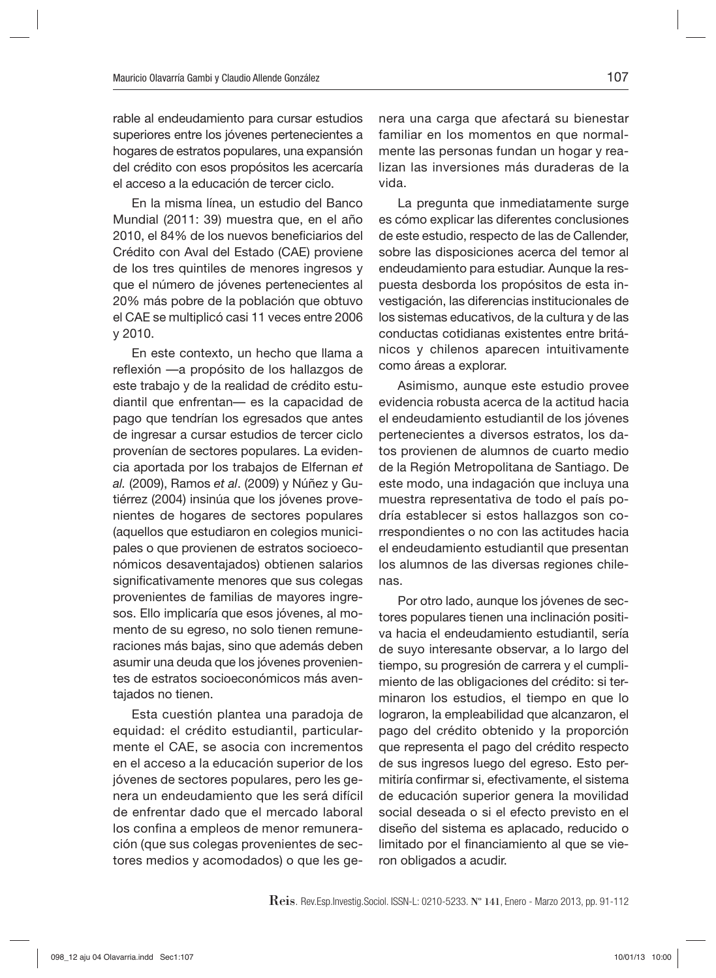rable al endeudamiento para cursar estudios superiores entre los jóvenes pertenecientes a hogares de estratos populares, una expansión del crédito con esos propósitos les acercaría el acceso a la educación de tercer ciclo.

En la misma línea, un estudio del Banco Mundial (2011: 39) muestra que, en el año 2010, el 84% de los nuevos beneficiarios del Crédito con Aval del Estado (CAE) proviene de los tres quintiles de menores ingresos y que el número de jóvenes pertenecientes al 20% más pobre de la población que obtuvo el CAE se multiplicó casi 11 veces entre 2006 y 2010.

En este contexto, un hecho que llama a reflexión —a propósito de los hallazgos de este trabajo y de la realidad de crédito estudiantil que enfrentan— es la capacidad de pago que tendrían los egresados que antes de ingresar a cursar estudios de tercer ciclo provenían de sectores populares. La evidencia aportada por los trabajos de Elfernan *et al.* (2009), Ramos *et al*. (2009) y Núñez y Gutiérrez (2004) insinúa que los jóvenes provenientes de hogares de sectores populares (aquellos que estudiaron en colegios municipales o que provienen de estratos socioeconómicos desaventajados) obtienen salarios significativamente menores que sus colegas provenientes de familias de mayores ingresos. Ello implicaría que esos jóvenes, al momento de su egreso, no solo tienen remuneraciones más bajas, sino que además deben asumir una deuda que los jóvenes provenientes de estratos socioeconómicos más aventajados no tienen.

Esta cuestión plantea una paradoja de equidad: el crédito estudiantil, particularmente el CAE, se asocia con incrementos en el acceso a la educación superior de los jóvenes de sectores populares, pero les genera un endeudamiento que les será difícil de enfrentar dado que el mercado laboral los confina a empleos de menor remuneración (que sus colegas provenientes de sectores medios y acomodados) o que les genera una carga que afectará su bienestar familiar en los momentos en que normalmente las personas fundan un hogar y realizan las inversiones más duraderas de la vida.

La pregunta que inmediatamente surge es cómo explicar las diferentes conclusiones de este estudio, respecto de las de Callender, sobre las disposiciones acerca del temor al endeudamiento para estudiar. Aunque la respuesta desborda los propósitos de esta investigación, las diferencias institucionales de los sistemas educativos, de la cultura y de las conductas cotidianas existentes entre británicos y chilenos aparecen intuitivamente como áreas a explorar.

Asimismo, aunque este estudio provee evidencia robusta acerca de la actitud hacia el endeudamiento estudiantil de los jóvenes pertenecientes a diversos estratos, los datos provienen de alumnos de cuarto medio de la Región Metropolitana de Santiago. De este modo, una indagación que incluya una muestra representativa de todo el país podría establecer si estos hallazgos son correspondientes o no con las actitudes hacia el endeudamiento estudiantil que presentan los alumnos de las diversas regiones chilenas.

Por otro lado, aunque los jóvenes de sectores populares tienen una inclinación positiva hacia el endeudamiento estudiantil, sería de suyo interesante observar, a lo largo del tiempo, su progresión de carrera y el cumplimiento de las obligaciones del crédito: si terminaron los estudios, el tiempo en que lo lograron, la empleabilidad que alcanzaron, el pago del crédito obtenido y la proporción que representa el pago del crédito respecto de sus ingresos luego del egreso. Esto permitiría confirmar si, efectivamente, el sistema de educación superior genera la movilidad social deseada o si el efecto previsto en el diseño del sistema es aplacado, reducido o limitado por el financiamiento al que se vieron obligados a acudir.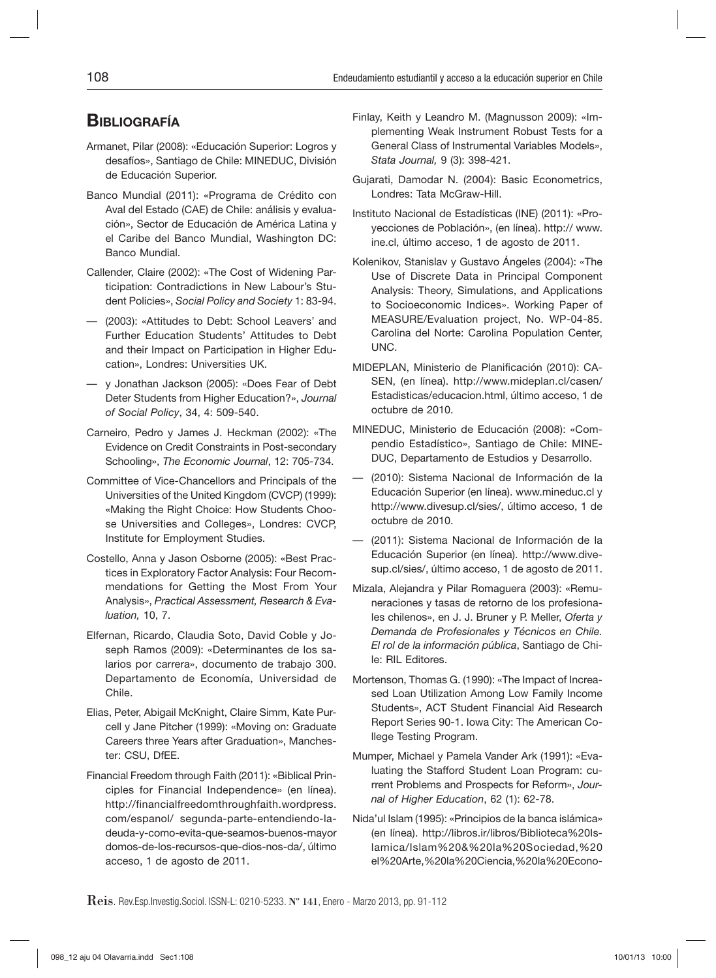## **BIBLIOGRAFÍA**

- Armanet, Pilar (2008): «Educación Superior: Logros y desafíos», Santiago de Chile: MINEDUC, División de Educación Superior.
- Banco Mundial (2011): «Programa de Crédito con Aval del Estado (CAE) de Chile: análisis y evaluación», Sector de Educación de América Latina y el Caribe del Banco Mundial, Washington DC: Banco Mundial.
- Callender, Claire (2002): «The Cost of Widening Participation: Contradictions in New Labour's Student Policies», *Social Policy and Society* 1: 83-94.
- (2003): «Attitudes to Debt: School Leavers' and Further Education Students' Attitudes to Debt and their Impact on Participation in Higher Education», Londres: Universities UK.
- y Jonathan Jackson (2005): «Does Fear of Debt Deter Students from Higher Education?», *Journal of Social Policy*, 34, 4: 509-540.
- Carneiro, Pedro y James J. Heckman (2002): «The Evidence on Credit Constraints in Post-secondary Schooling», *The Economic Journal*, 12: 705-734.
- Committee of Vice-Chancellors and Principals of the Universities of the United Kingdom (CVCP) (1999): «Making the Right Choice: How Students Choose Universities and Colleges», Londres: CVCP, Institute for Employment Studies.
- Costello, Anna y Jason Osborne (2005): «Best Practices in Exploratory Factor Analysis: Four Recommendations for Getting the Most From Your Analysis», *Practical Assessment, Research & Evaluation,* 10, 7.
- Elfernan, Ricardo, Claudia Soto, David Coble y Joseph Ramos (2009): «Determinantes de los salarios por carrera», documento de trabajo 300. Departamento de Economía, Universidad de Chile.
- Elias, Peter, Abigail McKnight, Claire Simm, Kate Purcell y Jane Pitcher (1999): «Moving on: Graduate Careers three Years after Graduation», Manchester: CSU, DfEE.
- Financial Freedom through Faith (2011): «Biblical Principles for Financial Independence» (en línea). http://financialfreedomthroughfaith.wordpress. com/espanol/ segunda-parte-entendiendo-ladeuda-y-como-evita-que-seamos-buenos-mayor domos-de-los-recursos-que-dios-nos-da/, último acceso, 1 de agosto de 2011.
- Finlay, Keith y Leandro M. (Magnusson 2009): «Implementing Weak Instrument Robust Tests for a General Class of Instrumental Variables Models», *Stata Journal,* 9 (3): 398-421.
- Gujarati, Damodar N. (2004): Basic Econometrics, Londres: Tata McGraw-Hill.
- Instituto Nacional de Estadísticas (INE) (2011): «Proyecciones de Población», (en línea). http:// www. ine.cl, último acceso, 1 de agosto de 2011.
- Kolenikov, Stanislav y Gustavo Ángeles (2004): *«*The Use of Discrete Data in Principal Component Analysis: Theory, Simulations, and Applications to Socioeconomic Indices». Working Paper of MEASURE/Evaluation project, No. WP-04-85. Carolina del Norte: Carolina Population Center, UNC.
- MIDEPLAN, Ministerio de Planificación (2010): CA-SEN, (en línea). http://www.mideplan.cl/casen/ Estadisticas/educacion.html, último acceso, 1 de octubre de 2010.
- MINEDUC, Ministerio de Educación (2008): «Compendio Estadístico», Santiago de Chile: MINE-DUC, Departamento de Estudios y Desarrollo.
- (2010): Sistema Nacional de Información de la Educación Superior (en línea). www.mineduc.cl y http://www.divesup.cl/sies/, último acceso, 1 de octubre de 2010.
- (2011): Sistema Nacional de Información de la Educación Superior (en línea). http://www.divesup.cl/sies/, último acceso, 1 de agosto de 2011.
- Mizala, Alejandra y Pilar Romaguera (2003): «Remuneraciones y tasas de retorno de los profesionales chilenos», en J. J. Bruner y P. Meller, *Oferta y Demanda de Profesionales y Técnicos en Chile. El rol de la información pública*, Santiago de Chile: RIL Editores.
- Mortenson, Thomas G. (1990): «The Impact of Increased Loan Utilization Among Low Family Income Students», ACT Student Financial Aid Research Report Series 90-1. Iowa City: The American College Testing Program.
- Mumper, Michael y Pamela Vander Ark (1991): «Evaluating the Stafford Student Loan Program: current Problems and Prospects for Reform», *Journal of Higher Education*, 62 (1): 62-78.
- Nida'ul Islam (1995): «Principios de la banca islámica» (en línea). http://libros.ir/libros/Biblioteca%20Islamica/Islam%20&%20la%20Sociedad,%20 el%20Arte,%20la%20Ciencia,%20la%20Econo-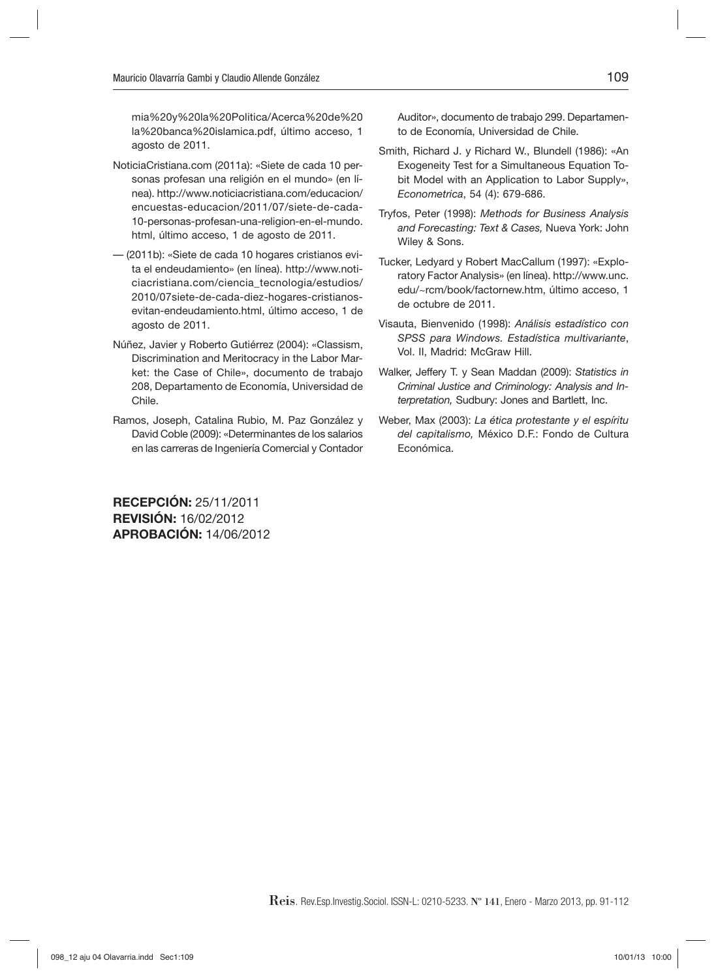mia%20y%20la%20Politica/Acerca%20de%20 la%20banca%20islamica.pdf, último acceso, 1 agosto de 2011.

- NoticiaCristiana.com (2011a): «Siete de cada 10 personas profesan una religión en el mundo» (en línea). http://www.noticiacristiana.com/educacion/ encuestas-educacion/2011/07/siete-de-cada-10-personas-profesan-una-religion-en-el-mundo. html, último acceso, 1 de agosto de 2011.
- (2011b): «Siete de cada 10 hogares cristianos evita el endeudamiento» (en línea). http://www.noticiacristiana.com/ciencia\_tecnologia/estudios/ 2010/07siete-de-cada-diez-hogares-cristianosevitan-endeudamiento.html, último acceso, 1 de agosto de 2011.
- Núñez, Javier y Roberto Gutiérrez (2004): «Classism, Discrimination and Meritocracy in the Labor Market: the Case of Chile», documento de trabajo 208, Departamento de Economía, Universidad de Chile.
- Ramos, Joseph, Catalina Rubio, M. Paz González y David Coble (2009): «Determinantes de los salarios en las carreras de Ingeniería Comercial y Contador

**RECEPCIÓN:** 25/11/2011 **REVISIÓN:** 16/02/2012 **APROBACIÓN:** 14/06/2012 Auditor», documento de trabajo 299. Departamento de Economía, Universidad de Chile.

- Smith, Richard J. y Richard W., Blundell (1986): «An Exogeneity Test for a Simultaneous Equation Tobit Model with an Application to Labor Supply», *Econometrica*, 54 (4): 679-686.
- Tryfos, Peter (1998): *Methods for Business Analysis and Forecasting: Text & Cases,* Nueva York: John Wiley & Sons.
- Tucker, Ledyard y Robert MacCallum (1997): «Exploratory Factor Analysis» (en línea). http://www.unc. edu/~rcm/book/factornew.htm, último acceso, 1 de octubre de 2011.
- Visauta, Bienvenido (1998): *Análisis estadístico con SPSS para Windows. Estadística multivariante*, Vol. II, Madrid: McGraw Hill.
- Walker, Jeffery T. y Sean Maddan (2009): *Statistics in Criminal Justice and Criminology: Analysis and Interpretation,* Sudbury: Jones and Bartlett, Inc.
- Weber, Max (2003): *La ética protestante y el espíritu del capitalismo,* México D.F.: Fondo de Cultura Económica.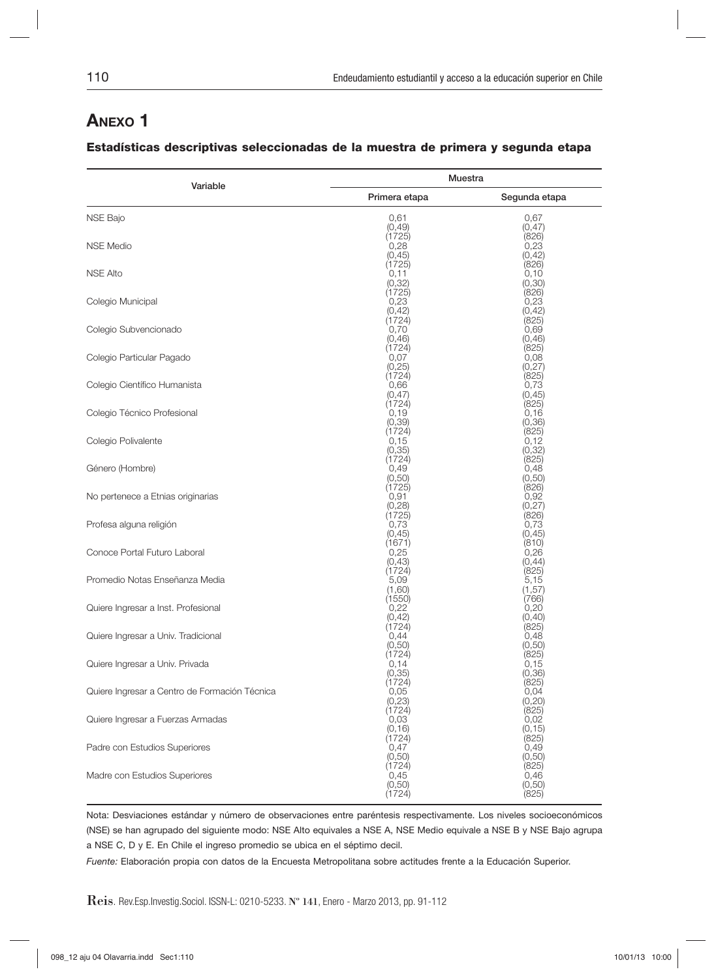## **ANEXO 1**

#### **Estadísticas descriptivas seleccionadas de la muestra de primera y segunda etapa**

| Primera etapa<br>Segunda etapa<br>NSE Bajo<br>0,61<br>0,67<br>(0, 49)<br>(0, 47)<br>(1725)<br>(826)<br><b>NSE Medio</b><br>0,28<br>0,23<br>(0, 45)<br>(0, 42)<br>(1725)<br>(826)<br><b>NSE Alto</b><br>0,11<br>0,10<br>(0, 32)<br>(0, 30)<br>(1725)<br>(826)<br>0,23<br>0,23<br>Colegio Municipal<br>(0, 42)<br>(0, 42)<br>(1724)<br>(825)<br>Colegio Subvencionado<br>0,70<br>0,69<br>(0, 46)<br>(0, 46)<br>(1724)<br>(825)<br>Colegio Particular Pagado<br>0,07<br>0,08<br>(0, 25)<br>(0, 27)<br>(1724)<br>(825)<br>Colegio Científico Humanista<br>0,66<br>0,73<br>(0, 47)<br>(0, 45)<br>(1724)<br>(825)<br>Colegio Técnico Profesional<br>0,19<br>0,16<br>(0, 39)<br>(0, 36)<br>(1724)<br>(825)<br>0,12<br>Colegio Polivalente<br>0,15<br>(0, 35)<br>(0, 32)<br>(1724)<br>(825)<br>Género (Hombre)<br>0,49<br>0,48<br>(0, 50)<br>(0, 50)<br>(1725)<br>(826)<br>No pertenece a Etnias originarias<br>0,91<br>0,92<br>(0, 28)<br>(0,27)<br>(1725)<br>(826)<br>Profesa alguna religión<br>0,73<br>0,73<br>(0, 45)<br>(0, 45)<br>(1671)<br>(810)<br>Conoce Portal Futuro Laboral<br>0,25<br>0,26<br>(0, 43)<br>(0, 44)<br>(1724)<br>(825)<br>Promedio Notas Enseñanza Media<br>5,09<br>5,15<br>(1,60)<br>(1,57)<br>(1550)<br>(766)<br>Quiere Ingresar a Inst. Profesional<br>0,22<br>0,20<br>(0, 42)<br>(0, 40)<br>(1724)<br>(825)<br>Quiere Ingresar a Univ. Tradicional<br>0,44<br>0,48<br>(0, 50)<br>(0, 50)<br>(1724)<br>(825)<br>Quiere Ingresar a Univ. Privada<br>0,14<br>0, 15<br>(0, 35)<br>(0, 36)<br>(1724)<br>(825)<br>Quiere Ingresar a Centro de Formación Técnica<br>0,05<br>0,04<br>(0, 23)<br>(0, 20)<br>(1724)<br>(825)<br>Quiere Ingresar a Fuerzas Armadas<br>0,03<br>0,02<br>(0, 16)<br>(0, 15)<br>(1724)<br>(825)<br>Padre con Estudios Superiores<br>0,47<br>0,49<br>(0, 50)<br>(0, 50)<br>(1724)<br>(825)<br>Madre con Estudios Superiores<br>0,45<br>0.46<br>(0, 50)<br>(0, 50)<br>(1724)<br>(825) | Variable | Muestra |  |  |  |
|-----------------------------------------------------------------------------------------------------------------------------------------------------------------------------------------------------------------------------------------------------------------------------------------------------------------------------------------------------------------------------------------------------------------------------------------------------------------------------------------------------------------------------------------------------------------------------------------------------------------------------------------------------------------------------------------------------------------------------------------------------------------------------------------------------------------------------------------------------------------------------------------------------------------------------------------------------------------------------------------------------------------------------------------------------------------------------------------------------------------------------------------------------------------------------------------------------------------------------------------------------------------------------------------------------------------------------------------------------------------------------------------------------------------------------------------------------------------------------------------------------------------------------------------------------------------------------------------------------------------------------------------------------------------------------------------------------------------------------------------------------------------------------------------------------------------------------------------------------------------------------------------------------------------------------|----------|---------|--|--|--|
|                                                                                                                                                                                                                                                                                                                                                                                                                                                                                                                                                                                                                                                                                                                                                                                                                                                                                                                                                                                                                                                                                                                                                                                                                                                                                                                                                                                                                                                                                                                                                                                                                                                                                                                                                                                                                                                                                                                             |          |         |  |  |  |
|                                                                                                                                                                                                                                                                                                                                                                                                                                                                                                                                                                                                                                                                                                                                                                                                                                                                                                                                                                                                                                                                                                                                                                                                                                                                                                                                                                                                                                                                                                                                                                                                                                                                                                                                                                                                                                                                                                                             |          |         |  |  |  |
|                                                                                                                                                                                                                                                                                                                                                                                                                                                                                                                                                                                                                                                                                                                                                                                                                                                                                                                                                                                                                                                                                                                                                                                                                                                                                                                                                                                                                                                                                                                                                                                                                                                                                                                                                                                                                                                                                                                             |          |         |  |  |  |
|                                                                                                                                                                                                                                                                                                                                                                                                                                                                                                                                                                                                                                                                                                                                                                                                                                                                                                                                                                                                                                                                                                                                                                                                                                                                                                                                                                                                                                                                                                                                                                                                                                                                                                                                                                                                                                                                                                                             |          |         |  |  |  |
|                                                                                                                                                                                                                                                                                                                                                                                                                                                                                                                                                                                                                                                                                                                                                                                                                                                                                                                                                                                                                                                                                                                                                                                                                                                                                                                                                                                                                                                                                                                                                                                                                                                                                                                                                                                                                                                                                                                             |          |         |  |  |  |
|                                                                                                                                                                                                                                                                                                                                                                                                                                                                                                                                                                                                                                                                                                                                                                                                                                                                                                                                                                                                                                                                                                                                                                                                                                                                                                                                                                                                                                                                                                                                                                                                                                                                                                                                                                                                                                                                                                                             |          |         |  |  |  |
|                                                                                                                                                                                                                                                                                                                                                                                                                                                                                                                                                                                                                                                                                                                                                                                                                                                                                                                                                                                                                                                                                                                                                                                                                                                                                                                                                                                                                                                                                                                                                                                                                                                                                                                                                                                                                                                                                                                             |          |         |  |  |  |
|                                                                                                                                                                                                                                                                                                                                                                                                                                                                                                                                                                                                                                                                                                                                                                                                                                                                                                                                                                                                                                                                                                                                                                                                                                                                                                                                                                                                                                                                                                                                                                                                                                                                                                                                                                                                                                                                                                                             |          |         |  |  |  |
|                                                                                                                                                                                                                                                                                                                                                                                                                                                                                                                                                                                                                                                                                                                                                                                                                                                                                                                                                                                                                                                                                                                                                                                                                                                                                                                                                                                                                                                                                                                                                                                                                                                                                                                                                                                                                                                                                                                             |          |         |  |  |  |
|                                                                                                                                                                                                                                                                                                                                                                                                                                                                                                                                                                                                                                                                                                                                                                                                                                                                                                                                                                                                                                                                                                                                                                                                                                                                                                                                                                                                                                                                                                                                                                                                                                                                                                                                                                                                                                                                                                                             |          |         |  |  |  |
|                                                                                                                                                                                                                                                                                                                                                                                                                                                                                                                                                                                                                                                                                                                                                                                                                                                                                                                                                                                                                                                                                                                                                                                                                                                                                                                                                                                                                                                                                                                                                                                                                                                                                                                                                                                                                                                                                                                             |          |         |  |  |  |
|                                                                                                                                                                                                                                                                                                                                                                                                                                                                                                                                                                                                                                                                                                                                                                                                                                                                                                                                                                                                                                                                                                                                                                                                                                                                                                                                                                                                                                                                                                                                                                                                                                                                                                                                                                                                                                                                                                                             |          |         |  |  |  |
|                                                                                                                                                                                                                                                                                                                                                                                                                                                                                                                                                                                                                                                                                                                                                                                                                                                                                                                                                                                                                                                                                                                                                                                                                                                                                                                                                                                                                                                                                                                                                                                                                                                                                                                                                                                                                                                                                                                             |          |         |  |  |  |
|                                                                                                                                                                                                                                                                                                                                                                                                                                                                                                                                                                                                                                                                                                                                                                                                                                                                                                                                                                                                                                                                                                                                                                                                                                                                                                                                                                                                                                                                                                                                                                                                                                                                                                                                                                                                                                                                                                                             |          |         |  |  |  |
|                                                                                                                                                                                                                                                                                                                                                                                                                                                                                                                                                                                                                                                                                                                                                                                                                                                                                                                                                                                                                                                                                                                                                                                                                                                                                                                                                                                                                                                                                                                                                                                                                                                                                                                                                                                                                                                                                                                             |          |         |  |  |  |
|                                                                                                                                                                                                                                                                                                                                                                                                                                                                                                                                                                                                                                                                                                                                                                                                                                                                                                                                                                                                                                                                                                                                                                                                                                                                                                                                                                                                                                                                                                                                                                                                                                                                                                                                                                                                                                                                                                                             |          |         |  |  |  |
|                                                                                                                                                                                                                                                                                                                                                                                                                                                                                                                                                                                                                                                                                                                                                                                                                                                                                                                                                                                                                                                                                                                                                                                                                                                                                                                                                                                                                                                                                                                                                                                                                                                                                                                                                                                                                                                                                                                             |          |         |  |  |  |
|                                                                                                                                                                                                                                                                                                                                                                                                                                                                                                                                                                                                                                                                                                                                                                                                                                                                                                                                                                                                                                                                                                                                                                                                                                                                                                                                                                                                                                                                                                                                                                                                                                                                                                                                                                                                                                                                                                                             |          |         |  |  |  |
|                                                                                                                                                                                                                                                                                                                                                                                                                                                                                                                                                                                                                                                                                                                                                                                                                                                                                                                                                                                                                                                                                                                                                                                                                                                                                                                                                                                                                                                                                                                                                                                                                                                                                                                                                                                                                                                                                                                             |          |         |  |  |  |
|                                                                                                                                                                                                                                                                                                                                                                                                                                                                                                                                                                                                                                                                                                                                                                                                                                                                                                                                                                                                                                                                                                                                                                                                                                                                                                                                                                                                                                                                                                                                                                                                                                                                                                                                                                                                                                                                                                                             |          |         |  |  |  |
|                                                                                                                                                                                                                                                                                                                                                                                                                                                                                                                                                                                                                                                                                                                                                                                                                                                                                                                                                                                                                                                                                                                                                                                                                                                                                                                                                                                                                                                                                                                                                                                                                                                                                                                                                                                                                                                                                                                             |          |         |  |  |  |
|                                                                                                                                                                                                                                                                                                                                                                                                                                                                                                                                                                                                                                                                                                                                                                                                                                                                                                                                                                                                                                                                                                                                                                                                                                                                                                                                                                                                                                                                                                                                                                                                                                                                                                                                                                                                                                                                                                                             |          |         |  |  |  |
|                                                                                                                                                                                                                                                                                                                                                                                                                                                                                                                                                                                                                                                                                                                                                                                                                                                                                                                                                                                                                                                                                                                                                                                                                                                                                                                                                                                                                                                                                                                                                                                                                                                                                                                                                                                                                                                                                                                             |          |         |  |  |  |
|                                                                                                                                                                                                                                                                                                                                                                                                                                                                                                                                                                                                                                                                                                                                                                                                                                                                                                                                                                                                                                                                                                                                                                                                                                                                                                                                                                                                                                                                                                                                                                                                                                                                                                                                                                                                                                                                                                                             |          |         |  |  |  |
|                                                                                                                                                                                                                                                                                                                                                                                                                                                                                                                                                                                                                                                                                                                                                                                                                                                                                                                                                                                                                                                                                                                                                                                                                                                                                                                                                                                                                                                                                                                                                                                                                                                                                                                                                                                                                                                                                                                             |          |         |  |  |  |
|                                                                                                                                                                                                                                                                                                                                                                                                                                                                                                                                                                                                                                                                                                                                                                                                                                                                                                                                                                                                                                                                                                                                                                                                                                                                                                                                                                                                                                                                                                                                                                                                                                                                                                                                                                                                                                                                                                                             |          |         |  |  |  |
|                                                                                                                                                                                                                                                                                                                                                                                                                                                                                                                                                                                                                                                                                                                                                                                                                                                                                                                                                                                                                                                                                                                                                                                                                                                                                                                                                                                                                                                                                                                                                                                                                                                                                                                                                                                                                                                                                                                             |          |         |  |  |  |
|                                                                                                                                                                                                                                                                                                                                                                                                                                                                                                                                                                                                                                                                                                                                                                                                                                                                                                                                                                                                                                                                                                                                                                                                                                                                                                                                                                                                                                                                                                                                                                                                                                                                                                                                                                                                                                                                                                                             |          |         |  |  |  |
|                                                                                                                                                                                                                                                                                                                                                                                                                                                                                                                                                                                                                                                                                                                                                                                                                                                                                                                                                                                                                                                                                                                                                                                                                                                                                                                                                                                                                                                                                                                                                                                                                                                                                                                                                                                                                                                                                                                             |          |         |  |  |  |
|                                                                                                                                                                                                                                                                                                                                                                                                                                                                                                                                                                                                                                                                                                                                                                                                                                                                                                                                                                                                                                                                                                                                                                                                                                                                                                                                                                                                                                                                                                                                                                                                                                                                                                                                                                                                                                                                                                                             |          |         |  |  |  |
|                                                                                                                                                                                                                                                                                                                                                                                                                                                                                                                                                                                                                                                                                                                                                                                                                                                                                                                                                                                                                                                                                                                                                                                                                                                                                                                                                                                                                                                                                                                                                                                                                                                                                                                                                                                                                                                                                                                             |          |         |  |  |  |
|                                                                                                                                                                                                                                                                                                                                                                                                                                                                                                                                                                                                                                                                                                                                                                                                                                                                                                                                                                                                                                                                                                                                                                                                                                                                                                                                                                                                                                                                                                                                                                                                                                                                                                                                                                                                                                                                                                                             |          |         |  |  |  |
|                                                                                                                                                                                                                                                                                                                                                                                                                                                                                                                                                                                                                                                                                                                                                                                                                                                                                                                                                                                                                                                                                                                                                                                                                                                                                                                                                                                                                                                                                                                                                                                                                                                                                                                                                                                                                                                                                                                             |          |         |  |  |  |
|                                                                                                                                                                                                                                                                                                                                                                                                                                                                                                                                                                                                                                                                                                                                                                                                                                                                                                                                                                                                                                                                                                                                                                                                                                                                                                                                                                                                                                                                                                                                                                                                                                                                                                                                                                                                                                                                                                                             |          |         |  |  |  |
|                                                                                                                                                                                                                                                                                                                                                                                                                                                                                                                                                                                                                                                                                                                                                                                                                                                                                                                                                                                                                                                                                                                                                                                                                                                                                                                                                                                                                                                                                                                                                                                                                                                                                                                                                                                                                                                                                                                             |          |         |  |  |  |
|                                                                                                                                                                                                                                                                                                                                                                                                                                                                                                                                                                                                                                                                                                                                                                                                                                                                                                                                                                                                                                                                                                                                                                                                                                                                                                                                                                                                                                                                                                                                                                                                                                                                                                                                                                                                                                                                                                                             |          |         |  |  |  |
|                                                                                                                                                                                                                                                                                                                                                                                                                                                                                                                                                                                                                                                                                                                                                                                                                                                                                                                                                                                                                                                                                                                                                                                                                                                                                                                                                                                                                                                                                                                                                                                                                                                                                                                                                                                                                                                                                                                             |          |         |  |  |  |
|                                                                                                                                                                                                                                                                                                                                                                                                                                                                                                                                                                                                                                                                                                                                                                                                                                                                                                                                                                                                                                                                                                                                                                                                                                                                                                                                                                                                                                                                                                                                                                                                                                                                                                                                                                                                                                                                                                                             |          |         |  |  |  |
|                                                                                                                                                                                                                                                                                                                                                                                                                                                                                                                                                                                                                                                                                                                                                                                                                                                                                                                                                                                                                                                                                                                                                                                                                                                                                                                                                                                                                                                                                                                                                                                                                                                                                                                                                                                                                                                                                                                             |          |         |  |  |  |
|                                                                                                                                                                                                                                                                                                                                                                                                                                                                                                                                                                                                                                                                                                                                                                                                                                                                                                                                                                                                                                                                                                                                                                                                                                                                                                                                                                                                                                                                                                                                                                                                                                                                                                                                                                                                                                                                                                                             |          |         |  |  |  |
|                                                                                                                                                                                                                                                                                                                                                                                                                                                                                                                                                                                                                                                                                                                                                                                                                                                                                                                                                                                                                                                                                                                                                                                                                                                                                                                                                                                                                                                                                                                                                                                                                                                                                                                                                                                                                                                                                                                             |          |         |  |  |  |
|                                                                                                                                                                                                                                                                                                                                                                                                                                                                                                                                                                                                                                                                                                                                                                                                                                                                                                                                                                                                                                                                                                                                                                                                                                                                                                                                                                                                                                                                                                                                                                                                                                                                                                                                                                                                                                                                                                                             |          |         |  |  |  |
|                                                                                                                                                                                                                                                                                                                                                                                                                                                                                                                                                                                                                                                                                                                                                                                                                                                                                                                                                                                                                                                                                                                                                                                                                                                                                                                                                                                                                                                                                                                                                                                                                                                                                                                                                                                                                                                                                                                             |          |         |  |  |  |
|                                                                                                                                                                                                                                                                                                                                                                                                                                                                                                                                                                                                                                                                                                                                                                                                                                                                                                                                                                                                                                                                                                                                                                                                                                                                                                                                                                                                                                                                                                                                                                                                                                                                                                                                                                                                                                                                                                                             |          |         |  |  |  |
|                                                                                                                                                                                                                                                                                                                                                                                                                                                                                                                                                                                                                                                                                                                                                                                                                                                                                                                                                                                                                                                                                                                                                                                                                                                                                                                                                                                                                                                                                                                                                                                                                                                                                                                                                                                                                                                                                                                             |          |         |  |  |  |

Nota: Desviaciones estándar y número de observaciones entre paréntesis respectivamente. Los niveles socioeconómicos (NSE) se han agrupado del siguiente modo: NSE Alto equivales a NSE A, NSE Medio equivale a NSE B y NSE Bajo agrupa a NSE C, D y E. En Chile el ingreso promedio se ubica en el séptimo decil.

*Fuente:* Elaboración propia con datos de la Encuesta Metropolitana sobre actitudes frente a la Educación Superior.